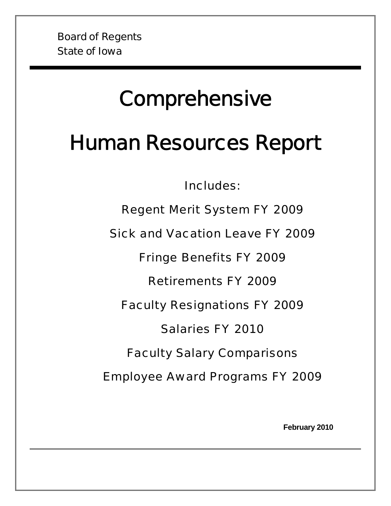# **Comprehensive**

# Human Resources Report

Includes:

Regent Merit System FY 2009

Sick and Vacation Leave FY 2009

Fringe Benefits FY 2009

Retirements FY 2009

Faculty Resignations FY 2009

Salaries FY 2010

Faculty Salary Comparisons

Employee Award Programs FY 2009

**February 2010**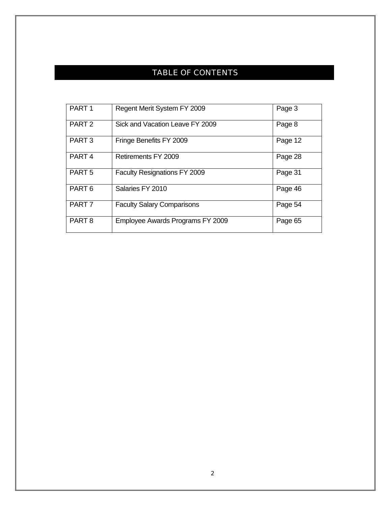# TABLE OF CONTENTS

| PART <sub>1</sub> | Regent Merit System FY 2009         | Page 3  |
|-------------------|-------------------------------------|---------|
| PART <sub>2</sub> | Sick and Vacation Leave FY 2009     | Page 8  |
| PART <sub>3</sub> | Fringe Benefits FY 2009             | Page 12 |
| PART <sub>4</sub> | Retirements FY 2009                 | Page 28 |
| PART <sub>5</sub> | <b>Faculty Resignations FY 2009</b> | Page 31 |
| PART <sub>6</sub> | Salaries FY 2010                    | Page 46 |
| PART <sub>7</sub> | <b>Faculty Salary Comparisons</b>   | Page 54 |
| PART <sub>8</sub> | Employee Awards Programs FY 2009    | Page 65 |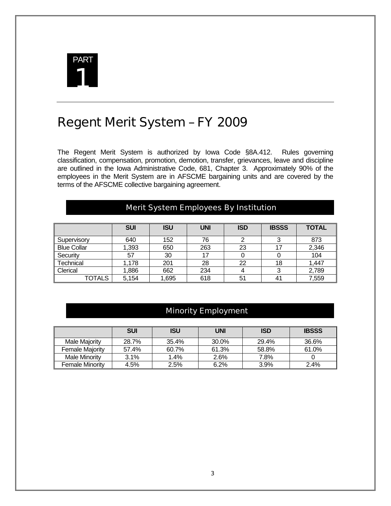

# Regent Merit System – FY 2009

The Regent Merit System is authorized by Iowa Code §8A.412. Rules governing classification, compensation, promotion, demotion, transfer, grievances, leave and discipline are outlined in the Iowa Administrative Code, 681, Chapter 3. Approximately 90% of the employees in the Merit System are in AFSCME bargaining units and are covered by the terms of the AFSCME collective bargaining agreement.

| <b>Merit System Employees By Institution</b> |            |            |            |            |              |              |  |
|----------------------------------------------|------------|------------|------------|------------|--------------|--------------|--|
|                                              | <b>SUI</b> | <b>ISU</b> | <b>UNI</b> | <b>ISD</b> | <b>IBSSS</b> | <b>TOTAL</b> |  |
| Supervisory                                  | 640        | 152        | 76         | ⌒          |              | 873          |  |
| <b>Blue Collar</b>                           | 1.393      | 650        | 263        | 23         | 17           | 2,346        |  |
| Security                                     | 57         | 30         | 17         |            |              | 104          |  |
| Technical                                    | 1.178      | 201        | 28         | 22         | 18           | 1,447        |  |
| Clerical                                     | 1,886      | 662        | 234        | 4          | ົ            | 2,789        |  |
| TOTALS                                       | 5.154      | 1,695      | 618        | 51         | 41           | 7,559        |  |

# Minority Employment

|                        | <b>SUI</b> | <b>ISU</b> | <b>UNI</b> | <b>ISD</b> | <b>IBSSS</b> |
|------------------------|------------|------------|------------|------------|--------------|
| Male Maiority          | 28.7%      | 35.4%      | 30.0%      | 29.4%      | 36.6%        |
| <b>Female Majority</b> | 57.4%      | 60.7%      | 61.3%      | 58.8%      | 61.0%        |
| Male Minority          | $3.1\%$    | 1.4%       | 2.6%       | 7.8%       |              |
| <b>Female Minority</b> | 4.5%       | $2.5\%$    | 6.2%       | $3.9\%$    | 2.4%         |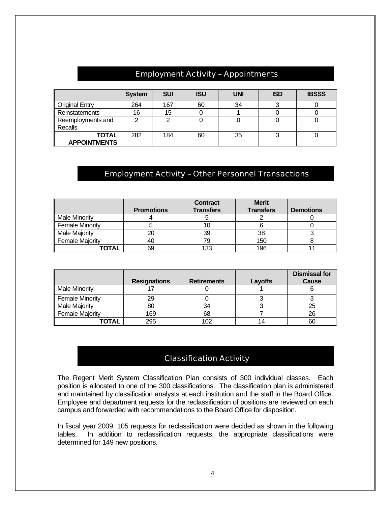# Employment Activity – Appointments

|                                     | <b>System</b> | <b>SUI</b> | <b>ISU</b> | <b>UNI</b> | <b>ISD</b> | <b>IBSSS</b> |
|-------------------------------------|---------------|------------|------------|------------|------------|--------------|
| <b>Original Entry</b>               | 264           | 167        | 60         | 34         |            |              |
| Reinstatements                      | 16            | 15         |            |            |            |              |
| Reemployments and<br>Recalls        |               | າ          |            |            |            |              |
| <b>TOTAL</b><br><b>APPOINTMENTS</b> | 282           | 184        | 60         | 35         |            |              |

# Employment Activity – Other Personnel Transactions

|                 | <b>Promotions</b> | <b>Contract</b><br><b>Transfers</b> | <b>Merit</b><br><b>Transfers</b> | <b>Demotions</b> |
|-----------------|-------------------|-------------------------------------|----------------------------------|------------------|
| Male Minority   |                   |                                     |                                  |                  |
| Female Minority |                   | 10                                  |                                  |                  |
| Male Majority   | 20                | 39                                  | 38                               |                  |
| Female Majority | 40                | 79                                  | 150                              |                  |
| TOTAL           | 69                | 133                                 | 196                              |                  |

|                        | <b>Resignations</b> | <b>Retirements</b> | Layoffs | <b>Dismissal for</b><br><b>Cause</b> |
|------------------------|---------------------|--------------------|---------|--------------------------------------|
| <b>Male Minority</b>   |                     |                    |         |                                      |
| <b>Female Minority</b> | 29                  |                    |         |                                      |
| <b>Male Majority</b>   | 80                  | 34                 |         | 25                                   |
| <b>Female Majority</b> | 169                 | 68                 |         | 26                                   |
| TOTAL                  | 295                 | 102                |         | 60                                   |

### Classification Activity

The Regent Merit System Classification Plan consists of 300 individual classes. Each position is allocated to one of the 300 classifications. The classification plan is administered and maintained by classification analysts at each institution and the staff in the Board Office. Employee and department requests for the reclassification of positions are reviewed on each campus and forwarded with recommendations to the Board Office for disposition.

In fiscal year 2009, 105 requests for reclassification were decided as shown in the following tables. In addition to reclassification requests, the appropriate classifications were determined for 149 new positions.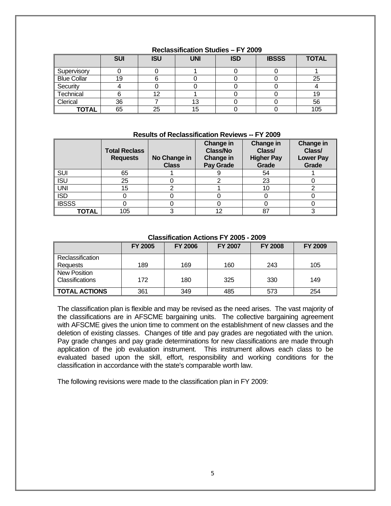|                    | <b>SUI</b> | <b>ISU</b> | <b>UNI</b> | <b>ISD</b> | <b>IBSSS</b> | <b>TOTAL</b> |
|--------------------|------------|------------|------------|------------|--------------|--------------|
| Supervisory        |            |            |            |            |              |              |
| <b>Blue Collar</b> | 19         |            |            |            |              | 25           |
| Security           |            |            |            |            |              |              |
| Technical          |            |            |            |            |              | 19           |
| <b>Clerical</b>    | 36         |            | 13         |            |              | 56           |
| <b>TOTAL</b>       | 65         | 25         | 15         |            |              | 105          |

#### **Reclassification Studies – FY 2009**

#### **Results of Reclassification Reviews -- FY 2009**

|              | <b>Total Reclass</b><br><b>Requests</b> | No Change in<br><b>Class</b> | Change in<br>Class/No<br>Change in<br><b>Pay Grade</b> | Change in<br>Class/<br><b>Higher Pay</b><br>Grade | Change in<br>Class/<br><b>Lower Pay</b><br>Grade |
|--------------|-----------------------------------------|------------------------------|--------------------------------------------------------|---------------------------------------------------|--------------------------------------------------|
| SUI          | 65                                      |                              |                                                        | 54                                                |                                                  |
| <b>ISU</b>   | 25                                      |                              |                                                        | 23                                                |                                                  |
| UNI          | 15                                      |                              |                                                        | 10                                                |                                                  |
| <b>ISD</b>   |                                         |                              |                                                        |                                                   |                                                  |
| <b>IBSSS</b> |                                         |                              |                                                        |                                                   |                                                  |
| TOTAL        | 105                                     |                              | 12                                                     | 87                                                |                                                  |

#### **Classification Actions FY 2005 - 2009**

|                      | <b>FY 2005</b> | <b>FY 2006</b> | <b>FY 2007</b> | <b>FY 2008</b> | <b>FY 2009</b> |
|----------------------|----------------|----------------|----------------|----------------|----------------|
| Reclassification     |                |                |                |                |                |
| Requests             | 189            | 169            | 160            | 243            | 105            |
| <b>New Position</b>  |                |                |                |                |                |
| Classifications      | 172            | 180            | 325            | 330            | 149            |
| <b>TOTAL ACTIONS</b> | 361            | 349            | 485            | 573            | 254            |

The classification plan is flexible and may be revised as the need arises. The vast majority of the classifications are in AFSCME bargaining units. The collective bargaining agreement with AFSCME gives the union time to comment on the establishment of new classes and the deletion of existing classes. Changes of title and pay grades are negotiated with the union. Pay grade changes and pay grade determinations for new classifications are made through application of the job evaluation instrument. This instrument allows each class to be evaluated based upon the skill, effort, responsibility and working conditions for the classification in accordance with the state's comparable worth law.

The following revisions were made to the classification plan in FY 2009: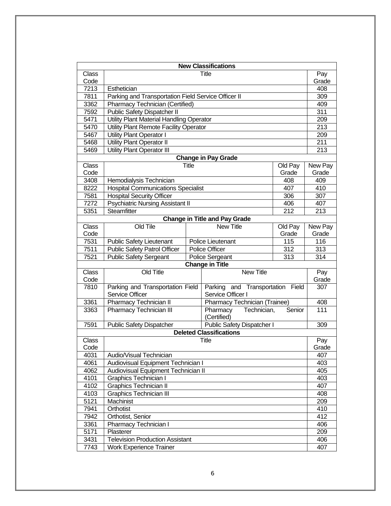|                                               |                                                     |       | <b>New Classifications</b>             |         |            |  |
|-----------------------------------------------|-----------------------------------------------------|-------|----------------------------------------|---------|------------|--|
| Class                                         |                                                     |       | Title                                  |         | Pay        |  |
| Code                                          |                                                     |       |                                        |         | Grade      |  |
| 7213                                          | Esthetician                                         |       |                                        |         | 408        |  |
| 7811                                          | Parking and Transportation Field Service Officer II |       |                                        |         | 309        |  |
| 3362                                          | Pharmacy Technician (Certified)                     |       |                                        |         |            |  |
| 7592                                          | <b>Public Safety Dispatcher II</b>                  |       |                                        |         |            |  |
| 5471                                          | Utility Plant Material Handling Operator            |       |                                        |         | 311<br>209 |  |
| 5470                                          | Utility Plant Remote Facility Operator              |       |                                        |         | 213        |  |
| 5467                                          | Utility Plant Operator I                            |       |                                        |         | 209        |  |
| 5468                                          | Utility Plant Operator II                           |       |                                        |         | 211        |  |
| 5469                                          | <b>Utility Plant Operator III</b>                   |       |                                        |         | 213        |  |
|                                               |                                                     |       | <b>Change in Pay Grade</b>             |         |            |  |
| <b>Class</b>                                  |                                                     | Title |                                        | Old Pay | New Pay    |  |
| Code                                          |                                                     |       |                                        | Grade   | Grade      |  |
| 3408                                          | Hemodialysis Technician                             |       |                                        | 408     | 409        |  |
| 8222                                          | <b>Hospital Communications Specialist</b>           |       |                                        | 407     | 410        |  |
| 7581                                          | <b>Hospital Security Officer</b>                    |       |                                        | 306     | 307        |  |
| 7272                                          | <b>Psychiatric Nursing Assistant II</b>             |       |                                        | 406     | 407        |  |
| 5351                                          | <b>Steamfitter</b>                                  |       |                                        | 212     | 213        |  |
| <b>Change in Title and Pay Grade</b>          |                                                     |       |                                        |         |            |  |
| <b>Class</b>                                  | Old Tile                                            |       | <b>New Title</b>                       | Old Pay | New Pay    |  |
| Code                                          |                                                     |       |                                        | Grade   | Grade      |  |
| 7531                                          | <b>Public Safety Lieutenant</b>                     |       | <b>Police Lieutenant</b>               | 115     | 116        |  |
| 7511                                          | <b>Public Safety Patrol Officer</b>                 |       | Police Officer                         | 312     | 313        |  |
| 7521                                          | <b>Public Safety Sergeant</b>                       |       | Police Sergeant                        | 313     | 314        |  |
| <b>Change in Title</b>                        |                                                     |       |                                        |         |            |  |
| Old Title<br>Class<br><b>New Title</b><br>Pay |                                                     |       |                                        |         |            |  |
| Code                                          |                                                     |       |                                        |         | Grade      |  |
| 7810                                          | Parking and Transportation Field                    |       | Parking and Transportation Field       |         | 307        |  |
|                                               | Service Officer                                     |       | Service Officer I                      |         |            |  |
| 3361                                          | Pharmacy Technician II                              |       | Pharmacy Technician (Trainee)          |         | 408        |  |
| 3363                                          | Pharmacy Technician III                             |       | Technician,<br>Pharmacy<br>(Certified) | Senior  | 111        |  |
| 7591                                          | <b>Public Safety Dispatcher</b>                     |       | <b>Public Safety Dispatcher I</b>      |         | 309        |  |
|                                               |                                                     |       | <b>Deleted Classifications</b>         |         |            |  |
| Class<br>Title                                |                                                     |       |                                        |         | Pay        |  |
| Code                                          |                                                     |       |                                        |         | Grade      |  |
| 4031                                          | Audio/Visual Technician                             |       |                                        |         |            |  |
| 4061                                          | Audiovisual Equipment Technician I                  |       |                                        |         |            |  |
| 4062                                          | Audiovisual Equipment Technician II                 |       |                                        |         |            |  |
| 4101                                          | <b>Graphics Technician I</b>                        |       |                                        |         |            |  |
| 4102                                          | <b>Graphics Technician II</b>                       |       |                                        |         |            |  |
| 4103                                          | <b>Graphics Technician III</b>                      |       |                                        |         |            |  |
| 5121                                          | Machinist                                           |       |                                        |         |            |  |
| 7941                                          | Orthotist                                           |       |                                        |         |            |  |
| 7942                                          | Orthotist, Senior                                   |       |                                        |         |            |  |
| 3361                                          | Pharmacy Technician I                               |       |                                        |         | 412<br>406 |  |
| 5171                                          | Plasterer                                           |       |                                        |         | 209        |  |
| 3431                                          | <b>Television Production Assistant</b>              |       |                                        |         | 406        |  |
| 7743                                          | <b>Work Experience Trainer</b>                      |       |                                        |         | 407        |  |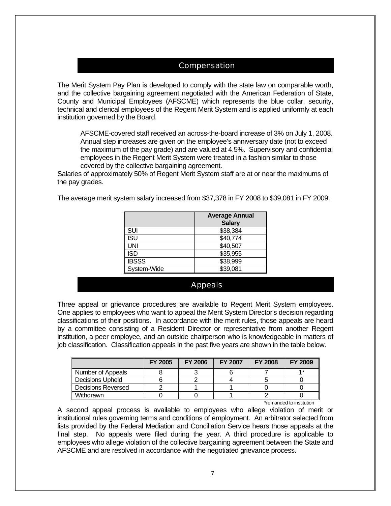### Compensation

The Merit System Pay Plan is developed to comply with the state law on comparable worth, and the collective bargaining agreement negotiated with the American Federation of State, County and Municipal Employees (AFSCME) which represents the blue collar, security, technical and clerical employees of the Regent Merit System and is applied uniformly at each institution governed by the Board.

AFSCME-covered staff received an across-the-board increase of 3% on July 1, 2008. Annual step increases are given on the employee's anniversary date (not to exceed the maximum of the pay grade) and are valued at 4.5%. Supervisory and confidential employees in the Regent Merit System were treated in a fashion similar to those covered by the collective bargaining agreement.

Salaries of approximately 50% of Regent Merit System staff are at or near the maximums of the pay grades.

|              | <b>Average Annual</b><br><b>Salary</b> |
|--------------|----------------------------------------|
| SUI          | \$38,384                               |
| <b>ISU</b>   | \$40,774                               |
| <b>UNI</b>   | \$40,507                               |
| <b>ISD</b>   | \$35,955                               |
| <b>IBSSS</b> | \$38,999                               |
| System-Wide  | \$39,081                               |

The average merit system salary increased from \$37,378 in FY 2008 to \$39,081 in FY 2009.

#### Appeals

Three appeal or grievance procedures are available to Regent Merit System employees. One applies to employees who want to appeal the Merit System Director's decision regarding classifications of their positions. In accordance with the merit rules, those appeals are heard by a committee consisting of a Resident Director or representative from another Regent institution, a peer employee, and an outside chairperson who is knowledgeable in matters of job classification. Classification appeals in the past five years are shown in the table below.

| <b>FY 2005</b> | <b>FY 2006</b> | <b>FY 2007</b> | <b>FY 2008</b> | <b>FY 2009</b> |
|----------------|----------------|----------------|----------------|----------------|
|                |                |                |                | 4*             |
|                |                |                |                |                |
|                |                |                |                |                |
|                |                |                |                |                |
|                |                |                |                |                |

\*remanded to institution

A second appeal process is available to employees who allege violation of merit or institutional rules governing terms and conditions of employment. An arbitrator selected from lists provided by the Federal Mediation and Conciliation Service hears those appeals at the final step. No appeals were filed during the year. A third procedure is applicable to employees who allege violation of the collective bargaining agreement between the State and AFSCME and are resolved in accordance with the negotiated grievance process.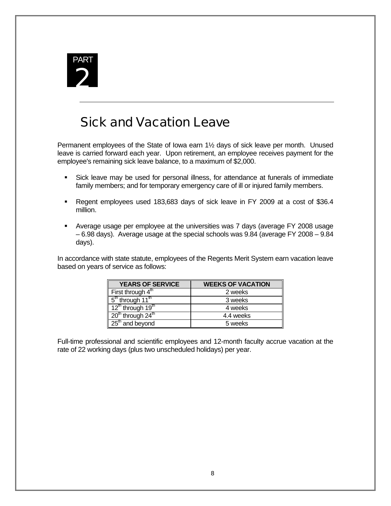

# Sick and Vacation Leave

Permanent employees of the State of Iowa earn 1½ days of sick leave per month. Unused leave is carried forward each year. Upon retirement, an employee receives payment for the employee's remaining sick leave balance, to a maximum of \$2,000.

- Sick leave may be used for personal illness, for attendance at funerals of immediate family members; and for temporary emergency care of ill or injured family members.
- Regent employees used 183,683 days of sick leave in FY 2009 at a cost of \$36.4 million.
- Average usage per employee at the universities was 7 days (average FY 2008 usage – 6.98 days). Average usage at the special schools was 9.84 (average FY 2008 – 9.84 days).

In accordance with state statute, employees of the Regents Merit System earn vacation leave based on years of service as follows:

| <b>YEARS OF SERVICE</b>                   | <b>WEEKS OF VACATION</b> |
|-------------------------------------------|--------------------------|
| First through 4 <sup>th</sup>             | 2 weeks                  |
| 5 <sup>th</sup> through 11 <sup>th</sup>  | 3 weeks                  |
| 12 <sup>th</sup> through 19 <sup>th</sup> | 4 weeks                  |
| 20 <sup>th</sup> through 24 <sup>th</sup> | 4.4 weeks                |
| 25 <sup>th</sup> and beyond               | 5 weeks                  |

Full-time professional and scientific employees and 12-month faculty accrue vacation at the rate of 22 working days (plus two unscheduled holidays) per year.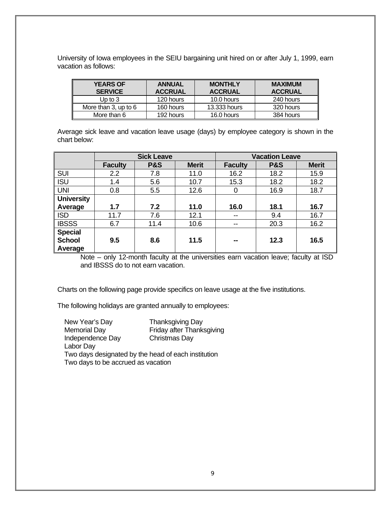University of Iowa employees in the SEIU bargaining unit hired on or after July 1, 1999, earn vacation as follows:

| <b>YEARS OF</b><br><b>SERVICE</b> | <b>ANNUAL</b><br><b>ACCRUAL</b> | <b>MONTHLY</b><br><b>ACCRUAL</b> | <b>MAXIMUM</b><br><b>ACCRUAL</b> |
|-----------------------------------|---------------------------------|----------------------------------|----------------------------------|
| Up to $3$                         | 120 hours                       | 10.0 hours                       | 240 hours                        |
| More than 3, up to 6              | 160 hours                       | 13.333 hours                     | 320 hours                        |
| More than 6                       | 192 hours                       | 16.0 hours                       | 384 hours                        |

Average sick leave and vacation leave usage (days) by employee category is shown in the chart below:

|                   | <b>Sick Leave</b> |                |              | <b>Vacation Leave</b> |                |              |
|-------------------|-------------------|----------------|--------------|-----------------------|----------------|--------------|
|                   | <b>Faculty</b>    | <b>P&amp;S</b> | <b>Merit</b> | <b>Faculty</b>        | <b>P&amp;S</b> | <b>Merit</b> |
| <b>SUI</b>        | 2.2               | 7.8            | 11.0         | 16.2                  | 18.2           | 15.9         |
| <b>ISU</b>        | 1.4               | 5.6            | 10.7         | 15.3                  | 18.2           | 18.2         |
| <b>UNI</b>        | 0.8               | 5.5            | 12.6         | 0                     | 16.9           | 18.7         |
| <b>University</b> |                   |                |              |                       |                |              |
| Average           | 1.7               | 7.2            | 11.0         | 16.0                  | 18.1           | 16.7         |
| <b>ISD</b>        | 11.7              | 7.6            | 12.1         | --                    | 9.4            | 16.7         |
| <b>IBSSS</b>      | 6.7               | 11.4           | 10.6         | $- -$                 | 20.3           | 16.2         |
| <b>Special</b>    |                   |                |              |                       |                |              |
| <b>School</b>     | 9.5               | 8.6            | 11.5         | --                    | 12.3           | 16.5         |
| Average           |                   |                |              |                       |                |              |

Note – only 12-month faculty at the universities earn vacation leave; faculty at ISD and IBSSS do to not earn vacation.

Charts on the following page provide specifics on leave usage at the five institutions.

The following holidays are granted annually to employees:

| New Year's Day                                      | <b>Thanksgiving Day</b>            |  |  |  |  |  |
|-----------------------------------------------------|------------------------------------|--|--|--|--|--|
| <b>Memorial Day</b>                                 | Friday after Thanksgiving          |  |  |  |  |  |
| Independence Day                                    | Christmas Day                      |  |  |  |  |  |
| Labor Day                                           |                                    |  |  |  |  |  |
| Two days designated by the head of each institution |                                    |  |  |  |  |  |
|                                                     | Two days to be accrued as vacation |  |  |  |  |  |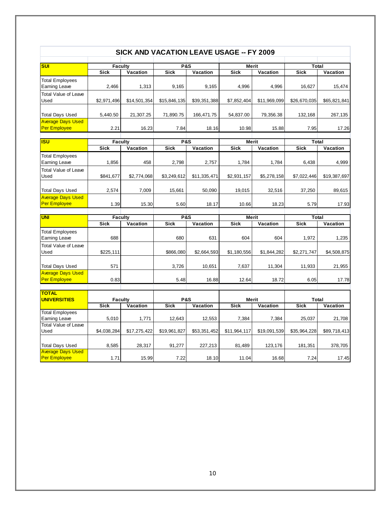|                                                 | SIGN AND VAGATION LEAVE USAGE<br>" L I TARA |              |                               |                 |                      |              |                             |              |  |
|-------------------------------------------------|---------------------------------------------|--------------|-------------------------------|-----------------|----------------------|--------------|-----------------------------|--------------|--|
| <b>SUI</b>                                      | <b>Faculty</b>                              |              | <b>P&amp;S</b>                |                 |                      | Merit        | Total                       |              |  |
|                                                 | <b>Sick</b>                                 | Vacation     | <b>Sick</b>                   | <b>Vacation</b> | <b>Sick</b>          | Vacation     | <b>Sick</b>                 | Vacation     |  |
| <b>Total Employees</b><br><b>Earning Leave</b>  | 2,466                                       | 1,313        | 9,165                         | 9,165           | 4,996                | 4,996        | 16,627                      | 15,474       |  |
| <b>Total Value of Leave</b><br>Used             | \$2,971,496                                 | \$14,501,354 | \$15,846,135                  | \$39,351,388    | \$7,852,404          | \$11,969,099 | \$26,670,035                | \$65,821,841 |  |
| <b>Total Days Used</b>                          | 5,440.50                                    | 21,307.25    | 71,890.75                     | 166,471.75      | 54,837.00            | 79,356.38    | 132,168                     | 267,135      |  |
| <b>Average Days Used</b><br>Per Employee        | 2.21                                        | 16.23        | 7.84                          | 18.16           | 10.98                | 15.88        | 7.95                        | 17.26        |  |
|                                                 |                                             |              |                               |                 |                      |              |                             |              |  |
| <b>ISU</b>                                      | <b>Faculty</b><br><b>Sick</b>               | Vacation     | <b>P&amp;S</b><br><b>Sick</b> | Vacation        | Merit<br><b>Sick</b> | Vacation     | <b>Total</b><br><b>Sick</b> | Vacation     |  |
|                                                 |                                             |              |                               |                 |                      |              |                             |              |  |
| <b>Total Employees</b><br><b>Earning Leave</b>  | 1,856                                       | 458          | 2,798                         | 2,757           | 1,784                | 1,784        | 6,438                       | 4,999        |  |
| <b>Total Value of Leave</b><br>Used             | \$841,677                                   | \$2,774,068  | \$3,249,612                   | \$11,335,471    | \$2,931,157          | \$5,278,158  | \$7,022,446                 | \$19,387,697 |  |
| <b>Total Days Used</b>                          | 2,574                                       | 7,009        | 15,661                        | 50,090          | 19,015               | 32,516       | 37,250                      | 89,615       |  |
| <b>Average Days Used</b><br><b>Per Employee</b> | 1.39                                        | 15.30        | 5.60                          | 18.17           | 10.66                | 18.23        | 5.79                        | 17.93        |  |
|                                                 |                                             |              |                               |                 |                      |              |                             |              |  |
|                                                 |                                             |              |                               |                 |                      |              |                             |              |  |
| <b>UNI</b>                                      | <b>Faculty</b>                              |              | <b>P&amp;S</b>                |                 |                      | Merit        | <b>Total</b>                |              |  |
|                                                 | <b>Sick</b>                                 | Vacation     | <b>Sick</b>                   | Vacation        | <b>Sick</b>          | Vacation     | <b>Sick</b>                 | Vacation     |  |
| <b>Total Employees</b><br><b>Earning Leave</b>  | 688                                         |              | 680                           | 631             | 604                  | 604          | 1,972                       | 1,235        |  |
| <b>Total Value of Leave</b><br>Used             | \$225,111                                   |              | \$866,080                     | \$2,664,593     | \$1,180,556          | \$1,844,282  | \$2,271,747                 | \$4,508,875  |  |
| <b>Total Days Used</b>                          | 571                                         |              | 3,726                         | 10,651          | 7,637                | 11,304       | 11,933                      | 21,955       |  |
| <b>Average Days Used</b><br><b>Per Employee</b> | 0.83                                        |              | 5.48                          | 16.88           | 12.64                | 18.72        | 6.05                        | 17.78        |  |
|                                                 |                                             |              |                               |                 |                      |              |                             |              |  |
| <b>TOTAL</b><br><b>UNIVERSITIES</b>             | <b>Faculty</b>                              |              | <b>P&amp;S</b>                |                 | Merit                |              | <b>Total</b>                |              |  |
|                                                 | <b>Sick</b>                                 | Vacation     | <b>Sick</b>                   | Vacation        | <b>Sick</b>          | Vacation     | <b>Sick</b>                 | Vacation     |  |
| <b>Total Employees</b><br><b>Earning Leave</b>  | 5,010                                       | 1,771        | 12,643                        | 12,553          | 7,384                | 7,384        | 25,037                      | 21,708       |  |
| <b>Total Value of Leave</b><br>Used             | \$4,038,284                                 | \$17,275,422 | \$19,961,827                  | \$53,351,452    | \$11,964,117         | \$19,091,539 | \$35,964,228                | \$89,718,413 |  |
| <b>Total Days Used</b>                          | 8,585                                       | 28,317       | 91,277                        | 227,213         | 81,489               | 123,176      | 181,351                     | 378,705      |  |

# **SICK AND VACATION LEAVE USAGE -- FY 2009**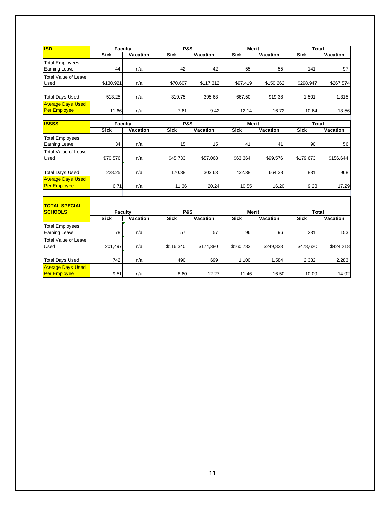| <b>ISD</b>                                      |                | <b>Faculty</b> |                | <b>P&amp;S</b> |             | <b>Merit</b> |             | Total     |  |
|-------------------------------------------------|----------------|----------------|----------------|----------------|-------------|--------------|-------------|-----------|--|
|                                                 | <b>Sick</b>    | Vacation       | <b>Sick</b>    | Vacation       | <b>Sick</b> | Vacation     | <b>Sick</b> | Vacation  |  |
| <b>Total Employees</b><br><b>Earning Leave</b>  | 44             | n/a            | 42             | 42             | 55          | 55           | 141         | 97        |  |
| <b>Total Value of Leave</b><br>Used             | \$130,921      | n/a            | \$70,607       | \$117,312      | \$97,419    | \$150,262    | \$298,947   | \$267,574 |  |
| <b>Total Days Used</b>                          | 513.25         | n/a            | 319.75         | 395.63         | 667.50      | 919.38       | 1,501       | 1,315     |  |
| <b>Average Days Used</b><br><b>Per Employee</b> | 11.66          | n/a            | 7.61           | 9.42           | 12.14       | 16.72        | 10.64       | 13.56     |  |
| <b>IBSSS</b>                                    | <b>Faculty</b> |                | <b>P&amp;S</b> |                |             | <b>Merit</b> | Total       |           |  |
|                                                 | <b>Sick</b>    | Vacation       | <b>Sick</b>    | Vacation       | <b>Sick</b> | Vacation     | <b>Sick</b> | Vacation  |  |
| <b>Total Employees</b><br><b>Earning Leave</b>  | 34             | n/a            | 15             | 15             | 41          | 41           | 90          | 56        |  |
| Total Value of Leave<br>Used                    | \$70,576       | n/a            | \$45,733       | \$57,068       | \$63,364    | \$99,576     | \$179,673   | \$156,644 |  |
| <b>Total Days Used</b>                          | 228.25         | n/a            | 170.38         | 303.63         | 432.38      | 664.38       | 831         | 968       |  |
| <b>Average Days Used</b><br><b>Per Employee</b> | 6.71           | n/a            | 11.36          | 20.24          | 10.55       | 16.20        | 9.23        | 17.29     |  |
| <b>TOTAL SPECIAL</b><br><b>SCHOOLS</b>          | <b>Faculty</b> |                | <b>P&amp;S</b> |                |             | Merit        | Total       |           |  |
|                                                 | <b>Sick</b>    | Vacation       | <b>Sick</b>    | Vacation       | <b>Sick</b> | Vacation     | <b>Sick</b> | Vacation  |  |
| <b>Total Employees</b><br><b>Earning Leave</b>  | 78             | n/a            | 57             | 57             | 96          | 96           | 231         | 153       |  |
| <b>Total Value of Leave</b><br><b>Used</b>      | 201,497        | n/a            | \$116,340      | \$174,380      | \$160,783   | \$249,838    | \$478,620   | \$424,218 |  |
| <b>Total Days Used</b>                          | 742            | n/a            | 490            | 699            | 1,100       | 1,584        | 2,332       | 2,283     |  |
| <b>Average Days Used</b><br>Per Employee        | 9.51           | n/a            | 8.60           | 12.27          | 11.46       | 16.50        | 10.09       | 14.92     |  |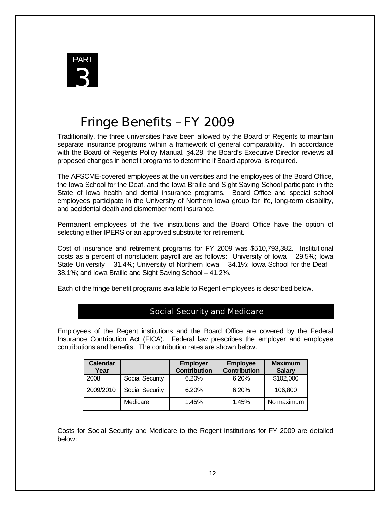

# Fringe Benefits – FY 2009

Traditionally, the three universities have been allowed by the Board of Regents to maintain separate insurance programs within a framework of general comparability. In accordance with the Board of Regents Policy Manual, §4.28, the Board's Executive Director reviews all proposed changes in benefit programs to determine if Board approval is required.

The AFSCME-covered employees at the universities and the employees of the Board Office, the Iowa School for the Deaf, and the Iowa Braille and Sight Saving School participate in the State of Iowa health and dental insurance programs. Board Office and special school employees participate in the University of Northern Iowa group for life, long-term disability, and accidental death and dismemberment insurance.

Permanent employees of the five institutions and the Board Office have the option of selecting either IPERS or an approved substitute for retirement.

Cost of insurance and retirement programs for FY 2009 was \$510,793,382. Institutional costs as a percent of nonstudent payroll are as follows: University of Iowa – 29.5%; Iowa State University – 31.4%; University of Northern Iowa – 34.1%; Iowa School for the Deaf – 38.1%; and Iowa Braille and Sight Saving School – 41.2%.

Each of the fringe benefit programs available to Regent employees is described below.

### Social Security and Medicare

Employees of the Regent institutions and the Board Office are covered by the Federal Insurance Contribution Act (FICA). Federal law prescribes the employer and employee contributions and benefits. The contribution rates are shown below.

| Calendar<br>Year |                 | <b>Employer</b><br><b>Contribution</b> | <b>Employee</b><br><b>Contribution</b> | <b>Maximum</b><br><b>Salary</b> |
|------------------|-----------------|----------------------------------------|----------------------------------------|---------------------------------|
| 2008             | Social Security | 6.20%                                  | 6.20%                                  | \$102,000                       |
| 2009/2010        | Social Security | 6.20%                                  | 6.20%                                  | 106.800                         |
|                  | Medicare        | 1.45%                                  | 1.45%                                  | No maximum                      |

Costs for Social Security and Medicare to the Regent institutions for FY 2009 are detailed below: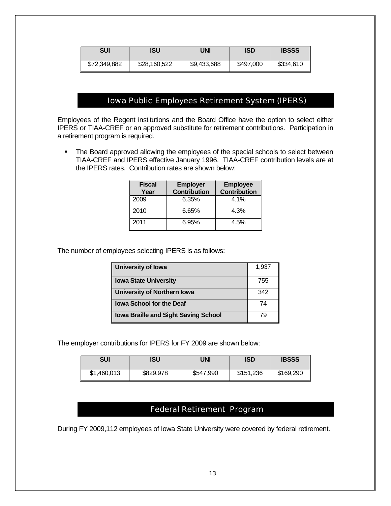| SUI          | ISU          | UNI         | <b>ISD</b> | <b>IBSSS</b> |
|--------------|--------------|-------------|------------|--------------|
| \$72,349,882 | \$28,160,522 | \$9,433,688 | \$497,000  | \$334,610    |

# Iowa Public Employees Retirement System (IPERS)

Employees of the Regent institutions and the Board Office have the option to select either IPERS or TIAA-CREF or an approved substitute for retirement contributions. Participation in a retirement program is required.

• The Board approved allowing the employees of the special schools to select between TIAA-CREF and IPERS effective January 1996. TIAA-CREF contribution levels are at the IPERS rates. Contribution rates are shown below:

| <b>Fiscal</b><br>Year | <b>Employer</b><br><b>Contribution</b> | <b>Employee</b><br><b>Contribution</b> |
|-----------------------|----------------------------------------|----------------------------------------|
| 2009                  | 6.35%                                  | 4.1%                                   |
| 2010                  | 6.65%                                  | 4.3%                                   |
| 2011                  | 6.95%                                  | 4.5%                                   |

The number of employees selecting IPERS is as follows:

| University of Iowa                          | 1,937 |
|---------------------------------------------|-------|
| <b>Iowa State University</b>                | 755   |
| <b>University of Northern lowa</b>          | 342   |
| Iowa School for the Deaf                    | 74    |
| <b>Iowa Braille and Sight Saving School</b> | 79    |

The employer contributions for IPERS for FY 2009 are shown below:

| <b>SUI</b>  | ISU       | UNI       | <b>ISD</b> | <b>IBSSS</b> |
|-------------|-----------|-----------|------------|--------------|
| \$1,460,013 | \$829,978 | \$547,990 | \$151,236  | \$169,290    |

# Federal Retirement Program

During FY 2009,112 employees of Iowa State University were covered by federal retirement.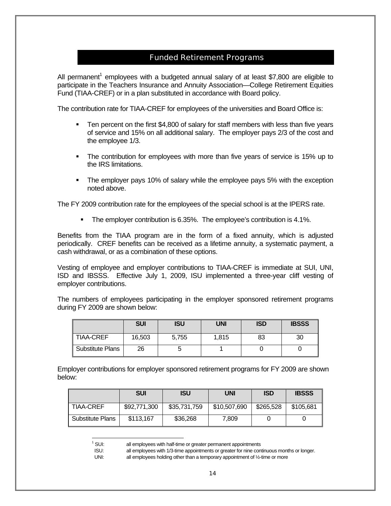# Funded Retirement Programs

All permanent<sup>1</sup> employees with a budgeted annual salary of at least \$7,800 are eligible to participate in the Teachers Insurance and Annuity Association—College Retirement Equities Fund (TIAA-CREF) or in a plan substituted in accordance with Board policy.

The contribution rate for TIAA-CREF for employees of the universities and Board Office is:

- Ten percent on the first \$4,800 of salary for staff members with less than five years of service and 15% on all additional salary. The employer pays 2/3 of the cost and the employee 1/3.
- The contribution for employees with more than five years of service is 15% up to the IRS limitations.
- The employer pays 10% of salary while the employee pays 5% with the exception noted above.

The FY 2009 contribution rate for the employees of the special school is at the IPERS rate.

**The employer contribution is 6.35%. The employee's contribution is 4.1%.** 

Benefits from the TIAA program are in the form of a fixed annuity, which is adjusted periodically. CREF benefits can be received as a lifetime annuity, a systematic payment, a cash withdrawal, or as a combination of these options.

Vesting of employee and employer contributions to TIAA-CREF is immediate at SUI, UNI, ISD and IBSSS. Effective July 1, 2009, ISU implemented a three-year cliff vesting of employer contributions.

The numbers of employees participating in the employer sponsored retirement programs during FY 2009 are shown below:

|                  | <b>SUI</b> | ISU   | <b>UNI</b> | <b>ISD</b> | <b>IBSSS</b> |
|------------------|------------|-------|------------|------------|--------------|
| <b>TIAA-CREF</b> | 16,503     | 5,755 | 1,815      | 83         | 30           |
| Substitute Plans | 26         |       |            |            |              |

Employer contributions for employer sponsored retirement programs for FY 2009 are shown below:

|                  | <b>SUI</b>   | ISU          | UNI          | ISD       | <b>IBSSS</b> |
|------------------|--------------|--------------|--------------|-----------|--------------|
| <b>TIAA-CREF</b> | \$92,771,300 | \$35,731,759 | \$10,507,690 | \$265,528 | \$105,681    |
| Substitute Plans | \$113,167    | \$36,268     | 7.809        |           |              |

 $1$  SUI: all employees with half-time or greater permanent appointments

l

ISU: all employees with 1/3-time appointments or greater for nine continuous months or longer.

UNI: all employees holding other than a temporary appointment of 1/2-time or more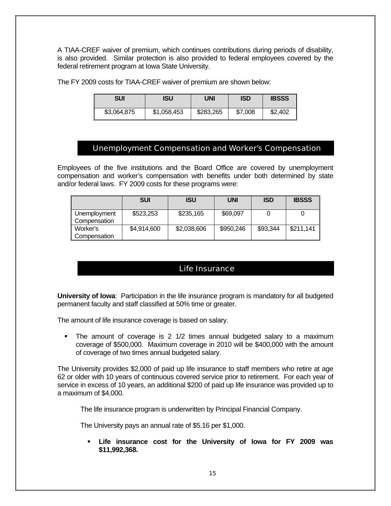A TIAA-CREF waiver of premium, which continues contributions during periods of disability, is also provided. Similar protection is also provided to federal employees covered by the federal retirement program at Iowa State University.

The FY 2009 costs for TIAA-CREF waiver of premium are shown below:

| SUI         | ISU         | UNI       | <b>ISD</b> | <b>IBSSS</b> |
|-------------|-------------|-----------|------------|--------------|
| \$3,064,875 | \$1,058,453 | \$283,265 | \$7,008    | \$2,402      |

#### Unemployment Compensation and Worker's Compensation

Employees of the five institutions and the Board Office are covered by unemployment compensation and worker's compensation with benefits under both determined by state and/or federal laws. FY 2009 costs for these programs were:

|                              | <b>SUI</b>  | <b>ISU</b>  | <b>UNI</b> | <b>ISD</b> | <b>IBSSS</b> |
|------------------------------|-------------|-------------|------------|------------|--------------|
| Unemployment<br>Compensation | \$523,253   | \$235,165   | \$69,097   |            |              |
| Worker's<br>Compensation     | \$4,914,600 | \$2,038,606 | \$950,246  | \$93,344   | \$211,141    |

### Life Insurance

**University of Iowa**: Participation in the life insurance program is mandatory for all budgeted permanent faculty and staff classified at 50% time or greater.

The amount of life insurance coverage is based on salary.

 The amount of coverage is 2 1/2 times annual budgeted salary to a maximum coverage of \$500,000. Maximum coverage in 2010 will be \$400,000 with the amount of coverage of two times annual budgeted salary.

The University provides \$2,000 of paid up life insurance to staff members who retire at age 62 or older with 10 years of continuous covered service prior to retirement. For each year of service in excess of 10 years, an additional \$200 of paid up life insurance was provided up to a maximum of \$4,000.

The life insurance program is underwritten by Principal Financial Company.

The University pays an annual rate of \$5.16 per \$1,000.

 **Life insurance cost for the University of Iowa for FY 2009 was \$11,992,368.**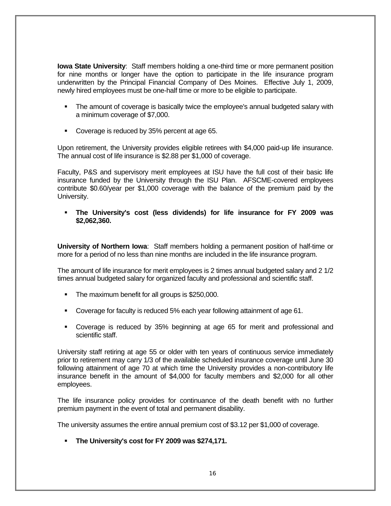**Iowa State University**: Staff members holding a one-third time or more permanent position for nine months or longer have the option to participate in the life insurance program underwritten by the Principal Financial Company of Des Moines. Effective July 1, 2009, newly hired employees must be one-half time or more to be eligible to participate.

- The amount of coverage is basically twice the employee's annual budgeted salary with a minimum coverage of \$7,000.
- Coverage is reduced by 35% percent at age 65.

Upon retirement, the University provides eligible retirees with \$4,000 paid-up life insurance. The annual cost of life insurance is \$2.88 per \$1,000 of coverage.

Faculty, P&S and supervisory merit employees at ISU have the full cost of their basic life insurance funded by the University through the ISU Plan. AFSCME-covered employees contribute \$0.60/year per \$1,000 coverage with the balance of the premium paid by the University.

 **The University's cost (less dividends) for life insurance for FY 2009 was \$2,062,360.** 

**University of Northern Iowa**: Staff members holding a permanent position of half-time or more for a period of no less than nine months are included in the life insurance program.

The amount of life insurance for merit employees is 2 times annual budgeted salary and 2 1/2 times annual budgeted salary for organized faculty and professional and scientific staff.

- **The maximum benefit for all groups is \$250,000.**
- Coverage for faculty is reduced 5% each year following attainment of age 61.
- Coverage is reduced by 35% beginning at age 65 for merit and professional and scientific staff.

University staff retiring at age 55 or older with ten years of continuous service immediately prior to retirement may carry 1/3 of the available scheduled insurance coverage until June 30 following attainment of age 70 at which time the University provides a non-contributory life insurance benefit in the amount of \$4,000 for faculty members and \$2,000 for all other employees.

The life insurance policy provides for continuance of the death benefit with no further premium payment in the event of total and permanent disability.

The university assumes the entire annual premium cost of \$3.12 per \$1,000 of coverage.

**The University's cost for FY 2009 was \$274,171.**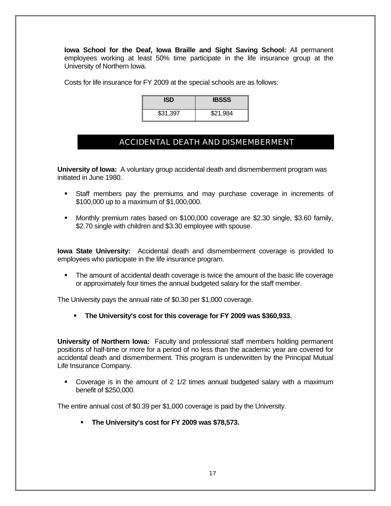**Iowa School for the Deaf, Iowa Braille and Sight Saving School:** All permanent employees working at least 50% time participate in the life insurance group at the University of Northern Iowa.

Costs for life insurance for FY 2009 at the special schools are as follows:

| ISD      | <b>IBSSS</b> |
|----------|--------------|
| \$31,397 | \$21,984     |

# ACCIDENTAL DEATH AND DISMEMBERMENT

**University of Iowa:** A voluntary group accidental death and dismemberment program was initiated in June 1980.

- Staff members pay the premiums and may purchase coverage in increments of \$100,000 up to a maximum of \$1,000,000.
- Monthly premium rates based on \$100,000 coverage are \$2.30 single, \$3.60 family, \$2.70 single with children and \$3.30 employee with spouse.

**Iowa State University:** Accidental death and dismemberment coverage is provided to employees who participate in the life insurance program.

• The amount of accidental death coverage is twice the amount of the basic life coverage or approximately four times the annual budgeted salary for the staff member.

The University pays the annual rate of \$0.30 per \$1,000 coverage.

**The University's cost for this coverage for FY 2009 was \$360,933.** 

**University of Northern Iowa:** Faculty and professional staff members holding permanent positions of half-time or more for a period of no less than the academic year are covered for accidental death and dismemberment. This program is underwritten by the Principal Mutual Life Insurance Company.

 Coverage is in the amount of 2 1/2 times annual budgeted salary with a maximum benefit of \$250,000.

The entire annual cost of \$0.39 per \$1,000 coverage is paid by the University.

**The University's cost for FY 2009 was \$78,573.**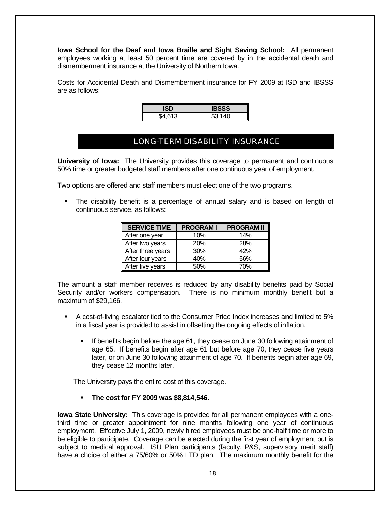**Iowa School for the Deaf and Iowa Braille and Sight Saving School:** All permanent employees working at least 50 percent time are covered by in the accidental death and dismemberment insurance at the University of Northern Iowa.

Costs for Accidental Death and Dismemberment insurance for FY 2009 at ISD and IBSSS are as follows:

|         | 555     |
|---------|---------|
| \$4.613 | \$3,140 |

# LONG-TERM DISABILITY INSURANCE

**University of Iowa:** The University provides this coverage to permanent and continuous 50% time or greater budgeted staff members after one continuous year of employment.

Two options are offered and staff members must elect one of the two programs.

 The disability benefit is a percentage of annual salary and is based on length of continuous service, as follows:

| <b>SERVICE TIME</b> | <b>PROGRAMI</b> | <b>PROGRAM II</b> |
|---------------------|-----------------|-------------------|
| After one year      | 10%             | 14%               |
| After two years     | <b>20%</b>      | 28%               |
| After three years   | 30%             | 42%               |
| After four years    | 40%             | 56%               |
| After five years    | 50%             | 70%               |

The amount a staff member receives is reduced by any disability benefits paid by Social Security and/or workers compensation. There is no minimum monthly benefit but a maximum of \$29,166.

- A cost-of-living escalator tied to the Consumer Price Index increases and limited to 5% in a fiscal year is provided to assist in offsetting the ongoing effects of inflation.
	- If benefits begin before the age 61, they cease on June 30 following attainment of age 65. If benefits begin after age 61 but before age 70, they cease five years later, or on June 30 following attainment of age 70. If benefits begin after age 69, they cease 12 months later.

The University pays the entire cost of this coverage.

**The cost for FY 2009 was \$8,814,546.** 

**Iowa State University:** This coverage is provided for all permanent employees with a onethird time or greater appointment for nine months following one year of continuous employment. Effective July 1, 2009, newly hired employees must be one-half time or more to be eligible to participate. Coverage can be elected during the first year of employment but is subject to medical approval. ISU Plan participants (faculty, P&S, supervisory merit staff) have a choice of either a 75/60% or 50% LTD plan. The maximum monthly benefit for the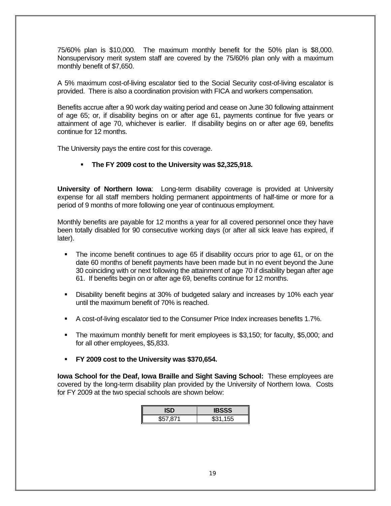75/60% plan is \$10,000. The maximum monthly benefit for the 50% plan is \$8,000. Nonsupervisory merit system staff are covered by the 75/60% plan only with a maximum monthly benefit of \$7,650.

A 5% maximum cost-of-living escalator tied to the Social Security cost-of-living escalator is provided. There is also a coordination provision with FICA and workers compensation.

Benefits accrue after a 90 work day waiting period and cease on June 30 following attainment of age 65; or, if disability begins on or after age 61, payments continue for five years or attainment of age 70, whichever is earlier. If disability begins on or after age 69, benefits continue for 12 months.

The University pays the entire cost for this coverage.

#### **The FY 2009 cost to the University was \$2,325,918.**

**University of Northern Iowa**: Long-term disability coverage is provided at University expense for all staff members holding permanent appointments of half-time or more for a period of 9 months of more following one year of continuous employment.

Monthly benefits are payable for 12 months a year for all covered personnel once they have been totally disabled for 90 consecutive working days (or after all sick leave has expired, if later).

- The income benefit continues to age 65 if disability occurs prior to age 61, or on the date 60 months of benefit payments have been made but in no event beyond the June 30 coinciding with or next following the attainment of age 70 if disability began after age 61. If benefits begin on or after age 69, benefits continue for 12 months.
- Disability benefit begins at 30% of budgeted salary and increases by 10% each year until the maximum benefit of 70% is reached.
- A cost-of-living escalator tied to the Consumer Price Index increases benefits 1.7%.
- The maximum monthly benefit for merit employees is \$3,150; for faculty, \$5,000; and for all other employees, \$5,833.
- **FY 2009 cost to the University was \$370,654.**

**Iowa School for the Deaf, Iowa Braille and Sight Saving School:** These employees are covered by the long-term disability plan provided by the University of Northern Iowa. Costs for FY 2009 at the two special schools are shown below:

|          | IBSSS    |
|----------|----------|
| \$57,871 | \$31,155 |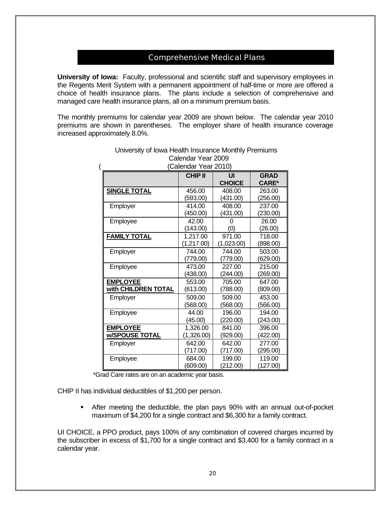# Comprehensive Medical Plans

**University of Iowa:** Faculty, professional and scientific staff and supervisory employees in the Regents Merit System with a permanent appointment of half-time or more are offered a choice of health insurance plans. The plans include a selection of comprehensive and managed care health insurance plans, all on a minimum premium basis.

The monthly premiums for calendar year 2009 are shown below. The calendar year 2010 premiums are shown in parentheses. The employer share of health insurance coverage increased approximately 8.0%.

| (Calendar Year 2010)  |                |                     |                             |  |  |
|-----------------------|----------------|---------------------|-----------------------------|--|--|
|                       | <b>CHIP II</b> | UI<br><b>CHOICE</b> | <b>GRAD</b><br><b>CARE*</b> |  |  |
| <b>SINGLE TOTAL</b>   | 456.00         | 408.00              | 263.00                      |  |  |
|                       | (593.00)       | (431.00)            | (256.00)                    |  |  |
| Employer              | 414.00         | 408.00              | 237.00                      |  |  |
|                       | (450.00)       | (431.00)            | (230.00)                    |  |  |
| Employee              | 42.00          | O                   | 26.00                       |  |  |
|                       | (143.00)       | (0)                 | (26.00)                     |  |  |
| <b>FAMILY TOTAL</b>   | 1,217.00       | 971.00              | 718.00                      |  |  |
|                       | (1,217.00)     | (1,023.00)          | (898.00)                    |  |  |
| Employer              | 744.00         | 744.00              | 503.00                      |  |  |
|                       | (779.00)       | (779.00)            | (629.00)                    |  |  |
| Employee              | 473.00         | 227.00              | 215.00                      |  |  |
|                       | (438.00)       | (244.00)            | (269.00)                    |  |  |
| <b>EMPLOYEE</b>       | 553.00         | 705.00              | 647.00                      |  |  |
| with CHILDREN TOTAL   | (613.00)       | (788.00)            | (809.00)                    |  |  |
| Employer              | 509.00         | 509.00              | 453.00                      |  |  |
|                       | (568.00)       | (568.00)            | (566.00)                    |  |  |
| Employee              | 44.00          | 196.00              | 194.00                      |  |  |
|                       | (45.00)        | (220.00)            | (243.00)                    |  |  |
| <b>EMPLOYEE</b>       | 1,326.00       | 841.00              | 396.00                      |  |  |
| <b>w/SPOUSE TOTAL</b> | (1,326.00)     | (929.00)            | (422.00)                    |  |  |
| Employer              | 642.00         | 642.00              | 277.00                      |  |  |
|                       | (717.00)       | (717.00)            | (295.00)                    |  |  |
| Employee              | 684.00         | 199.00              | 119.00                      |  |  |
|                       | (609.00)       | (212.00)            | (127.00)                    |  |  |

# University of Iowa Health Insurance Monthly Premiums Calendar Year 2009

\*Grad Care rates are on an academic year basis.

CHIP II has individual deductibles of \$1,200 per person.

 After meeting the deductible, the plan pays 90% with an annual out-of-pocket maximum of \$4,200 for a single contract and \$6,300 for a family contract.

UI CHOICE, a PPO product, pays 100% of any combination of covered charges incurred by the subscriber in excess of \$1,700 for a single contract and \$3,400 for a family contract in a calendar year.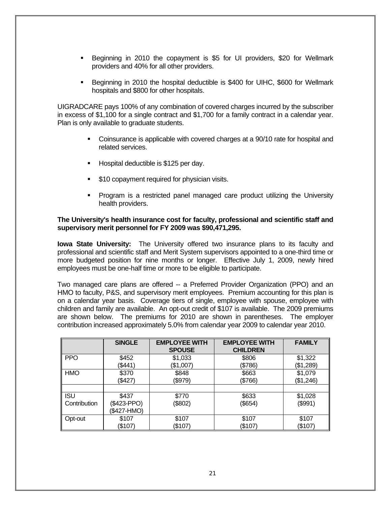- Beginning in 2010 the copayment is \$5 for UI providers, \$20 for Wellmark providers and 40% for all other providers.
- Beginning in 2010 the hospital deductible is \$400 for UIHC, \$600 for Wellmark hospitals and \$800 for other hospitals.

UIGRADCARE pays 100% of any combination of covered charges incurred by the subscriber in excess of \$1,100 for a single contract and \$1,700 for a family contract in a calendar year. Plan is only available to graduate students.

- Coinsurance is applicable with covered charges at a 90/10 rate for hospital and related services.
- Hospital deductible is \$125 per day.
- \$10 copayment required for physician visits.
- Program is a restricted panel managed care product utilizing the University health providers.

#### **The University's health insurance cost for faculty, professional and scientific staff and supervisory merit personnel for FY 2009 was \$90,471,295.**

**Iowa State University:** The University offered two insurance plans to its faculty and professional and scientific staff and Merit System supervisors appointed to a one-third time or more budgeted position for nine months or longer. Effective July 1, 2009, newly hired employees must be one-half time or more to be eligible to participate.

Two managed care plans are offered -- a Preferred Provider Organization (PPO) and an HMO to faculty, P&S, and supervisory merit employees. Premium accounting for this plan is on a calendar year basis. Coverage tiers of single, employee with spouse, employee with children and family are available. An opt-out credit of \$107 is available. The 2009 premiums are shown below. The premiums for 2010 are shown in parentheses. The employer contribution increased approximately 5.0% from calendar year 2009 to calendar year 2010.

|                            | <b>SINGLE</b>                       | <b>EMPLOYEE WITH</b><br><b>SPOUSE</b> | <b>EMPLOYEE WITH</b><br><b>CHILDREN</b> | <b>FAMILY</b>      |
|----------------------------|-------------------------------------|---------------------------------------|-----------------------------------------|--------------------|
| <b>PPO</b>                 | \$452                               | \$1,033                               | \$806                                   | \$1,322            |
|                            | (\$441)                             | (\$1,007)                             | (\$786)                                 | (\$1,289)          |
| <b>HMO</b>                 | \$370                               | \$848                                 | \$663                                   | \$1,079            |
|                            | (\$427)                             | (\$979)                               | (\$766)                                 | (\$1,246)          |
| <b>ISU</b><br>Contribution | \$437<br>(\$423-PPO)<br>(\$427-HMO) | \$770<br>(\$802)                      | \$633<br>(\$654)                        | \$1,028<br>(\$991) |
| Opt-out                    | \$107                               | \$107                                 | \$107                                   | \$107              |
|                            | (\$107)                             | (\$107)                               | (\$107)                                 | (\$107)            |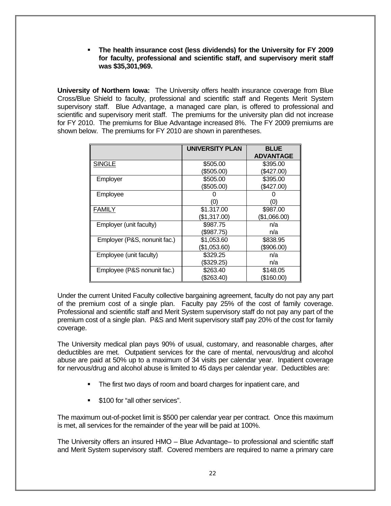**The health insurance cost (less dividends) for the University for FY 2009 for faculty, professional and scientific staff, and supervisory merit staff was \$35,301,969.** 

**University of Northern Iowa:** The University offers health insurance coverage from Blue Cross/Blue Shield to faculty, professional and scientific staff and Regents Merit System supervisory staff. Blue Advantage, a managed care plan, is offered to professional and scientific and supervisory merit staff. The premiums for the university plan did not increase for FY 2010. The premiums for Blue Advantage increased 8%. The FY 2009 premiums are shown below. The premiums for FY 2010 are shown in parentheses.

|                              | UNIVERSITY PLAN | <b>BLUE</b><br><b>ADVANTAGE</b> |
|------------------------------|-----------------|---------------------------------|
| <b>SINGLE</b>                | \$505.00        | \$395.00                        |
|                              | (\$505.00)      | (\$427.00)                      |
| Employer                     | \$505.00        | \$395.00                        |
|                              | (\$505.00)      | (\$427.00)                      |
| Employee                     |                 |                                 |
|                              | (0)             | (0)                             |
| <b>FAMILY</b>                | \$1.317.00      | \$987.00                        |
|                              | (\$1,317.00)    | (\$1,066.00)                    |
| Employer (unit faculty)      | \$987.75        | n/a                             |
|                              | \$987.75        | n/a                             |
| Employer (P&S, nonunit fac.) | \$1,053.60      | \$838.95                        |
|                              | (\$1,053.60)    | \$906.00                        |
| Employee (unit faculty)      | \$329.25        | n/a                             |
|                              | (\$329.25)      | n/a                             |
| Employee (P&S nonunit fac.)  | \$263.40        | \$148.05                        |
|                              | (\$263.40)      | (\$160.00)                      |

Under the current United Faculty collective bargaining agreement, faculty do not pay any part of the premium cost of a single plan. Faculty pay 25% of the cost of family coverage. Professional and scientific staff and Merit System supervisory staff do not pay any part of the premium cost of a single plan. P&S and Merit supervisory staff pay 20% of the cost for family coverage.

The University medical plan pays 90% of usual, customary, and reasonable charges, after deductibles are met. Outpatient services for the care of mental, nervous/drug and alcohol abuse are paid at 50% up to a maximum of 34 visits per calendar year. Inpatient coverage for nervous/drug and alcohol abuse is limited to 45 days per calendar year. Deductibles are:

- The first two days of room and board charges for inpatient care, and
- \$100 for "all other services".

The maximum out-of-pocket limit is \$500 per calendar year per contract. Once this maximum is met, all services for the remainder of the year will be paid at 100%.

The University offers an insured HMO – Blue Advantage– to professional and scientific staff and Merit System supervisory staff. Covered members are required to name a primary care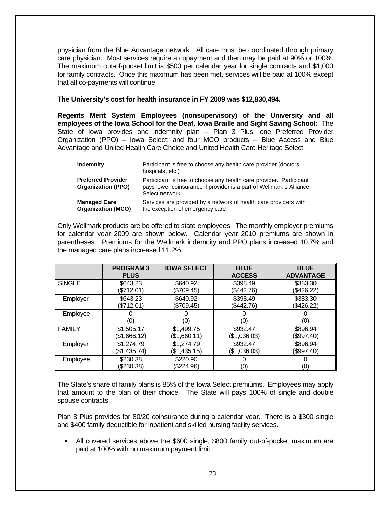physician from the Blue Advantage network. All care must be coordinated through primary care physician. Most services require a copayment and then may be paid at 90% or 100%. The maximum out-of-pocket limit is \$500 per calendar year for single contracts and \$1,000 for family contracts. Once this maximum has been met, services will be paid at 100% except that all co-payments will continue.

#### **The University's cost for health insurance in FY 2009 was \$12,830,494.**

**Regents Merit System Employees (nonsupervisory) of the University and all employees of the Iowa School for the Deaf, Iowa Braille and Sight Saving School:** The State of Iowa provides one indemnity plan -- Plan 3 Plus; one Preferred Provider Organization (PPO) – Iowa Select; and four MCO products -- Blue Access and Blue Advantage and United Health Care Choice and United Health Care Heritage Select.

| Indemnity                                              | Participant is free to choose any health care provider (doctors,<br>hospitals, etc.)                                                                          |
|--------------------------------------------------------|---------------------------------------------------------------------------------------------------------------------------------------------------------------|
| <b>Preferred Provider</b><br><b>Organization (PPO)</b> | Participant is free to choose any health care provider. Participant<br>pays lower coinsurance if provider is a part of Wellmark's Alliance<br>Select network. |
| <b>Managed Care</b><br><b>Organization (MCO)</b>       | Services are provided by a network of health care providers with<br>the exception of emergency care.                                                          |

Only Wellmark products are be offered to state employees. The monthly employer premiums for calendar year 2009 are shown below. Calendar year 2010 premiums are shown in parentheses. Premiums for the Wellmark indemnity and PPO plans increased 10.7% and the managed care plans increased 11.2%.

|               | <b>PROGRAM3</b> | <b>IOWA SELECT</b> | <b>BLUE</b>   | <b>BLUE</b>      |
|---------------|-----------------|--------------------|---------------|------------------|
|               | <b>PLUS</b>     |                    | <b>ACCESS</b> | <b>ADVANTAGE</b> |
| <b>SINGLE</b> | \$643.23        | \$640.92           | \$398.49      | \$383.30         |
|               | (\$712.01)      | (\$709.45)         | (\$442.76)    | (\$426.22)       |
| Employer      | \$643.23        | \$640.92           | \$398.49      | \$383.30         |
|               | (\$712.01)      | (\$709.45)         | (\$442.76)    | (\$426.22)       |
| Employee      |                 |                    |               |                  |
|               | (0)             | (0)                | (0)           | (0)              |
| <b>FAMILY</b> | \$1,505.17      | \$1,499.75         | \$932.47      | \$896.94         |
|               | (\$1,666.12)    | (\$1,660.11)       | (\$1,036.03)  | (\$997.40)       |
| Employer      | \$1,274.79      | \$1,274.79         | \$932.47      | \$896.94         |
|               | (\$1,435.74)    | (\$1,435.15)       | (\$1,036.03)  | (\$997.40)       |
| Employee      | \$230.38        | \$220.90           |               |                  |
|               | (\$230.38)      | (\$224.96)         | (0)           | (0)              |

The State's share of family plans is 85% of the Iowa Select premiums. Employees may apply that amount to the plan of their choice. The State will pays 100% of single and double spouse contracts.

Plan 3 Plus provides for 80/20 coinsurance during a calendar year. There is a \$300 single and \$400 family deductible for inpatient and skilled nursing facility services.

 All covered services above the \$600 single, \$800 family out-of-pocket maximum are paid at 100% with no maximum payment limit.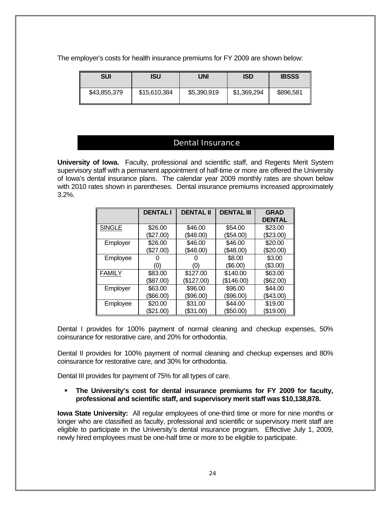The employer's costs for health insurance premiums for FY 2009 are shown below:

| <b>SUI</b>   | <b>ISU</b>   | UNI         | <b>ISD</b>  | <b>IBSSS</b> |
|--------------|--------------|-------------|-------------|--------------|
| \$43,855,379 | \$15,610,384 | \$5,390,919 | \$1,369,294 | \$896,581    |

# Dental Insurance

**University of Iowa.** Faculty, professional and scientific staff, and Regents Merit System supervisory staff with a permanent appointment of half-time or more are offered the University of Iowa's dental insurance plans. The calendar year 2009 monthly rates are shown below with 2010 rates shown in parentheses. Dental insurance premiums increased approximately 3.2%.

|               | <b>DENTAL I</b> | <b>DENTAL II</b> | <b>DENTAL III</b> | <b>GRAD</b><br><b>DENTAL</b> |
|---------------|-----------------|------------------|-------------------|------------------------------|
| <b>SINGLE</b> | \$26.00         | \$46.00          | \$54.00           | \$23.00                      |
|               | \$27.00         | (\$48.00)        | (\$54.00)         | \$23.00                      |
| Employer      | \$26.00         | \$46.00          | \$46.00           | \$20.00                      |
|               | (\$27.00)       | (\$48.00)        | \$48.00           | \$20.00                      |
| Employee      |                 |                  | \$8.00            | \$3.00                       |
|               | (0)             | (0)              | (\$6.00)          | (\$3.00)                     |
| <b>FAMILY</b> | \$83.00         | \$127.00         | \$140.00          | \$63.00                      |
|               | (\$87.00)       | \$127.00         | (\$146.00)        | (\$62.00)                    |
| Employer      | \$63.00         | \$96.00          | \$96.00           | \$44.00                      |
|               | \$66.00         | \$96.00          | \$96.00           | \$43.00                      |
| Employee      | \$20.00         | \$31.00          | \$44.00           | \$19.00                      |
|               | (\$21.00)       | (\$31.00)        | \$50.00           | \$19.00                      |

Dental I provides for 100% payment of normal cleaning and checkup expenses, 50% coinsurance for restorative care, and 20% for orthodontia.

Dental II provides for 100% payment of normal cleaning and checkup expenses and 80% coinsurance for restorative care, and 30% for orthodontia.

Dental III provides for payment of 75% for all types of care.

 **The University's cost for dental insurance premiums for FY 2009 for faculty, professional and scientific staff, and supervisory merit staff was \$10,138,878.** 

**Iowa State University:** All regular employees of one-third time or more for nine months or longer who are classified as faculty, professional and scientific or supervisory merit staff are eligible to participate in the University's dental insurance program. Effective July 1, 2009, newly hired employees must be one-half time or more to be eligible to participate.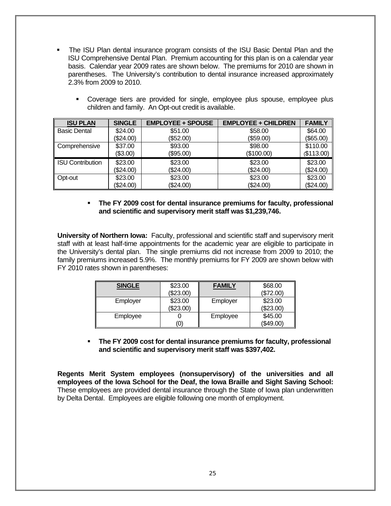The ISU Plan dental insurance program consists of the ISU Basic Dental Plan and the ISU Comprehensive Dental Plan. Premium accounting for this plan is on a calendar year basis. Calendar year 2009 rates are shown below. The premiums for 2010 are shown in parentheses. The University's contribution to dental insurance increased approximately 2.3% from 2009 to 2010.

| • Coverage tiers are provided for single, employee plus spouse, employee plus |  |  |  |  |  |
|-------------------------------------------------------------------------------|--|--|--|--|--|
| children and family. An Opt-out credit is available.                          |  |  |  |  |  |

| <b>ISU PLAN</b>         | <b>SINGLE</b> | <b>EMPLOYEE + SPOUSE</b> | <b>EMPLOYEE + CHILDREN</b> | <b>FAMILY</b> |
|-------------------------|---------------|--------------------------|----------------------------|---------------|
| <b>Basic Dental</b>     | \$24.00       | \$51.00                  | \$58.00                    | \$64.00       |
|                         | (\$24.00)     | (\$52.00)                | (\$59.00)                  | (\$65.00)     |
| Comprehensive           | \$37.00       | \$93.00                  | \$98.00                    | \$110.00      |
|                         | (\$3.00)      | (\$95.00)                | (\$100.00)                 | $(\$113.00)$  |
| <b>ISU Contribution</b> | \$23.00       | \$23.00                  | \$23.00                    | \$23.00       |
|                         | (\$24.00)     | (\$24.00)                | (\$24.00)                  | (\$24.00)     |
| Opt-out                 | \$23.00       | \$23.00                  | \$23.00                    | \$23.00       |
|                         | (\$24.00)     | (\$24.00)                | (\$24.00)                  | (\$24.00)     |

#### **The FY 2009 cost for dental insurance premiums for faculty, professional and scientific and supervisory merit staff was \$1,239,746.**

**University of Northern Iowa:** Faculty, professional and scientific staff and supervisory merit staff with at least half-time appointments for the academic year are eligible to participate in the University's dental plan. The single premiums did not increase from 2009 to 2010; the family premiums increased 5.9%. The monthly premiums for FY 2009 are shown below with FY 2010 rates shown in parentheses:

| <b>SINGLE</b> | \$23.00<br>(\$23.00) | <b>FAMILY</b> | \$68.00<br>(\$72.00) |
|---------------|----------------------|---------------|----------------------|
| Employer      | \$23.00<br>(\$23.00) | Employer      | \$23.00<br>(\$23.00) |
| Employee      | (0                   | Employee      | \$45.00<br>(\$49.00) |

 **The FY 2009 cost for dental insurance premiums for faculty, professional and scientific and supervisory merit staff was \$397,402.** 

**Regents Merit System employees (nonsupervisory) of the universities and all employees of the Iowa School for the Deaf, the Iowa Braille and Sight Saving School:**  These employees are provided dental insurance through the State of Iowa plan underwritten by Delta Dental. Employees are eligible following one month of employment.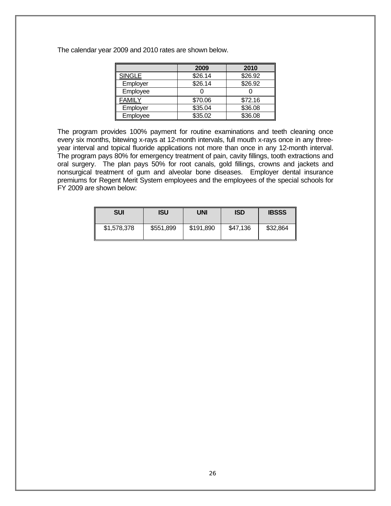The calendar year 2009 and 2010 rates are shown below.

|               | 2009    | 2010    |
|---------------|---------|---------|
| <b>SINGLE</b> | \$26.14 | \$26.92 |
| Employer      | \$26.14 | \$26.92 |
| Employee      |         |         |
| <b>FAMILY</b> | \$70.06 | \$72.16 |
| Employer      | \$35.04 | \$36.08 |
| Employee      | \$35.02 | \$36.08 |

The program provides 100% payment for routine examinations and teeth cleaning once every six months, bitewing x-rays at 12-month intervals, full mouth x-rays once in any threeyear interval and topical fluoride applications not more than once in any 12-month interval. The program pays 80% for emergency treatment of pain, cavity fillings, tooth extractions and oral surgery. The plan pays 50% for root canals, gold fillings, crowns and jackets and nonsurgical treatment of gum and alveolar bone diseases. Employer dental insurance premiums for Regent Merit System employees and the employees of the special schools for FY 2009 are shown below:

| <b>SUI</b>  | <b>ISU</b> | UNI       | <b>ISD</b> | <b>IBSSS</b> |
|-------------|------------|-----------|------------|--------------|
| \$1,578,378 | \$551,899  | \$191,890 | \$47,136   | \$32,864     |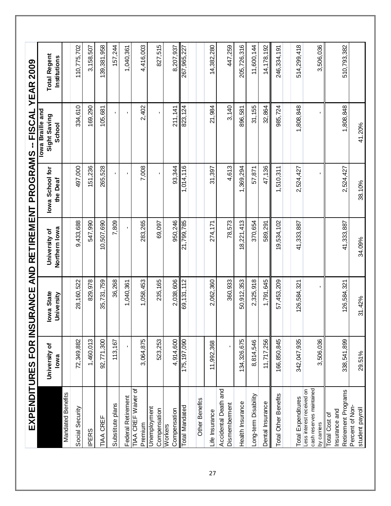| <b>EXPENDITURES</b>                                                  |                       | <b>AND</b><br>FOR INSURANCE     | <b>RETIREMENT</b>              | PROGRAMS                    | FISCAL<br>$\mathbf{I}$                     | <b>YEAR 2009</b>                    |
|----------------------------------------------------------------------|-----------------------|---------------------------------|--------------------------------|-----------------------------|--------------------------------------------|-------------------------------------|
|                                                                      | University of<br>lowa | <b>Iowa State</b><br>University | Northern lowa<br>University of | lowa School for<br>the Deaf | lowa Braille and<br>Sight Saving<br>School | <b>Total Regent</b><br>Institutions |
| <b>Mandated Benefits</b>                                             |                       |                                 |                                |                             |                                            |                                     |
| Social Security                                                      | 72,349,882            | 28,160,522                      | 9,433,688                      | 497,000                     | 334,610                                    | 110,775,702                         |
| <b>IPERS</b>                                                         | 1,460,013             | 829,978                         | 547,990                        | 151,236                     | 169,290                                    | 3,158,507                           |
| <b>TIAA CREF</b>                                                     | 92,771,300            | 35,731,759                      | 10,507,690                     | 265,528                     | 105,681                                    | 139,381,958                         |
| Substitute plans                                                     | 113,167               | 36,268                          | 7,809                          |                             |                                            | 157,244                             |
| Federal Retirement                                                   | f.                    | 1,040,361                       | $\mathbf{L}$                   | $\mathbf{I}$                | $\mathbf{I}$                               | 1,040,361                           |
| TIAA CREF Waiver of<br>Premium                                       | 3,064,875             | 1,058,453                       | 283,265                        | 7,008                       | 2,402                                      | 4,416,003                           |
| Unemployment<br>Compensation                                         | 523,253               | 235,165                         | 69,097                         | r.                          | $\mathbf{L}$                               | 827,515                             |
| Compensation<br>Workers                                              | 4,914,600             | 2,038,606                       | 950,246                        | 93,344                      | 211, 141                                   | 8,207,937                           |
| <b>Total Mandated</b>                                                | 175, 197, 090         | 69,131,112                      | 21,799,785                     | 1,014,116                   | 823, 124                                   | 267,965,227                         |
| Other Benefits                                                       |                       |                                 |                                |                             |                                            |                                     |
| Life Insurance                                                       | 11,992,368            | 2,062,360                       | 274,171                        | 31,397                      | 21,984                                     | 14,382,280                          |
| Accidental Death and<br>Dismemberment                                |                       | 360,933                         | 78,573                         | 4,613                       | 3,140                                      | 447,259                             |
| Health Insurance                                                     | 134,326,675           | 50,912,353                      | 18,221,413                     | 1,369,294                   | 896,581                                    | 205,726,316                         |
| Long-term Disability                                                 | 8,814,546             | 2,325,918                       | 370,654                        | 57,871                      | 31,155                                     | 11,600,144                          |
| Dental Insurance                                                     | 11,717,256            | 1,791,645                       | 589,291                        | 47,136                      | 32,864                                     | 14,178,192                          |
| <b>Total Other Benefits</b>                                          | 166,850,845           | 57,453,209                      | 19,534,102                     | 1,510,311                   | 985,724                                    | 246, 334, 191                       |
| <b>Total Expenditures</b>                                            | 342,047,935           | 126,584,321                     | 41,333,887                     | 2,524,427                   | 1,808,848                                  | 514,299,418                         |
| cash reserves maintained<br>Less interest received on<br>by carriers | 3,506,036             | f,                              |                                | f.                          | f,                                         | 3,506,036                           |
| Retirement Programs<br>Insurance and<br>Total Cost of                | 338,541,899           | 126,584,321                     | 41,333,887                     | 2,524,427                   | 1,808,848                                  | 510,793,382                         |
| Percent of Non-<br>student payroll                                   | 29.51%                | 31.42%                          | 34.09%                         | 38.10%                      | 41.20%                                     |                                     |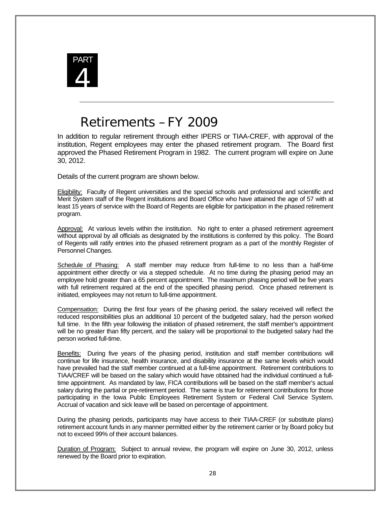

# Retirements – FY 2009

In addition to regular retirement through either IPERS or TIAA-CREF, with approval of the institution, Regent employees may enter the phased retirement program. The Board first approved the Phased Retirement Program in 1982. The current program will expire on June 30, 2012.

Details of the current program are shown below.

Eligibility: Faculty of Regent universities and the special schools and professional and scientific and Merit System staff of the Regent institutions and Board Office who have attained the age of 57 with at least 15 years of service with the Board of Regents are eligible for participation in the phased retirement program.

Approval: At various levels within the institution. No right to enter a phased retirement agreement without approval by all officials as designated by the institutions is conferred by this policy. The Board of Regents will ratify entries into the phased retirement program as a part of the monthly Register of Personnel Changes.

Schedule of Phasing: A staff member may reduce from full-time to no less than a half-time appointment either directly or via a stepped schedule. At no time during the phasing period may an employee hold greater than a 65 percent appointment. The maximum phasing period will be five years with full retirement required at the end of the specified phasing period. Once phased retirement is initiated, employees may not return to full-time appointment.

Compensation: During the first four years of the phasing period, the salary received will reflect the reduced responsibilities plus an additional 10 percent of the budgeted salary, had the person worked full time. In the fifth year following the initiation of phased retirement, the staff member's appointment will be no greater than fifty percent, and the salary will be proportional to the budgeted salary had the person worked full-time.

Benefits: During five years of the phasing period, institution and staff member contributions will continue for life insurance, health insurance, and disability insurance at the same levels which would have prevailed had the staff member continued at a full-time appointment. Retirement contributions to TIAA/CREF will be based on the salary which would have obtained had the individual continued a fulltime appointment. As mandated by law, FICA contributions will be based on the staff member's actual salary during the partial or pre-retirement period. The same is true for retirement contributions for those participating in the Iowa Public Employees Retirement System or Federal Civil Service System. Accrual of vacation and sick leave will be based on percentage of appointment.

During the phasing periods, participants may have access to their TIAA-CREF (or substitute plans) retirement account funds in any manner permitted either by the retirement carrier or by Board policy but not to exceed 99% of their account balances.

Duration of Program: Subject to annual review, the program will expire on June 30, 2012, unless renewed by the Board prior to expiration.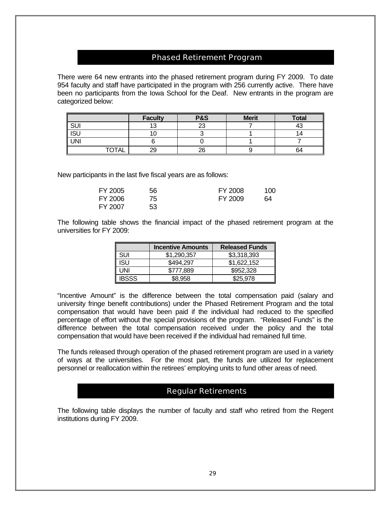### Phased Retirement Program

There were 64 new entrants into the phased retirement program during FY 2009. To date 954 faculty and staff have participated in the program with 256 currently active. There have been no participants from the Iowa School for the Deaf. New entrants in the program are categorized below:

|                 | <b>Faculty</b> | <b>P&amp;S</b> | <b>Merit</b> | <b>Total</b> |
|-----------------|----------------|----------------|--------------|--------------|
| SUI             |                | ົ              |              | 43           |
| $\parallel$ ISU |                |                |              |              |
| UNI             |                |                |              |              |
| <b>TOTAL</b>    | 29             | 26             |              | 64           |

New participants in the last five fiscal years are as follows:

| FY 2005 | 56  | FY 2008 | 100 |
|---------|-----|---------|-----|
| FY 2006 | 75. | FY 2009 | 64  |
| FY 2007 | 53  |         |     |

The following table shows the financial impact of the phased retirement program at the universities for FY 2009:

|       | <b>Incentive Amounts</b> | <b>Released Funds</b> |
|-------|--------------------------|-----------------------|
| SUI   | \$1,290,357              | \$3,318,393           |
| ISU   | \$494,297                | \$1,622,152           |
| JNI   | \$777,889                | \$952,328             |
| IBSSS | \$8.958                  | \$25.978              |

"Incentive Amount" is the difference between the total compensation paid (salary and university fringe benefit contributions) under the Phased Retirement Program and the total compensation that would have been paid if the individual had reduced to the specified percentage of effort without the special provisions of the program. "Released Funds" is the difference between the total compensation received under the policy and the total compensation that would have been received if the individual had remained full time.

The funds released through operation of the phased retirement program are used in a variety of ways at the universities. For the most part, the funds are utilized for replacement personnel or reallocation within the retirees' employing units to fund other areas of need.

### Regular Retirements

The following table displays the number of faculty and staff who retired from the Regent institutions during FY 2009.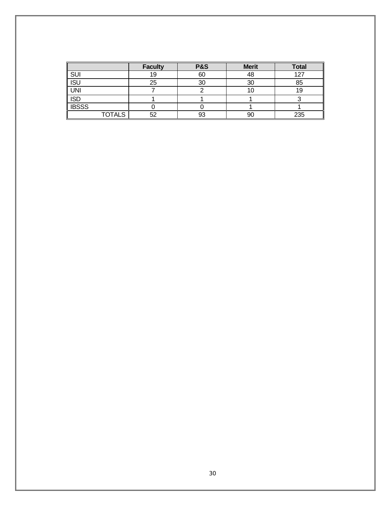|                         |               | <b>Faculty</b> | <b>P&amp;S</b> | <b>Merit</b> | <b>Total</b> |
|-------------------------|---------------|----------------|----------------|--------------|--------------|
| SUI                     |               | 19             | 60             | 48           | 127          |
| $\overline{ISU}$        |               | 25             | 30             | 30           | 85           |
| $\overline{\text{UNI}}$ |               |                |                |              | 19           |
| <b>ISD</b>              |               |                |                |              |              |
| <b>IBSSS</b>            |               |                |                |              |              |
|                         | <b>TOTALS</b> | 52             | 93             | 90           | 235          |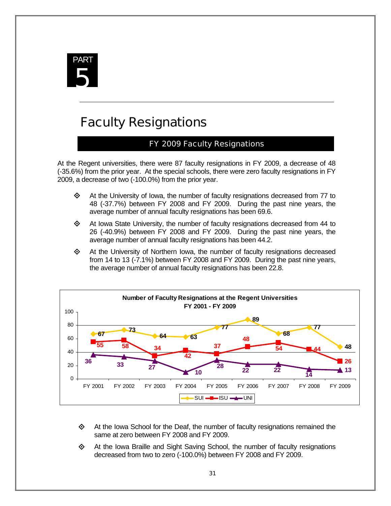

# Faculty Resignations

# FY 2009 Faculty Resignations

At the Regent universities, there were 87 faculty resignations in FY 2009, a decrease of 48 (-35.6%) from the prior year. At the special schools, there were zero faculty resignations in FY 2009, a decrease of two (-100.0%) from the prior year.

- $\diamond$  At the University of Iowa, the number of faculty resignations decreased from 77 to 48 (-37.7%) between FY 2008 and FY 2009. During the past nine years, the average number of annual faculty resignations has been 69.6.
- $\Leftrightarrow$  At Iowa State University, the number of faculty resignations decreased from 44 to 26 (-40.9%) between FY 2008 and FY 2009. During the past nine years, the average number of annual faculty resignations has been 44.2.
- $\Leftrightarrow$  At the University of Northern Iowa, the number of faculty resignations decreased from 14 to 13 (-7.1%) between FY 2008 and FY 2009. During the past nine years, the average number of annual faculty resignations has been 22.8.



- $\Leftrightarrow$  At the Iowa School for the Deaf, the number of faculty resignations remained the same at zero between FY 2008 and FY 2009.
- $\Leftrightarrow$  At the Iowa Braille and Sight Saving School, the number of faculty resignations decreased from two to zero (-100.0%) between FY 2008 and FY 2009.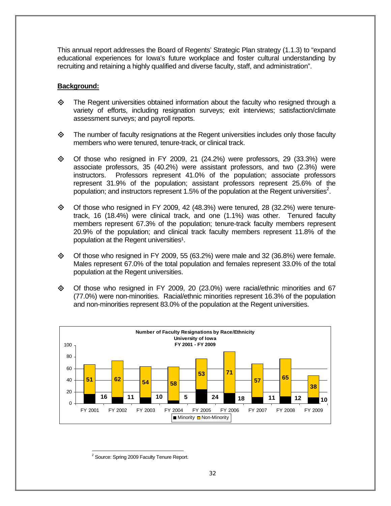This annual report addresses the Board of Regents' Strategic Plan strategy (1.1.3) to "expand educational experiences for Iowa's future workplace and foster cultural understanding by recruiting and retaining a highly qualified and diverse faculty, staff, and administration".

#### **Background:**

- $\Diamond$  The Regent universities obtained information about the faculty who resigned through a variety of efforts, including resignation surveys; exit interviews; satisfaction/climate assessment surveys; and payroll reports.
- $\diamond$  The number of faculty resignations at the Regent universities includes only those faculty members who were tenured, tenure-track, or clinical track.
- $\Diamond$  Of those who resigned in FY 2009, 21 (24.2%) were professors, 29 (33.3%) were associate professors, 35 (40.2%) were assistant professors, and two (2.3%) were instructors. Professors represent 41.0% of the population; associate professors represent 31.9% of the population; assistant professors represent 25.6% of the population; and instructors represent 1.5% of the population at the Regent universities<sup>2</sup>.
- Of those who resigned in FY 2009, 42 (48.3%) were tenured, 28 (32.2%) were tenuretrack, 16 (18.4%) were clinical track, and one (1.1%) was other. Tenured faculty members represent 67.3% of the population; tenure-track faculty members represent 20.9% of the population; and clinical track faculty members represent 11.8% of the population at the Regent universities<sup>1</sup>.
- $\diamond$  Of those who resigned in FY 2009, 55 (63.2%) were male and 32 (36.8%) were female. Males represent 67.0% of the total population and females represent 33.0% of the total population at the Regent universities.
- Of those who resigned in FY 2009, 20 (23.0%) were racial/ethnic minorities and 67 (77.0%) were non-minorities. Racial/ethnic minorities represent 16.3% of the population and non-minorities represent 83.0% of the population at the Regent universities.



l <sup>2</sup> Source: Spring 2009 Faculty Tenure Report.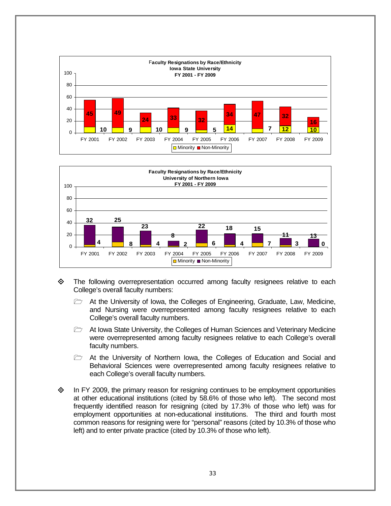



- The following overrepresentation occurred among faculty resignees relative to each College's overall faculty numbers:
	- $\triangleright$  At the University of Iowa, the Colleges of Engineering, Graduate, Law, Medicine, and Nursing were overrepresented among faculty resignees relative to each College's overall faculty numbers.
	- **2 At Iowa State University, the Colleges of Human Sciences and Veterinary Medicine** were overrepresented among faculty resignees relative to each College's overall faculty numbers.
	- **E** At the University of Northern Iowa, the Colleges of Education and Social and Behavioral Sciences were overrepresented among faculty resignees relative to each College's overall faculty numbers.
- $\diamond$  In FY 2009, the primary reason for resigning continues to be employment opportunities at other educational institutions (cited by 58.6% of those who left). The second most frequently identified reason for resigning (cited by 17.3% of those who left) was for employment opportunities at non-educational institutions. The third and fourth most common reasons for resigning were for "personal" reasons (cited by 10.3% of those who left) and to enter private practice (cited by 10.3% of those who left).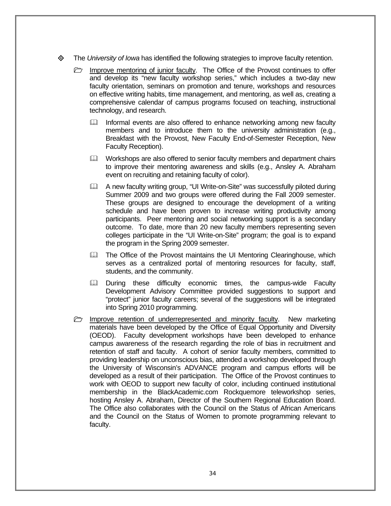- The *University of Iowa* has identified the following strategies to improve faculty retention.
	- **Improve mentoring of junior faculty.** The Office of the Provost continues to offer and develop its "new faculty workshop series," which includes a two-day new faculty orientation, seminars on promotion and tenure, workshops and resources on effective writing habits, time management, and mentoring, as well as, creating a comprehensive calendar of campus programs focused on teaching, instructional technology, and research.
		- Informal events are also offered to enhance networking among new faculty members and to introduce them to the university administration (e.g., Breakfast with the Provost, New Faculty End-of-Semester Reception, New Faculty Reception).
		- Workshops are also offered to senior faculty members and department chairs to improve their mentoring awareness and skills (e.g., Ansley A. Abraham event on recruiting and retaining faculty of color).
		- A new faculty writing group, "UI Write-on-Site" was successfully piloted during Summer 2009 and two groups were offered during the Fall 2009 semester. These groups are designed to encourage the development of a writing schedule and have been proven to increase writing productivity among participants. Peer mentoring and social networking support is a secondary outcome. To date, more than 20 new faculty members representing seven colleges participate in the "UI Write-on-Site" program; the goal is to expand the program in the Spring 2009 semester.
		- **E. The Office of the Provost maintains the UI Mentoring Clearinghouse, which** serves as a centralized portal of mentoring resources for faculty, staff, students, and the community.
		- **Quela** During these difficulty economic times, the campus-wide Faculty Development Advisory Committee provided suggestions to support and "protect" junior faculty careers; several of the suggestions will be integrated into Spring 2010 programming.
	- $\Box$  Improve retention of underrepresented and minority faculty. New marketing materials have been developed by the Office of Equal Opportunity and Diversity (OEOD). Faculty development workshops have been developed to enhance campus awareness of the research regarding the role of bias in recruitment and retention of staff and faculty. A cohort of senior faculty members, committed to providing leadership on unconscious bias, attended a workshop developed through the University of Wisconsin's ADVANCE program and campus efforts will be developed as a result of their participation. The Office of the Provost continues to work with OEOD to support new faculty of color, including continued institutional membership in the BlackAcademic.com Rockquemore teleworkshop series, hosting Ansley A. Abraham, Director of the Southern Regional Education Board. The Office also collaborates with the Council on the Status of African Americans and the Council on the Status of Women to promote programming relevant to faculty.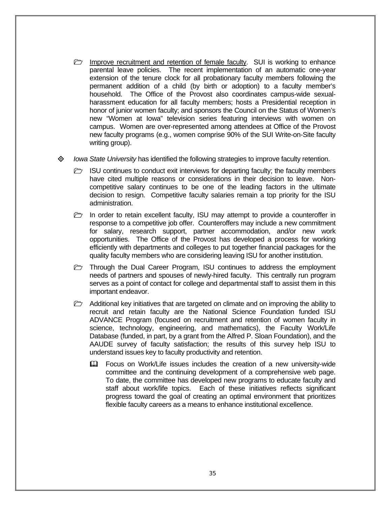- $\triangleright$  Improve recruitment and retention of female faculty. SUI is working to enhance parental leave policies. The recent implementation of an automatic one-year extension of the tenure clock for all probationary faculty members following the permanent addition of a child (by birth or adoption) to a faculty member's household. The Office of the Provost also coordinates campus-wide sexualharassment education for all faculty members; hosts a Presidential reception in honor of junior women faculty; and sponsors the Council on the Status of Women's new "Women at Iowa" television series featuring interviews with women on campus. Women are over-represented among attendees at Office of the Provost new faculty programs (e.g., women comprise 90% of the SUI Write-on-Site faculty writing group).
- *Iowa State University* has identified the following strategies to improve faculty retention.
	- $\triangleright$  ISU continues to conduct exit interviews for departing faculty; the faculty members have cited multiple reasons or considerations in their decision to leave. Noncompetitive salary continues to be one of the leading factors in the ultimate decision to resign. Competitive faculty salaries remain a top priority for the ISU administration.
	- $\triangleright$  In order to retain excellent faculty, ISU may attempt to provide a counteroffer in response to a competitive job offer. Counteroffers may include a new commitment for salary, research support, partner accommodation, and/or new work opportunities. The Office of the Provost has developed a process for working efficiently with departments and colleges to put together financial packages for the quality faculty members who are considering leaving ISU for another institution.
	- Through the Dual Career Program, ISU continues to address the employment needs of partners and spouses of newly-hired faculty. This centrally run program serves as a point of contact for college and departmental staff to assist them in this important endeavor.
	- $\triangleright$  Additional key initiatives that are targeted on climate and on improving the ability to recruit and retain faculty are the National Science Foundation funded ISU ADVANCE Program (focused on recruitment and retention of women faculty in science, technology, engineering, and mathematics), the Faculty Work/Life Database (funded, in part, by a grant from the Alfred P. Sloan Foundation), and the AAUDE survey of faculty satisfaction; the results of this survey help ISU to understand issues key to faculty productivity and retention.
		- Focus on Work/Life issues includes the creation of a new university-wide committee and the continuing development of a comprehensive web page. To date, the committee has developed new programs to educate faculty and staff about work/life topics. Each of these initiatives reflects significant progress toward the goal of creating an optimal environment that prioritizes flexible faculty careers as a means to enhance institutional excellence.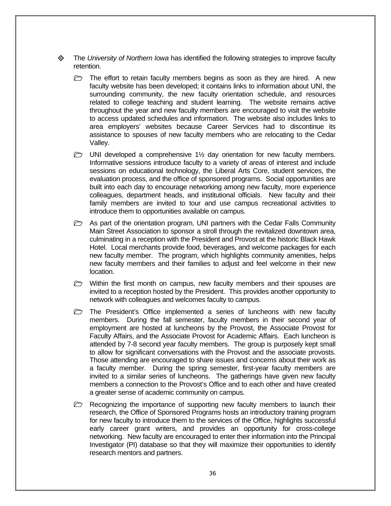- The *University of Northern Iowa* has identified the following strategies to improve faculty retention.
	- $\triangleright$  The effort to retain faculty members begins as soon as they are hired. A new faculty website has been developed; it contains links to information about UNI, the surrounding community, the new faculty orientation schedule, and resources related to college teaching and student learning. The website remains active throughout the year and new faculty members are encouraged to visit the website to access updated schedules and information. The website also includes links to area employers' websites because Career Services had to discontinue its assistance to spouses of new faculty members who are relocating to the Cedar Valley.
	- $\triangleright$  UNI developed a comprehensive 1½ day orientation for new faculty members. Informative sessions introduce faculty to a variety of areas of interest and include sessions on educational technology, the Liberal Arts Core, student services, the evaluation process, and the office of sponsored programs. Social opportunities are built into each day to encourage networking among new faculty, more experience colleagues, department heads, and institutional officials. New faculty and their family members are invited to tour and use campus recreational activities to introduce them to opportunities available on campus.
	- $\triangleright$  As part of the orientation program, UNI partners with the Cedar Falls Community Main Street Association to sponsor a stroll through the revitalized downtown area, culminating in a reception with the President and Provost at the historic Black Hawk Hotel. Local merchants provide food, beverages, and welcome packages for each new faculty member. The program, which highlights community amenities, helps new faculty members and their families to adjust and feel welcome in their new location.
	- $\triangleright$  Within the first month on campus, new faculty members and their spouses are invited to a reception hosted by the President. This provides another opportunity to network with colleagues and welcomes faculty to campus.
	- $\triangleright$  The President's Office implemented a series of luncheons with new faculty members. During the fall semester, faculty members in their second year of employment are hosted at luncheons by the Provost, the Associate Provost for Faculty Affairs, and the Associate Provost for Academic Affairs. Each luncheon is attended by 7-8 second year faculty members. The group is purposely kept small to allow for significant conversations with the Provost and the associate provosts. Those attending are encouraged to share issues and concerns about their work as a faculty member. During the spring semester, first-year faculty members are invited to a similar series of luncheons. The gatherings have given new faculty members a connection to the Provost's Office and to each other and have created a greater sense of academic community on campus.
	- $\triangleright$  Recognizing the importance of supporting new faculty members to launch their research, the Office of Sponsored Programs hosts an introductory training program for new faculty to introduce them to the services of the Office, highlights successful early career grant writers, and provides an opportunity for cross-college networking. New faculty are encouraged to enter their information into the Principal Investigator (PI) database so that they will maximize their opportunities to identify research mentors and partners.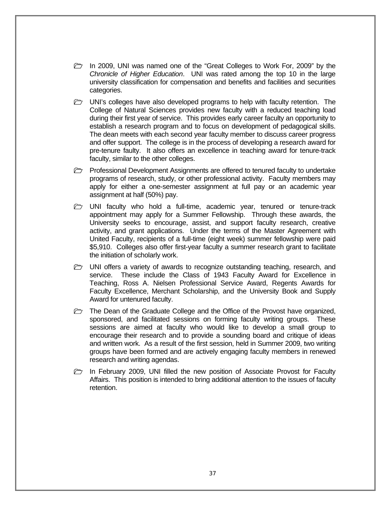- $\triangleright$  In 2009, UNI was named one of the "Great Colleges to Work For, 2009" by the *Chronicle of Higher Education*. UNI was rated among the top 10 in the large university classification for compensation and benefits and facilities and securities categories.
- $\triangleright$  UNI's colleges have also developed programs to help with faculty retention. The College of Natural Sciences provides new faculty with a reduced teaching load during their first year of service. This provides early career faculty an opportunity to establish a research program and to focus on development of pedagogical skills. The dean meets with each second year faculty member to discuss career progress and offer support. The college is in the process of developing a research award for pre-tenure faulty. It also offers an excellence in teaching award for tenure-track faculty, similar to the other colleges.
- $\triangleright$  Professional Development Assignments are offered to tenured faculty to undertake programs of research, study, or other professional activity. Faculty members may apply for either a one-semester assignment at full pay or an academic year assignment at half (50%) pay.
- **E** UNI faculty who hold a full-time, academic year, tenured or tenure-track appointment may apply for a Summer Fellowship. Through these awards, the University seeks to encourage, assist, and support faculty research, creative activity, and grant applications. Under the terms of the Master Agreement with United Faculty, recipients of a full-time (eight week) summer fellowship were paid \$5,910. Colleges also offer first-year faculty a summer research grant to facilitate the initiation of scholarly work.
- **D** UNI offers a variety of awards to recognize outstanding teaching, research, and service. These include the Class of 1943 Faculty Award for Excellence in Teaching, Ross A. Nielsen Professional Service Award, Regents Awards for Faculty Excellence, Merchant Scholarship, and the University Book and Supply Award for untenured faculty.
- $\triangleright$  The Dean of the Graduate College and the Office of the Provost have organized, sponsored, and facilitated sessions on forming faculty writing groups. These sessions are aimed at faculty who would like to develop a small group to encourage their research and to provide a sounding board and critique of ideas and written work. As a result of the first session, held in Summer 2009, two writing groups have been formed and are actively engaging faculty members in renewed research and writing agendas.
- In February 2009, UNI filled the new position of Associate Provost for Faculty Affairs. This position is intended to bring additional attention to the issues of faculty retention.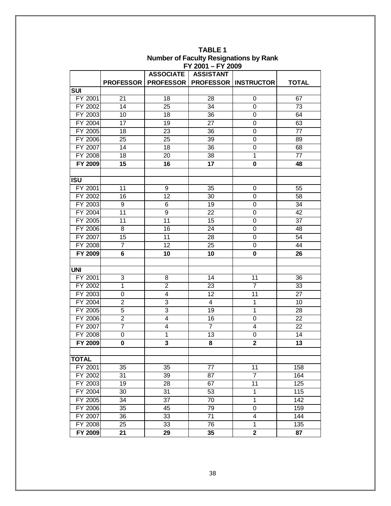|                |                 |                                | <b>ASSOCIATE   ASSISTANT</b> |                               |                 |
|----------------|-----------------|--------------------------------|------------------------------|-------------------------------|-----------------|
|                |                 | <b>PROFESSOR   PROFESSOR  </b> |                              | <b>PROFESSOR   INSTRUCTOR</b> | <b>TOTAL</b>    |
| SUI            |                 |                                |                              |                               |                 |
| FY 2001        | $\overline{21}$ | $\overline{18}$                | $\overline{28}$              | $\mathbf 0$                   | 67              |
| FY 2002        | 14              | $\overline{25}$                | $\overline{34}$              | $\mathbf 0$                   | 73              |
| FY 2003        | $\overline{10}$ | 18                             | $\overline{36}$              | 0                             | 64              |
| FY 2004        | 17              | 19                             | 27                           | $\mathbf 0$                   | 63              |
| FY 2005        | 18              | 23                             | 36                           | $\boldsymbol{0}$              | 77              |
| FY 2006        | $\overline{25}$ | 25                             | 39                           | 0                             | 89              |
| FY 2007        | $\overline{14}$ | $\overline{18}$                | $\overline{36}$              | 0                             | 68              |
| FY 2008        | 18              | $\overline{20}$                | $\overline{38}$              | $\overline{1}$                | 77              |
| <b>FY 2009</b> | 15              | 16                             | $\overline{17}$              | 0                             | 48              |
|                |                 |                                |                              |                               |                 |
| <b>ISU</b>     |                 |                                |                              |                               |                 |
| FY 2001        | 11              | 9                              | 35                           | $\boldsymbol{0}$              | 55              |
| FY 2002        | $\overline{16}$ | $\overline{12}$                | 30                           | $\mathbf 0$                   | 58              |
| FY 2003        | 9               | 6                              | 19                           | 0                             | 34              |
| FY 2004        | $\overline{11}$ | $\overline{9}$                 | $\overline{22}$              | 0                             | 42              |
| FY 2005        | 11              | $\overline{11}$                | $\overline{15}$              | $\mathbf 0$                   | $\overline{37}$ |
| FY 2006        | $\overline{8}$  | $\overline{16}$                | $\overline{24}$              | 0                             | $\overline{48}$ |
| FY 2007        | $\overline{15}$ | 11                             | 28                           | 0                             | 54              |
| <b>FY 2008</b> | $\overline{7}$  | $\overline{12}$                | $\overline{25}$              | 0                             | 44              |
| FY 2009        | 6               | 10                             | 10                           | 0                             | 26              |
|                |                 |                                |                              |                               |                 |
| <b>UNI</b>     |                 |                                |                              |                               |                 |
| FY 2001        | 3               | 8                              | 14                           | 11                            | 36              |
| FY 2002        | $\overline{1}$  | $\overline{2}$                 | $\overline{23}$              | 7                             | $\overline{33}$ |
| FY 2003        | $\mathbf 0$     | $\overline{4}$                 | $\overline{12}$              | $\overline{11}$               | $\overline{27}$ |
| <b>FY 2004</b> | $\overline{2}$  | $\overline{3}$                 | $\overline{4}$               | 1                             | $\overline{10}$ |
| FY 2005        | $\overline{5}$  | 3                              | 19                           | $\overline{1}$                | 28              |
| FY 2006        | $\overline{2}$  | $\overline{4}$                 | $\overline{16}$              | $\overline{0}$                | $\overline{22}$ |
| FY 2007        | $\overline{7}$  | 4                              | $\overline{7}$               | 4                             | 22              |
| <b>FY 2008</b> | 0               | $\overline{1}$                 | $\overline{13}$              | 0                             | $\overline{14}$ |
| FY 2009        | $\mathbf 0$     | $\overline{\mathbf{3}}$        | 8                            | $\overline{2}$                | 13              |
|                |                 |                                |                              |                               |                 |
| TOTAL          |                 |                                |                              |                               |                 |
| FY 2001        | 35              | 35                             | 77                           | 11                            | 158             |
| FY 2002        | 31              | 39                             | 87                           | $\overline{7}$                | 164             |
| FY 2003        | 19              | 28                             | 67                           | $\overline{11}$               | 125             |
| FY 2004        | 30              | 31                             | 53                           | 1                             | 115             |
| FY 2005        | 34              | $\overline{37}$                | 70                           | 1                             | 142             |
| FY 2006        | 35              | 45                             | 79                           | 0                             | 159<br>144      |
| <b>FY 2007</b> | 36              | $\overline{33}$                | 71                           | 4<br>1                        | 135             |
| FY 2008        | 25              | 33                             | 76                           |                               |                 |
| FY 2009        | 21              | 29                             | 35                           | $\overline{\mathbf{2}}$       | 87              |

#### **TABLE 1 Number of Faculty Resignations by Rank FY 2001 – FY 2009**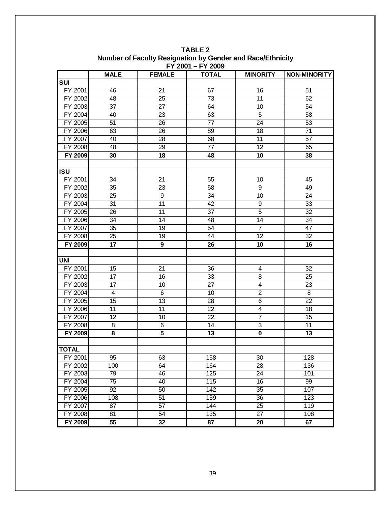| <b>MALE</b><br><b>FEMALE</b><br><b>TOTAL</b><br><b>MINORITY</b><br><b>NON-MINORITY</b><br>SUI<br>FY 2001<br>46<br>21<br>67<br>16<br>51<br>FY 2002<br>$\overline{48}$<br>$\overline{25}$<br>$\overline{73}$<br>$\overline{11}$<br>62 |  |  |
|-------------------------------------------------------------------------------------------------------------------------------------------------------------------------------------------------------------------------------------|--|--|
|                                                                                                                                                                                                                                     |  |  |
|                                                                                                                                                                                                                                     |  |  |
|                                                                                                                                                                                                                                     |  |  |
| FY 2003<br>$\overline{27}$<br>37<br>64<br>10<br>54                                                                                                                                                                                  |  |  |
| FY 2004<br>$\overline{5}$<br>$\overline{58}$<br>40<br>23<br>63                                                                                                                                                                      |  |  |
| FY 2005<br>51<br>26<br>24<br>53<br>77                                                                                                                                                                                               |  |  |
| FY 2006<br>26<br>63<br>89<br>18<br>71                                                                                                                                                                                               |  |  |
| FY 2007<br>40<br>28<br>68<br>11<br>57                                                                                                                                                                                               |  |  |
| FY 2008<br>48<br>29<br>77<br>12<br>65                                                                                                                                                                                               |  |  |
| FY 2009<br>18<br>30<br>48<br>10<br>38                                                                                                                                                                                               |  |  |
|                                                                                                                                                                                                                                     |  |  |
| <b>ISU</b>                                                                                                                                                                                                                          |  |  |
| FY 2001<br>34<br>21<br>55<br>45<br>10                                                                                                                                                                                               |  |  |
| FY 2002<br>23<br>58<br>49<br>35<br>9                                                                                                                                                                                                |  |  |
| FY 2003<br>$\boldsymbol{9}$<br>34<br>24<br>25<br>10                                                                                                                                                                                 |  |  |
| FY 2004<br>11<br>42<br>33<br>31<br>9                                                                                                                                                                                                |  |  |
| FY 2005<br>11<br>37<br>5<br>32<br>26                                                                                                                                                                                                |  |  |
| FY 2006<br>14<br>48<br>14<br>34<br>34                                                                                                                                                                                               |  |  |
| FY 2007<br>$\overline{19}$<br>$\overline{54}$<br>$\overline{47}$<br>35<br>$\overline{7}$                                                                                                                                            |  |  |
| FY 2008<br>19<br>12<br>32<br>25<br>44                                                                                                                                                                                               |  |  |
| FY 2009<br>16<br>17<br>$\boldsymbol{9}$<br>26<br>10                                                                                                                                                                                 |  |  |
|                                                                                                                                                                                                                                     |  |  |
| <b>UNI</b>                                                                                                                                                                                                                          |  |  |
| FY 2001<br>21<br>36<br>15<br>$\overline{\mathbf{4}}$<br>32                                                                                                                                                                          |  |  |
| FY 2002<br>17<br>16<br>33<br>8<br>25                                                                                                                                                                                                |  |  |
| FY 2003<br>10<br>27<br>23<br>17<br>4                                                                                                                                                                                                |  |  |
| FY 2004<br>$\overline{2}$<br>$\overline{\mathbf{4}}$<br>6<br>10<br>8                                                                                                                                                                |  |  |
| FY 2005<br>$\overline{28}$<br>$\overline{6}$<br>$\overline{22}$<br>15<br>13                                                                                                                                                         |  |  |
| FY 2006<br>$\overline{11}$<br>$\overline{22}$<br>$\overline{4}$<br>$\overline{18}$<br>11                                                                                                                                            |  |  |
| FY 2007<br>$\overline{22}$<br>$\overline{7}$<br>12<br>10<br>15                                                                                                                                                                      |  |  |
| FY 2008<br>3<br>8<br>6<br>14<br>11                                                                                                                                                                                                  |  |  |
| $\overline{5}$<br>FY 2009<br>8<br>13<br>13<br>$\pmb{0}$                                                                                                                                                                             |  |  |
|                                                                                                                                                                                                                                     |  |  |
| <b>TOTAL</b>                                                                                                                                                                                                                        |  |  |
| FY 2001<br>95<br>63<br>158<br>30<br>128                                                                                                                                                                                             |  |  |
| $\overline{28}$<br>FY 2002<br>100<br>64<br>164<br>136                                                                                                                                                                               |  |  |
| FY 2003<br>79<br>46<br>125<br>24<br>101                                                                                                                                                                                             |  |  |
| FY 2004<br>75<br>40<br>115<br>16<br>99<br>92                                                                                                                                                                                        |  |  |
| FY 2005<br>35<br>50<br>142<br>107<br>51<br>123                                                                                                                                                                                      |  |  |
| FY 2006<br>108<br>159<br>36<br>$\overline{57}$<br>144<br>119                                                                                                                                                                        |  |  |
| FY 2007<br>87<br>25<br>FY 2008<br>135<br>108<br>81<br>54<br>27                                                                                                                                                                      |  |  |
| FY 2009<br>32<br>55<br>87<br>20<br>67                                                                                                                                                                                               |  |  |

**TABLE 2 Number of Faculty Resignation by Gender and Race/Ethnicity FY 2001 – FY 2009**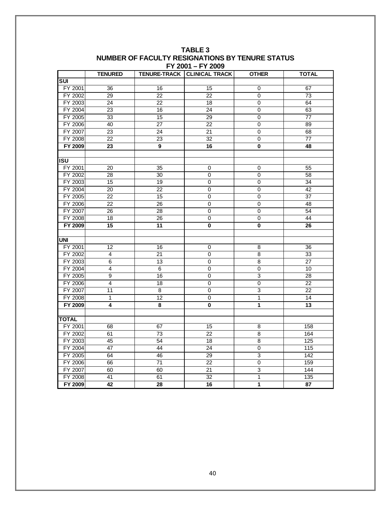|                | <b>TENURED</b>          |                         | TENURE-TRACK CLINICAL TRACK | <b>OTHER</b>              | <b>TOTAL</b>     |
|----------------|-------------------------|-------------------------|-----------------------------|---------------------------|------------------|
| SUI            |                         |                         |                             |                           |                  |
| FY 2001        | $\overline{36}$         | 16                      | 15                          | 0                         | 67               |
| FY 2002        | 29                      | $\overline{22}$         | $\overline{22}$             | 0                         | $\overline{73}$  |
| FY 2003        | 24                      | $\overline{22}$         | $\overline{18}$             | $\overline{\mathfrak{o}}$ | 64               |
| FY 2004        | 23                      | 16                      | 24                          | 0                         | $\overline{63}$  |
| FY 2005        | 33                      | 15                      | 29                          | 0                         | 77               |
| FY 2006        | 40                      | $\overline{27}$         | $\overline{22}$             | $\overline{0}$            | 89               |
| FY 2007        | $\overline{23}$         | 24                      | 21                          | 0                         | 68               |
| FY 2008        | $\overline{22}$         | $\overline{23}$         | $\overline{32}$             | 0                         | $\overline{77}$  |
| FY 2009        | 23                      | 9                       | 16                          | $\pmb{0}$                 | 48               |
|                |                         |                         |                             |                           |                  |
| <b>ISU</b>     |                         |                         |                             |                           |                  |
| FY 2001        | 20                      | 35                      | $\overline{0}$              | 0                         | 55               |
| FY 2002        | $\overline{28}$         | 30                      | 0                           | $\mathbf 0$               | 58               |
| FY 2003        | 15                      | $\overline{19}$         | 0                           | 0                         | $\overline{34}$  |
| FY 2004        | 20                      | $\overline{22}$         | 0                           | 0                         | 42               |
| FY 2005        | $\overline{22}$         | 15                      | 0                           | 0                         | $\overline{37}$  |
| FY 2006        | 22                      | $\overline{26}$         | $\overline{0}$              | $\mathbf 0$               | 48               |
| FY 2007        | 26                      | 28                      | 0                           | 0                         | 54               |
| FY 2008        | 18                      | 26                      | 0                           | 0                         | 44               |
| <b>FY 2009</b> | $\overline{15}$         | $\overline{11}$         | 0                           | $\overline{\mathbf{0}}$   | $\overline{26}$  |
|                |                         |                         |                             |                           |                  |
| <b>UNI</b>     |                         |                         |                             |                           |                  |
| FY 2001        | 12                      | 16                      | 0                           | 8                         | 36               |
| FY 2002        | $\overline{4}$          | 21                      | $\overline{0}$              | $\overline{8}$            | 33               |
| FY 2003        | 6                       | 13                      | 0                           | 8                         | 27               |
| FY 2004        | $\overline{4}$          | 6                       | 0                           | $\overline{0}$            | 10               |
| FY 2005        | $\overline{9}$          | 16                      | $\overline{0}$              | $\overline{3}$            | 28               |
| FY 2006        | 4                       | 18                      | 0                           | 0                         | $\overline{22}$  |
| FY 2007        | 11                      | $\overline{8}$          | $\overline{0}$              | $\overline{3}$            | $\overline{22}$  |
| FY 2008        | 1                       | $\overline{12}$         | $\mathbf 0$                 | $\mathbf{1}$              | 14               |
| FY 2009        | $\overline{\mathbf{4}}$ | $\overline{\mathbf{8}}$ | 0                           | 1                         | 13               |
|                |                         |                         |                             |                           |                  |
| <b>TOTAL</b>   |                         |                         |                             |                           |                  |
| FY 2001        | 68                      | 67                      | 15                          | 8                         | 158              |
| FY 2002        | 61                      | 73                      | $\overline{22}$             | 8                         | 164              |
| FY 2003        | 45                      | $\overline{54}$         | 18                          | $\overline{8}$            | 125              |
| FY 2004        | 47                      | 44                      | 24                          | 0                         | 115              |
| FY 2005        | 64                      | 46                      | 29                          | 3                         | 142              |
| FY 2006        | 66                      | $\overline{71}$         | $\overline{22}$             | $\overline{0}$            | 159              |
| FY 2007        | 60                      | 60                      | 21                          | $\overline{3}$            | 144              |
| FY 2008        | 41                      | 61                      | 32                          | $\mathbf 1$               | $\overline{135}$ |
| FY 2009        | $\overline{42}$         | $\overline{28}$         | $\overline{16}$             | $\overline{1}$            | $\overline{87}$  |

**TABLE 3 NUMBER OF FACULTY RESIGNATIONS BY TENURE STATUS FY 2001 – FY 2009**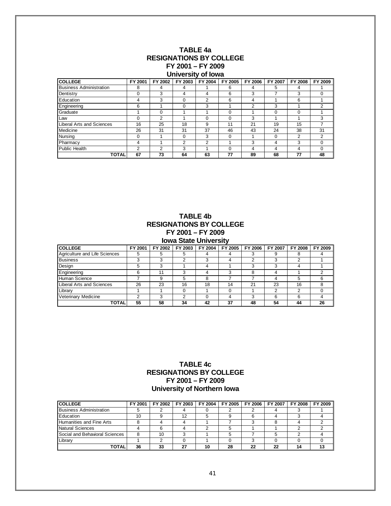### **TABLE 4a RESIGNATIONS BY COLLEGE FY 2001 – FY 2009**

| University of Iowa |  |  |
|--------------------|--|--|
|                    |  |  |

| <b>COLLEGE</b>                 | FY 2001  | FY 2002 | FY 2003        | FY 2004        | FY 2005  | <b>FY</b><br>2006 | FY 2007 | <b>FY 2008</b> | FY 2009  |
|--------------------------------|----------|---------|----------------|----------------|----------|-------------------|---------|----------------|----------|
| <b>Business Administration</b> | 8        | 4       | 4              |                | 6        |                   | 5       | 4              |          |
| Dentistry                      | 0        | 3       | 4              | 4              | 6        | 3                 |         | 3              | $\Omega$ |
| Education                      | 4        | 3       | $\Omega$       | $\overline{2}$ | 6        | 4                 |         | 6              |          |
| Engineering                    | 6        |         | $\Omega$       | 3              |          | 2                 | 3       |                | 2        |
| Graduate                       |          | 0       |                |                | $\Omega$ |                   | 0       |                |          |
| Law                            | 0        | 2       |                | $\Omega$       | $\Omega$ | 3                 |         |                | 3        |
| Liberal Arts and Sciences      | 16       | 25      | 18             | 9              | 11       | 21                | 19      | 15             | 7        |
| Medicine                       | 26       | 31      | 31             | 37             | 46       | 43                | 24      | 38             | 31       |
| Nursing                        | $\Omega$ |         | $\Omega$       | 3              | $\Omega$ |                   | 0       | 2              | 2        |
| Pharmacy                       | 4        |         | $\overline{2}$ | $\overline{2}$ |          | 3                 | 4       | 3              | $\Omega$ |
| <b>Public Health</b>           | っ        | ົ       | 3              |                | $\Omega$ | 4                 | 4       | 4              | $\Omega$ |
| <b>TOTAL</b>                   | 67       | 73      | 64             | 63             | 77       | 89                | 68      | 77             | 48       |

**TABLE 4b RESIGNATIONS BY COLLEGE FY 2001 – FY 2009 Iowa State University** 

| <b>COLLEGE</b>                | FY 2001 | FY 2002 | FY 2003      | FY 2004 | FY 2005 | FY 2006 | FY 2007 | FY 2008 | FY 2009 |
|-------------------------------|---------|---------|--------------|---------|---------|---------|---------|---------|---------|
| Agriculture and Life Sciences | 5       | 5       | <sub>5</sub> | 4       |         |         |         |         |         |
| <b>Business</b>               |         | ◠       | າ            | 3       |         |         |         |         |         |
| Design                        | 5       | 3       |              | 4       |         |         | ົ       |         |         |
| Engineering                   |         | 11      | 3            | 4       | ◠       |         |         |         |         |
| Human Science                 |         | 9       | 5            | 8       |         |         |         | h       | 6       |
| Liberal Arts and Sciences     | 26      | 23      | 16           | 18      | 14      | 21      | 23      | 16      |         |
| Library                       |         |         |              |         |         |         |         |         |         |
| <b>Veterinary Medicine</b>    |         | 3       | ◠            |         | 4       |         |         |         |         |
| TOTAL                         | 55      | 58      | 34           | 42      | 37      | 48      | 54      | 44      | 26      |

#### **TABLE 4c RESIGNATIONS BY COLLEGE FY 2001 – FY 2009 University of Northern Iowa**

| <b>COLLEGE</b>                 | FY 2001 |    |    | FY 2002 FY 2003 FY 2004 FY 2005 FY 2006 FY 2007 FY 2008 |    |    |    |    | FY 2009 |
|--------------------------------|---------|----|----|---------------------------------------------------------|----|----|----|----|---------|
| <b>Business Administration</b> |         |    |    |                                                         |    |    |    |    |         |
| Education                      | 10      |    | 12 |                                                         |    |    |    |    |         |
| Humanities and Fine Arts       |         |    |    |                                                         |    |    |    |    |         |
| <b>Natural Sciences</b>        |         |    |    |                                                         |    |    |    |    |         |
| Social and Behavioral Sciences |         | 10 |    |                                                         |    |    |    |    |         |
| Library                        |         |    |    |                                                         |    |    |    |    |         |
| ΤΟΤΑΙ                          | 36      | 33 | 27 | 10                                                      | 28 | າາ | 22 | 14 |         |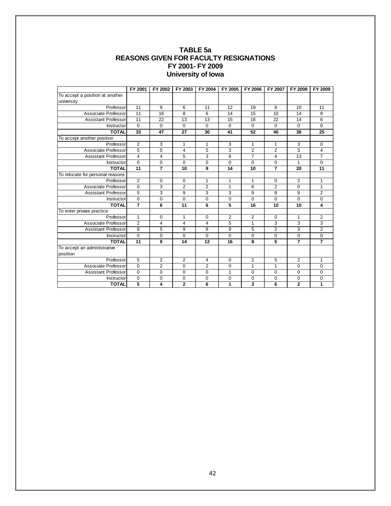#### **TABLE 5a REASONS GIVEN FOR FACULTY RESIGNATIONS FY 2001- FY 2009 University of Iowa**

|                                  | FY 2001                 | FY 2002        | FY 2003        | FY 2004        | FY 2005        | FY 2006        | FY 2007        | <b>FY 2008</b>  | FY 2009        |
|----------------------------------|-------------------------|----------------|----------------|----------------|----------------|----------------|----------------|-----------------|----------------|
| To accept a position at another  |                         |                |                |                |                |                |                |                 |                |
| university                       |                         |                |                |                |                |                |                |                 |                |
| Professor                        | 11                      | 9              | 6              | 11             | 12             | 19             | 8              | 10              | 11             |
| Associate Professor              | 11                      | 16             | 8              | 6              | 14             | 15             | 10             | 14              | 8              |
| <b>Assistant Professor</b>       | 11                      | 22             | 13             | 13             | 15             | 18             | 22             | 14              | 6              |
| Instructor                       | $\overline{0}$          | $\mathbf 0$    | $\mathbf 0$    | $\mathbf 0$    | $\mathbf 0$    | $\Omega$       | $\Omega$       | $\Omega$        | $\Omega$       |
| <b>TOTAL</b>                     | 33                      | 47             | 27             | 30             | 41             | 52             | 40             | 38              | 25             |
| To accept another position       |                         |                |                |                |                |                |                |                 |                |
| Professor                        | $\overline{2}$          | 3              | $\mathbf{1}$   | $\mathbf{1}$   | 3              | $\mathbf{1}$   | $\mathbf{1}$   | 3               | $\Omega$       |
| Associate Professor              | 5                       | $\mathbf 0$    | 4              | 5              | 3              | $\overline{2}$ | $\overline{2}$ | 3               | 4              |
| <b>Assistant Professor</b>       | $\overline{\mathbf{4}}$ | $\overline{4}$ | 5              | 3              | 8              | $\overline{7}$ | 4              | $\overline{13}$ | $\overline{7}$ |
| Instructor                       | $\mathbf 0$             | $\mathbf 0$    | $\mathbf 0$    | $\mathbf 0$    | 0              | $\Omega$       | $\mathbf 0$    | $\mathbf{1}$    | 0              |
| <b>TOTAL</b>                     | 11                      | $\overline{7}$ | 10             | 9              | 14             | 10             | $\overline{7}$ | 20              | 11             |
| To relocate for personal reasons |                         |                |                |                |                |                |                |                 |                |
| Professor                        | 2                       | $\mathbf 0$    | $\mathbf 0$    | 1              | 1              | 1              | $\Omega$       | 2               | 1              |
| Associate Professor              | $\overline{0}$          | 3              | 2              | $\overline{2}$ | 1              | 6              | $\overline{2}$ | $\Omega$        | $\mathbf{1}$   |
| <b>Assistant Professor</b>       | 5                       | 3              | 9              | 3              | 3              | 9              | $\overline{8}$ | 8               | $\overline{2}$ |
| Instructor                       | $\overline{0}$          | $\mathbf 0$    | $\mathbf 0$    | $\mathbf 0$    | $\mathbf 0$    | $\overline{0}$ | $\overline{0}$ | $\overline{0}$  | 0              |
| <b>TOTAL</b>                     | $\overline{7}$          | 6              | 11             | 6              | 5              | 16             | 10             | 10              | 4              |
| To enter private practice        |                         |                |                |                |                |                |                |                 |                |
| Professor                        | 1                       | $\Omega$       | $\mathbf{1}$   | $\Omega$       | $\overline{2}$ | $\overline{2}$ | $\Omega$       | $\mathbf{1}$    | $\overline{2}$ |
| Associate Professor              | $\overline{2}$          | 4              | $\overline{4}$ | 4              | 5              | $\mathbf{1}$   | 3              | 3               | 3              |
| <b>Assistant Professor</b>       | 8                       | 5              | 9              | 8              | 9              | 5              | $\overline{2}$ | $\overline{3}$  | $\overline{2}$ |
| Instructor                       | $\mathbf 0$             | $\mathbf 0$    | $\mathbf 0$    | $\mathbf 0$    | $\Omega$       | $\mathbf 0$    | $\mathbf 0$    | $\mathbf 0$     | 0              |
| <b>TOTAL</b>                     | 11                      | 9              | 14             | 12             | 16             | 8              | 5              | $\overline{7}$  | $\overline{7}$ |
| To accept an administrative      |                         |                |                |                |                |                |                |                 |                |
| position                         |                         |                |                |                |                |                |                |                 |                |
| Professor                        | 5                       | 2              | 2              | 4              | $\mathbf 0$    | 2              | 5              | 2               | 1              |
| Associate Professor              | $\Omega$                | $\overline{2}$ | $\Omega$       | $\overline{2}$ | $\Omega$       | $\mathbf{1}$   | $\mathbf{1}$   | $\Omega$        | $\Omega$       |
| <b>Assistant Professor</b>       | $\overline{0}$          | 0              | $\mathbf 0$    | 0              | 1              | $\Omega$       | $\mathbf 0$    | $\overline{0}$  | 0              |
| Instructor                       | 0                       | 0              | 0              | 0              | 0              | $\Omega$       | $\mathbf 0$    | 0               | 0              |
| <b>TOTAL</b>                     | 5                       | 4              | $\overline{2}$ | 6              | 1              | 3              | 6              | $\overline{2}$  | 1              |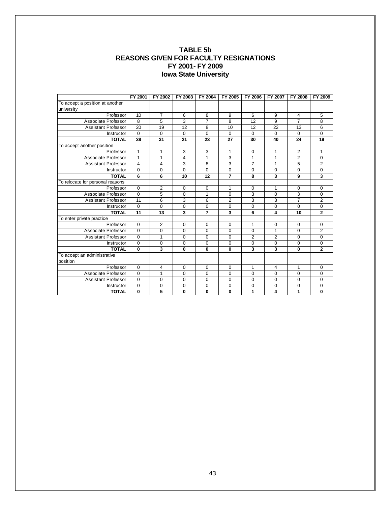#### **TABLE 5b REASONS GIVEN FOR FACULTY RESIGNATIONS FY 2001- FY 2009 Iowa State University**

|                                  | FY 2001        | FY 2002        | FY 2003     | FY 2004        | FY 2005        | FY 2006        | FY 2007        | <b>FY 2008</b> | FY 2009        |
|----------------------------------|----------------|----------------|-------------|----------------|----------------|----------------|----------------|----------------|----------------|
| To accept a position at another  |                |                |             |                |                |                |                |                |                |
| university                       |                |                |             |                |                |                |                |                |                |
| Professor                        | 10             | $\overline{7}$ | 6           | 8              | 9              | 6              | 9              | 4              | 5              |
| Associate Professor              | 8              | 5              | 3           | $\overline{7}$ | 8              | 12             | 9              | $\overline{7}$ | 8              |
| <b>Assistant Professor</b>       | 20             | 19             | 12          | 8              | 10             | 12             | 22             | 13             | 6              |
| <b>Instructor</b>                | $\Omega$       | $\Omega$       | $\mathbf 0$ | $\Omega$       | $\Omega$       | $\Omega$       | $\Omega$       | $\Omega$       | $\Omega$       |
| <b>TOTAL</b>                     | 38             | 31             | 21          | 23             | 27             | 30             | 40             | 24             | 19             |
| To accept another position       |                |                |             |                |                |                |                |                |                |
| Professor                        | $\mathbf{1}$   | $\mathbf{1}$   | 3           | 3              | $\mathbf{1}$   | $\Omega$       | 1              | $\overline{2}$ | $\mathbf{1}$   |
| Associate Professor              | 1              | $\mathbf{1}$   | 4           | 1              | 3              | 1              | 1              | $\overline{2}$ | $\mathbf 0$    |
| <b>Assistant Professor</b>       | $\overline{4}$ | 4              | 3           | 8              | 3              | $\overline{7}$ | 1              | 5              | 2              |
| Instructor                       | $\mathbf 0$    | 0              | 0           | $\overline{0}$ | $\overline{0}$ | $\overline{0}$ | $\Omega$       | $\Omega$       | $\mathbf 0$    |
| <b>TOTAL</b>                     | 6              | 6              | 10          | 12             | $\overline{7}$ | 8              | 3              | 9              | 3              |
| To relocate for personal reasons |                |                |             |                |                |                |                |                |                |
| Professor                        | $\mathbf 0$    | $\overline{2}$ | $\mathbf 0$ | $\mathbf 0$    | $\mathbf{1}$   | 0              | 1              | $\mathbf 0$    | $\Omega$       |
| Associate Professor              | $\Omega$       | 5              | 0           | 1              | $\Omega$       | 3              | $\Omega$       | 3              | $\Omega$       |
| <b>Assistant Professor</b>       | 11             | 6              | 3           | 6              | $\overline{2}$ | 3              | 3              | $\overline{7}$ | $\overline{2}$ |
| Instructor                       | $\overline{0}$ | 0              | $\mathbf 0$ | $\mathbf 0$    | $\Omega$       | $\overline{0}$ | $\Omega$       | $\Omega$       | $\Omega$       |
| <b>TOTAL</b>                     | 11             | 13             | 3           | $\overline{7}$ | 3              | 6              | 4              | 10             | $\overline{2}$ |
| To enter private practice        |                |                |             |                |                |                |                |                |                |
| Professor                        | $\mathbf 0$    | $\overline{2}$ | $\mathbf 0$ | $\mathbf 0$    | $\Omega$       | 1              | $\mathbf 0$    | $\mathbf 0$    | $\mathbf 0$    |
| Associate Professor              | $\overline{0}$ | 0              | $\mathbf 0$ | $\Omega$       | $\Omega$       | $\Omega$       | $\mathbf{1}$   | $\Omega$       | $\overline{2}$ |
| <b>Assistant Professor</b>       | $\mathbf 0$    | 1              | $\mathbf 0$ | $\mathbf 0$    | $\Omega$       | $\overline{2}$ | $\overline{2}$ | $\mathbf 0$    | $\mathbf 0$    |
| Instructor                       | $\mathbf 0$    | 0              | $\mathbf 0$ | $\Omega$       | $\Omega$       | $\Omega$       | $\Omega$       | $\Omega$       | $\Omega$       |
| <b>TOTAL</b>                     | 0              | 3              | 0           | $\bf{0}$       | 0              | 3              | 3              | $\Omega$       | $\overline{2}$ |
| To accept an administrative      |                |                |             |                |                |                |                |                |                |
| position                         |                |                |             |                |                |                |                |                |                |
| Professor                        | $\mathbf 0$    | 4              | $\mathbf 0$ | $\mathbf 0$    | $\mathbf 0$    | 1              | 4              | 1              | $\mathbf 0$    |
| Associate Professor              | $\Omega$       | $\mathbf{1}$   | $\Omega$    | $\Omega$       | $\Omega$       | $\Omega$       | $\Omega$       | $\Omega$       | $\Omega$       |
| <b>Assistant Professor</b>       | $\overline{0}$ | 0              | $\mathbf 0$ | $\mathbf 0$    | $\mathbf 0$    | $\overline{0}$ | $\mathbf 0$    | $\mathbf 0$    | $\mathbf 0$    |
| Instructor                       | 0              | 0              | 0           | $\mathbf 0$    | $\Omega$       | 0              | $\mathbf 0$    | $\mathbf 0$    | 0              |
| <b>TOTAL</b>                     | 0              | 5              | 0           | 0              | $\mathbf 0$    | 1              | 4              | 1              | 0              |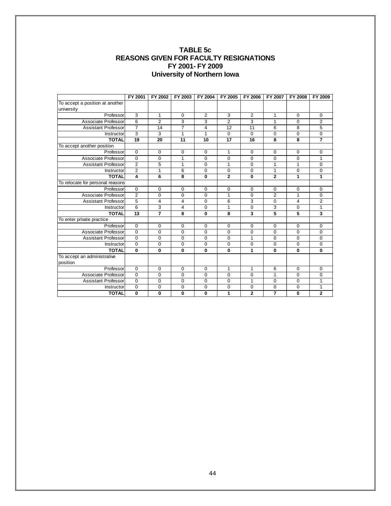#### **TABLE 5c REASONS GIVEN FOR FACULTY RESIGNATIONS FY 2001- FY 2009 University of Northern Iowa**

|                                  | FY 2001                 | FY 2002        | FY 2003        | FY 2004     | FY 2005        | FY 2006        | FY 2007        | FY 2008      | FY 2009                 |
|----------------------------------|-------------------------|----------------|----------------|-------------|----------------|----------------|----------------|--------------|-------------------------|
| To accept a position at another  |                         |                |                |             |                |                |                |              |                         |
| university                       |                         |                |                |             |                |                |                |              |                         |
| Professor                        | 3                       | 1              | $\mathbf 0$    | 2           | 3              | 2              | 1              | $\Omega$     | $\mathbf 0$             |
| Associate Professor              | 6                       | $\overline{2}$ | $\overline{3}$ | 3           | $\overline{2}$ | 3              | $\mathbf{1}$   | $\Omega$     | $\overline{2}$          |
| <b>Assistant Professor</b>       | $\overline{7}$          | 14             | $\overline{7}$ | 4           | 12             | 11             | 6              | 8            | 5                       |
| Instructor                       | 3                       | 3              | 1              | 1           | $\Omega$       | $\Omega$       | $\Omega$       | $\Omega$     | 0                       |
| <b>TOTAL</b>                     | 19                      | 20             | 11             | 10          | 17             | 16             | 8              | 8            | $\overline{7}$          |
| To accept another position       |                         |                |                |             |                |                |                |              |                         |
| Professor                        | $\Omega$                | $\Omega$       | $\mathbf 0$    | $\mathbf 0$ | $\mathbf{1}$   | $\Omega$       | $\Omega$       | $\Omega$     | $\Omega$                |
| Associate Professor              | $\Omega$                | $\Omega$       | 1              | $\mathbf 0$ | $\Omega$       | $\Omega$       | $\Omega$       | $\Omega$     | 1                       |
| <b>Assistant Professor</b>       | $\overline{2}$          | 5              | 1              | $\mathbf 0$ | 1              | $\Omega$       | $\mathbf{1}$   | $\mathbf{1}$ | $\Omega$                |
| Instructor                       | $\overline{2}$          | 1              | 6              | $\Omega$    | $\Omega$       | $\Omega$       | $\mathbf{1}$   | $\Omega$     | $\Omega$                |
| <b>TOTAL</b>                     | $\overline{\mathbf{A}}$ | 6              | 8              | 0           | $\overline{2}$ | $\mathbf{0}$   | $\mathbf{2}$   | 1            | 1                       |
| To relocate for personal reasons |                         |                |                |             |                |                |                |              |                         |
| Professor                        | 0                       | $\Omega$       | 0              | 0           | 0              | $\Omega$       | $\mathbf 0$    | 0            | $\mathbf 0$             |
| Associate Professor              | $\overline{2}$          | 0              | 0              | $\mathbf 0$ | $\mathbf{1}$   | $\Omega$       | $\overline{2}$ | 1            | $\mathbf 0$             |
| <b>Assistant Professor</b>       | 5                       | $\overline{4}$ | $\overline{4}$ | $\mathbf 0$ | 6              | 3              | $\Omega$       | 4            | 2                       |
| Instructor                       | 6                       | 3              | $\overline{4}$ | $\mathbf 0$ | $\mathbf{1}$   | $\Omega$       | $\overline{3}$ | $\Omega$     | $\mathbf{1}$            |
| <b>TOTAL</b>                     | 13                      | $\overline{7}$ | 8              | 0           | 8              | 3              | 5              | 5            | $\overline{\mathbf{3}}$ |
| To enter private practice        |                         |                |                |             |                |                |                |              |                         |
| Professor                        | $\Omega$                | $\Omega$       | $\Omega$       | $\Omega$    | $\Omega$       | $\Omega$       | $\Omega$       | $\Omega$     | $\Omega$                |
| Associate Professor              | $\Omega$                | $\Omega$       | $\mathbf 0$    | $\mathbf 0$ | $\mathbf 0$    | $\Omega$       | $\Omega$       | $\Omega$     | $\Omega$                |
| <b>Assistant Professor</b>       | $\Omega$                | $\Omega$       | $\mathbf 0$    | $\mathbf 0$ | $\mathbf 0$    | 1              | $\Omega$       | $\Omega$     | $\mathbf 0$             |
| Instructor                       | $\Omega$                | $\Omega$       | $\mathbf 0$    | $\mathbf 0$ | $\Omega$       | $\Omega$       | $\Omega$       | $\Omega$     | $\Omega$                |
| <b>TOTAL</b>                     | $\Omega$                | $\bf{0}$       | $\bf{0}$       | 0           | 0              | 1              | $\bf{0}$       | 0            | $\Omega$                |
| To accept an administrative      |                         |                |                |             |                |                |                |              |                         |
| position                         |                         |                |                |             |                |                |                |              |                         |
| Professor                        | $\mathbf 0$             | 0              | 0              | $\mathbf 0$ | 1              | 1              | 6              | $\mathbf 0$  | $\mathbf 0$             |
| Associate Professor              | $\Omega$                | $\Omega$       | $\Omega$       | $\Omega$    | $\Omega$       | $\Omega$       | $\mathbf{1}$   | $\Omega$     | $\Omega$                |
| <b>Assistant Professor</b>       | $\Omega$                | $\Omega$       | $\mathbf 0$    | $\mathbf 0$ | $\Omega$       | 1              | $\Omega$       | $\Omega$     | 1                       |
| Instructor                       | $\mathbf 0$             | $\mathbf 0$    | $\mathbf 0$    | $\mathbf 0$ | $\mathbf 0$    | $\mathbf 0$    | $\mathbf 0$    | 0            | 1                       |
| <b>TOTAL</b>                     | 0                       | 0              | 0              | 0           | 1              | $\overline{2}$ | $\overline{7}$ | 0            | $\overline{2}$          |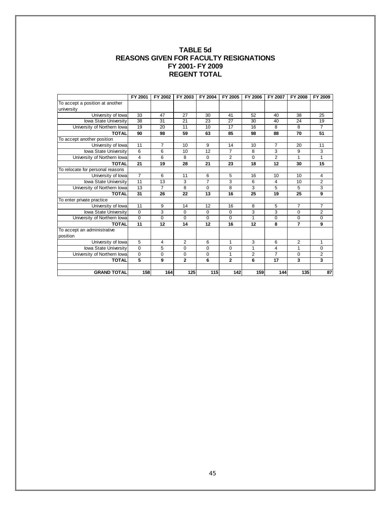#### **TABLE 5d REASONS GIVEN FOR FACULTY RESIGNATIONS FY 2001- FY 2009 REGENT TOTAL**

|                                  | FY 2001        | FY 2002        | FY 2003        | FY 2004        | FY 2005        | FY 2006        | FY 2007        | FY 2008        | FY 2009        |
|----------------------------------|----------------|----------------|----------------|----------------|----------------|----------------|----------------|----------------|----------------|
| To accept a position at another  |                |                |                |                |                |                |                |                |                |
| university                       |                |                |                |                |                |                |                |                |                |
| University of lowa               | 33             | 47             | 27             | 30             | 41             | 52             | 40             | 38             | 25             |
| <b>lowa State University</b>     | 38             | 31             | 21             | 23             | 27             | 30             | 40             | 24             | 19             |
| University of Northern lowa      | 19             | 20             | 11             | 10             | 17             | 16             | 8              | 8              | $\overline{7}$ |
| <b>TOTAL</b>                     | 90             | 98             | 59             | 63             | 85             | 98             | 88             | 70             | 51             |
| To accept another position       |                |                |                |                |                |                |                |                |                |
| University of lowa               | 11             | $\overline{7}$ | 10             | 9              | 14             | 10             | $\overline{7}$ | 20             | 11             |
| <b>lowa State University</b>     | 6              | 6              | 10             | 12             | $\overline{7}$ | 8              | 3              | 9              | 3              |
| University of Northern Iowa      | 4              | 6              | 8              | $\Omega$       | 2              | $\Omega$       | $\overline{c}$ | 1              | 1              |
| <b>TOTAL</b>                     | 21             | 19             | 28             | 21             | 23             | 18             | 12             | 30             | 15             |
| To relocate for personal reasons |                |                |                |                |                |                |                |                |                |
| University of lowa               | $\overline{7}$ | 6              | 11             | 6              | 5              | 16             | 10             | 10             | 4              |
| lowa State University            | 11             | 13             | 3              | $\overline{7}$ | 3              | 6              | 4              | 10             | $\overline{2}$ |
| University of Northern Iowa      | 13             | $\overline{7}$ | 8              | $\Omega$       | 8              | 3              | 5              | 5              | 3              |
| <b>TOTAL</b>                     | 31             | 26             | 22             | 13             | 16             | 25             | 19             | 25             | 9              |
| To enter private practice        |                |                |                |                |                |                |                |                |                |
| University of lowa               | 11             | 9              | 14             | 12             | 16             | 8              | 5              | $\overline{7}$ | $\overline{7}$ |
| <b>lowa State University</b>     | $\mathbf 0$    | 3              | $\mathbf 0$    | $\mathbf 0$    | $\Omega$       | 3              | 3              | $\Omega$       | $\overline{2}$ |
| University of Northern Iowa      | $\mathbf 0$    | $\mathbf 0$    | $\Omega$       | $\Omega$       | $\Omega$       | 1              | $\Omega$       | $\Omega$       | $\mathbf 0$    |
| <b>TOTAL</b>                     | 11             | 12             | 14             | 12             | 16             | 12             | 8              | $\overline{7}$ | 9              |
| To accept an administrative      |                |                |                |                |                |                |                |                |                |
| position                         |                |                |                |                |                |                |                |                |                |
| University of lowa               | 5              | 4              | 2              | 6              | $\mathbf{1}$   | 3              | 6              | $\overline{2}$ | 1              |
| lowa State University            | $\mathbf 0$    | 5              | 0              | $\mathbf 0$    | 0              | 1              | 4              | $\mathbf{1}$   | 0              |
| University of Northern Iowa      | $\mathbf 0$    | $\mathbf 0$    | $\mathbf 0$    | $\Omega$       | 1              | $\overline{2}$ | $\overline{7}$ | $\Omega$       | $\overline{2}$ |
| <b>TOTAL</b>                     | 5              | 9              | $\overline{2}$ | 6              | $\mathbf{2}$   | 6              | 17             | 3              | 3              |
|                                  |                |                |                |                |                |                |                |                |                |
| <b>GRAND TOTAL</b>               | 158            | 164            | 125            | 115            | 142            | 159            | 144            | 135            | 87             |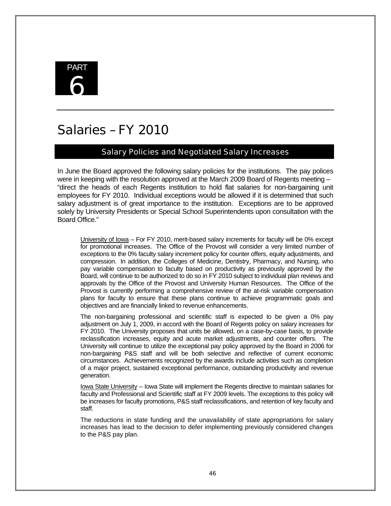

# Salaries – FY 2010

### Salary Policies and Negotiated Salary Increases

In June the Board approved the following salary policies for the institutions. The pay polices were in keeping with the resolution approved at the March 2009 Board of Regents meeting – "direct the heads of each Regents institution to hold flat salaries for non-bargaining unit employees for FY 2010. Individual exceptions would be allowed if it is determined that such salary adjustment is of great importance to the institution. Exceptions are to be approved solely by University Presidents or Special School Superintendents upon consultation with the Board Office."

University of Iowa – For FY 2010, merit-based salary increments for faculty will be 0% except for promotional increases. The Office of the Provost will consider a very limited number of exceptions to the 0% faculty salary increment policy for counter offers, equity adjustments, and compression. In addition, the Colleges of Medicine, Dentistry, Pharmacy, and Nursing, who pay variable compensation to faculty based on productivity as previously approved by the Board, will continue to be authorized to do so in FY 2010 subject to individual plan reviews and approvals by the Office of the Provost and University Human Resources. The Office of the Provost is currently performing a comprehensive review of the at-risk variable compensation plans for faculty to ensure that these plans continue to achieve programmatic goals and objectives and are financially linked to revenue enhancements.

The non-bargaining professional and scientific staff is expected to be given a 0% pay adjustment on July 1, 2009, in accord with the Board of Regents policy on salary increases for FY 2010. The University proposes that units be allowed, on a case-by-case basis, to provide reclassification increases, equity and acute market adjustments, and counter offers. The University will continue to utilize the exceptional pay policy approved by the Board in 2006 for non-bargaining P&S staff and will be both selective and reflective of current economic circumstances. Achievements recognized by the awards include activities such as completion of a major project, sustained exceptional performance, outstanding productivity and revenue generation.

Iowa State University -- Iowa State will implement the Regents directive to maintain salaries for faculty and Professional and Scientific staff at FY 2009 levels. The exceptions to this policy will be increases for faculty promotions, P&S staff reclassifications, and retention of key faculty and staff.

The reductions in state funding and the unavailability of state appropriations for salary increases has lead to the decision to defer implementing previously considered changes to the P&S pay plan.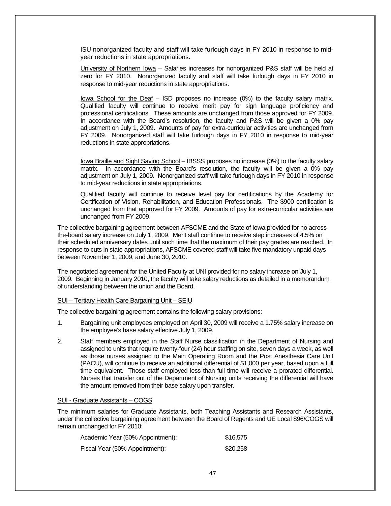ISU nonorganized faculty and staff will take furlough days in FY 2010 in response to midyear reductions in state appropriations.

University of Northern Iowa – Salaries increases for nonorganized P&S staff will be held at zero for FY 2010. Nonorganized faculty and staff will take furlough days in FY 2010 in response to mid-year reductions in state appropriations.

Iowa School for the Deaf – ISD proposes no increase (0%) to the faculty salary matrix. Qualified faculty will continue to receive merit pay for sign language proficiency and professional certifications. These amounts are unchanged from those approved for FY 2009. In accordance with the Board's resolution, the faculty and P&S will be given a 0% pay adjustment on July 1, 2009. Amounts of pay for extra-curricular activities are unchanged from FY 2009. Nonorganized staff will take furlough days in FY 2010 in response to mid-year reductions in state appropriations.

Iowa Braille and Sight Saving School - IBSSS proposes no increase (0%) to the faculty salary matrix. In accordance with the Board's resolution, the faculty will be given a 0% pay adjustment on July 1, 2009. Nonorganized staff will take furlough days in FY 2010 in response to mid-year reductions in state appropriations.

Qualified faculty will continue to receive level pay for certifications by the Academy for Certification of Vision, Rehabilitation, and Education Professionals. The \$900 certification is unchanged from that approved for FY 2009. Amounts of pay for extra-curricular activities are unchanged from FY 2009.

The collective bargaining agreement between AFSCME and the State of Iowa provided for no acrossthe-board salary increase on July 1, 2009. Merit staff continue to receive step increases of 4.5% on their scheduled anniversary dates until such time that the maximum of their pay grades are reached. In response to cuts in state appropriations, AFSCME covered staff will take five mandatory unpaid days between November 1, 2009, and June 30, 2010.

The negotiated agreement for the United Faculty at UNI provided for no salary increase on July 1, 2009. Beginning in January 2010, the faculty will take salary reductions as detailed in a memorandum of understanding between the union and the Board.

#### SUI – Tertiary Health Care Bargaining Unit – SEIU

The collective bargaining agreement contains the following salary provisions:

- 1. Bargaining unit employees employed on April 30, 2009 will receive a 1.75% salary increase on the employee's base salary effective July 1, 2009.
- 2. Staff members employed in the Staff Nurse classification in the Department of Nursing and assigned to units that require twenty-four (24) hour staffing on site, seven days a week, as well as those nurses assigned to the Main Operating Room and the Post Anesthesia Care Unit (PACU), will continue to receive an additional differential of \$1,000 per year, based upon a full time equivalent. Those staff employed less than full time will receive a prorated differential. Nurses that transfer out of the Department of Nursing units receiving the differential will have the amount removed from their base salary upon transfer.

#### SUI - Graduate Assistants – COGS

The minimum salaries for Graduate Assistants, both Teaching Assistants and Research Assistants, under the collective bargaining agreement between the Board of Regents and UE Local 896/COGS will remain unchanged for FY 2010:

| Academic Year (50% Appointment): | \$16,575 |
|----------------------------------|----------|
| Fiscal Year (50% Appointment):   | \$20,258 |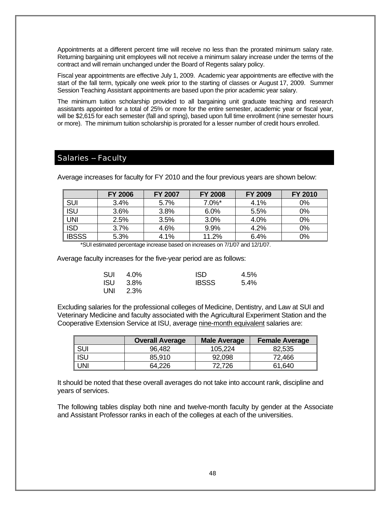Appointments at a different percent time will receive no less than the prorated minimum salary rate. Returning bargaining unit employees will not receive a minimum salary increase under the terms of the contract and will remain unchanged under the Board of Regents salary policy.

Fiscal year appointments are effective July 1, 2009. Academic year appointments are effective with the start of the fall term, typically one week prior to the starting of classes or August 17, 2009. Summer Session Teaching Assistant appointments are based upon the prior academic year salary.

The minimum tuition scholarship provided to all bargaining unit graduate teaching and research assistants appointed for a total of 25% or more for the entire semester, academic year or fiscal year, will be \$2,615 for each semester (fall and spring), based upon full time enrollment (nine semester hours or more). The minimum tuition scholarship is prorated for a lesser number of credit hours enrolled.

#### Salaries -- Faculty

|              | <b>FY 2006</b> | <b>FY 2007</b> | <b>FY 2008</b> | <b>FY 2009</b> | FY 2010 |
|--------------|----------------|----------------|----------------|----------------|---------|
| <b>SUI</b>   | 3.4%           | 5.7%           | $7.0\%$ *      | 4.1%           | 0%      |
| <b>ISU</b>   | 3.6%           | 3.8%           | 6.0%           | 5.5%           | 0%      |
| <b>UNI</b>   | 2.5%           | 3.5%           | 3.0%           | 4.0%           | 0%      |
| <b>ISD</b>   | 3.7%           | 4.6%           | 9.9%           | 4.2%           | 0%      |
| <b>IBSSS</b> | 5.3%           | 4.1%           | 11.2%          | 6.4%           | 0%      |

Average increases for faculty for FY 2010 and the four previous years are shown below:

\*SUI estimated percentage increase based on increases on 7/1/07 and 12/1/07.

Average faculty increases for the five-year period are as follows:

| SUI | 4.0%     | <b>ISD</b>   | 4.5%    |
|-----|----------|--------------|---------|
|     | ISU 3.8% | <b>IBSSS</b> | $5.4\%$ |
| UNI | 2.3%     |              |         |

Excluding salaries for the professional colleges of Medicine, Dentistry, and Law at SUI and Veterinary Medicine and faculty associated with the Agricultural Experiment Station and the Cooperative Extension Service at ISU, average nine-month equivalent salaries are:

|       | <b>Overall Average</b> | <b>Male Average</b> | <b>Female Average</b> |
|-------|------------------------|---------------------|-----------------------|
| ∥ SUI | 96,482                 | 105,224             | 82,535                |
| ∥ ISU | 85,910                 | 92,098              | 72,466                |
| I UNI | 64,226                 | 72,726              | 61,640                |

It should be noted that these overall averages do not take into account rank, discipline and years of services.

The following tables display both nine and twelve-month faculty by gender at the Associate and Assistant Professor ranks in each of the colleges at each of the universities.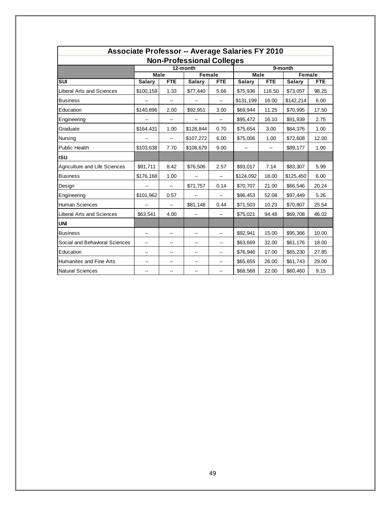| Associate Professor -- Average Salaries FY 2010 |                          |            |                                  |            |               |            |               |            |  |  |
|-------------------------------------------------|--------------------------|------------|----------------------------------|------------|---------------|------------|---------------|------------|--|--|
|                                                 |                          |            | <b>Non-Professional Colleges</b> |            |               |            |               |            |  |  |
|                                                 |                          |            | 12-month                         |            |               |            | 9-month       |            |  |  |
|                                                 | Male                     |            | Female                           |            | <b>Male</b>   |            |               | Female     |  |  |
| <b>SUI</b>                                      | <b>Salary</b>            | <b>FTE</b> | <b>Salary</b>                    | <b>FTE</b> | <b>Salary</b> | <b>FTE</b> | <b>Salary</b> | <b>FTE</b> |  |  |
| Liberal Arts and Sciences                       | \$100,159                | 1.33       | \$77,440                         | 5.66       | \$75,936      | 116.50     | \$73,057      | 98.25      |  |  |
| <b>Business</b>                                 |                          | --         |                                  |            | \$131,199     | 16.00      | \$142,214     | 6.00       |  |  |
| Education                                       | \$140,896                | 2.00       | \$92,951                         | 3.00       | \$69,944      | 11.25      | \$70,995      | 17.50      |  |  |
| Engineering                                     |                          | --         |                                  | щ,         | \$95,472      | 16.10      | \$91,939      | 2.75       |  |  |
| Graduate                                        | \$164,431                | 1.00       | \$128,844                        | 0.70       | \$75,654      | 3.00       | \$64,376      | 1.00       |  |  |
| Nursing                                         |                          |            | \$107,272                        | 6.00       | \$75,006      | 1.00       | \$72,608      | 12.00      |  |  |
| Public Health                                   | \$103,638                | 7.70       | \$108,679                        | 9.00       |               |            | \$89,177      | 1.00       |  |  |
| <b>ISU</b>                                      |                          |            |                                  |            |               |            |               |            |  |  |
| Agriculture and Life Sciences                   | \$91,711                 | 8.42       | \$76,506                         | 2.57       | \$93,017      | 7.14       | \$83,307      | 5.99       |  |  |
| <b>Business</b>                                 | \$176,168                | 1.00       |                                  | --         | \$124,092     | 18.00      | \$125,450     | 6.00       |  |  |
| Design                                          | $\overline{\phantom{a}}$ | --         | \$71,757                         | 0.14       | \$70,707      | 21.00      | \$66,546      | 20.24      |  |  |
| Engineering                                     | \$101,962                | 0.57       |                                  | щ,         | \$96,453      | 52.08      | \$97,449      | 5.26       |  |  |
| <b>Human Sciences</b>                           |                          |            | \$81,148                         | 0.44       | \$71,503      | 10.23      | \$70,807      | 25.54      |  |  |
| <b>Liberal Arts and Sciences</b>                | \$63,541                 | 4.00       |                                  | щ,         | \$75,021      | 94.48      | \$69,708      | 46.02      |  |  |
| <b>UNI</b>                                      |                          |            |                                  |            |               |            |               |            |  |  |
| <b>Business</b>                                 | --                       | --         | --                               | --         | \$92,941      | 15.00      | \$95,366      | 10.00      |  |  |
| Social and Behavioral Sciences                  | --                       | --         |                                  | --         | \$63,669      | 32.00      | \$61,176      | 18.00      |  |  |
| Education                                       | $\overline{\phantom{a}}$ | --         | н.                               | --         | \$76,946      | 17.00      | \$65,230      | 27.85      |  |  |
| Humanites and Fine Arts                         | $\overline{\phantom{a}}$ | --         | --                               | --         | \$65,655      | 26.00      | \$61,743      | 29.00      |  |  |
| Natural Sciences                                | --                       |            |                                  | --         | \$68,568      | 22.00      | \$60,460      | 9.15       |  |  |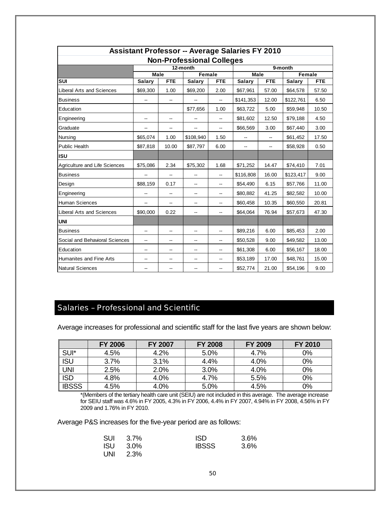| <b>Assistant Professor -- Average Salaries FY 2010</b> |               |            |               |            |               |            |               |               |  |
|--------------------------------------------------------|---------------|------------|---------------|------------|---------------|------------|---------------|---------------|--|
| <b>Non-Professional Colleges</b>                       |               |            |               |            |               |            |               |               |  |
|                                                        |               |            | 12-month      |            |               |            | 9-month       |               |  |
|                                                        | Male          |            | Female        |            | Male          |            |               | <b>Female</b> |  |
| <b>SUI</b>                                             | <b>Salary</b> | <b>FTE</b> | <b>Salary</b> | <b>FTE</b> | <b>Salary</b> | <b>FTE</b> | <b>Salary</b> | <b>FTE</b>    |  |
| <b>Liberal Arts and Sciences</b>                       | \$69,300      | 1.00       | \$69,200      | 2.00       | \$67,961      | 57.00      | \$64,578      | 57.50         |  |
| <b>Business</b>                                        |               |            |               |            | \$141,353     | 12.00      | \$122,761     | 6.50          |  |
| Education                                              |               |            | \$77,656      | 1.00       | \$63,722      | 5.00       | \$59,948      | 10.50         |  |
| Engineering                                            | --            |            |               | --         | \$81,602      | 12.50      | \$79,188      | 4.50          |  |
| Graduate                                               |               |            |               |            | \$66,569      | 3.00       | \$67,440      | 3.00          |  |
| Nursing                                                | \$65,074      | 1.00       | \$108,940     | 1.50       | --            |            | \$61,452      | 17.50         |  |
| <b>Public Health</b>                                   | \$87,818      | 10.00      | \$87,797      | 6.00       | --            | --         | \$58,928      | 0.50          |  |
| <b>ISU</b>                                             |               |            |               |            |               |            |               |               |  |
| Agriculture and Life Sciences                          | \$75,086      | 2.34       | \$75,302      | 1.68       | \$71,252      | 14.47      | \$74,410      | 7.01          |  |
| <b>Business</b>                                        |               |            |               | -−         | \$116,808     | 16.00      | \$123,417     | 9.00          |  |
| Design                                                 | \$88,159      | 0.17       | --            | --         | \$54,490      | 6.15       | \$57,766      | 11.00         |  |
| Engineering                                            |               |            | --            | --         | \$80,882      | 41.25      | \$82,582      | 10.00         |  |
| <b>Human Sciences</b>                                  |               |            | --            | --         | \$60,458      | 10.35      | \$60,550      | 20.81         |  |
| <b>Liberal Arts and Sciences</b>                       | \$90,000      | 0.22       | --            | --         | \$64,064      | 76.94      | \$57,673      | 47.30         |  |
| <b>UNI</b>                                             |               |            |               |            |               |            |               |               |  |
| <b>Business</b>                                        | --            |            |               | --         | \$89,216      | 6.00       | \$85,453      | 2.00          |  |
| Social and Behavioral Sciences                         | --            | --         | --            | --         | \$50,528      | 9.00       | \$49,582      | 13.00         |  |
| Education                                              | --            | --         | --            | --         | \$61,308      | 6.00       | \$56,167      | 18.00         |  |
| <b>Humanites and Fine Arts</b>                         | --            | --         | --            | --         | \$53,189      | 17.00      | \$48,761      | 15.00         |  |
| Natural Sciences                                       | --            |            |               | --         | \$52,774      | 21.00      | \$54,196      | 9.00          |  |

# Salaries – Professional and Scientific

Average increases for professional and scientific staff for the last five years are shown below:

|              | <b>FY 2006</b> | <b>FY 2007</b> | <b>FY 2008</b> | <b>FY 2009</b> | FY 2010 |
|--------------|----------------|----------------|----------------|----------------|---------|
| SUI*         | 4.5%           | 4.2%           | 5.0%           | 4.7%           | 0%      |
| <b>ISU</b>   | 3.7%           | 3.1%           | 4.4%           | 4.0%           | 0%      |
| <b>UNI</b>   | 2.5%           | 2.0%           | 3.0%           | 4.0%           | 0%      |
| <b>ISD</b>   | 4.8%           | 4.0%           | 4.7%           | 5.5%           | 0%      |
| <b>IBSSS</b> | 4.5%           | 4.0%           | 5.0%           | 4.5%           | 0%      |

\*(Members of the tertiary health care unit (SEIU) are not included in this average. The average increase for SEIU staff was 4.6% in FY 2005, 4.3% in FY 2006, 4.4% in FY 2007, 4.94% in FY 2008, 4.56% in FY 2009 and 1.76% in FY 2010.

Average P&S increases for the five-year period are as follows:

|      | SUI 3.7% | <b>ISD</b>   | $3.6\%$ |
|------|----------|--------------|---------|
|      | ISU 3.0% | <b>IBSSS</b> | $3.6\%$ |
| UNI. | 2.3%     |              |         |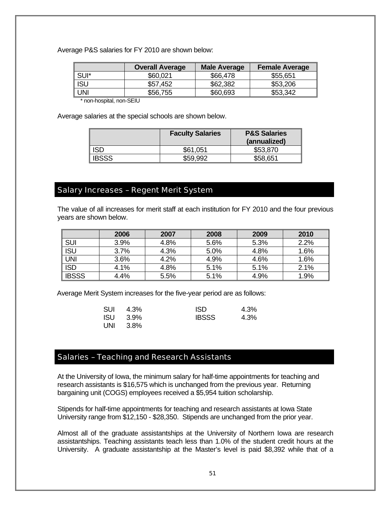Average P&S salaries for FY 2010 are shown below:

|            | <b>Overall Average</b> | <b>Male Average</b> | <b>Female Average</b> |
|------------|------------------------|---------------------|-----------------------|
| SUI*       | \$60,021               | \$66,478            | \$55,651              |
| <b>ISU</b> | \$57,452               | \$62,382            | \$53,206              |
| UNI        | \$56,755               | \$60,693            | \$53,342              |

\* non-hospital, non-SEIU

Average salaries at the special schools are shown below.

|              | <b>Faculty Salaries</b> | <b>P&amp;S Salaries</b><br>(annualized) |
|--------------|-------------------------|-----------------------------------------|
| <b>ISD</b>   | \$61,051                | \$53,870                                |
| <b>IBSSS</b> | \$59,992                | \$58,651                                |

# Salary Increases – Regent Merit System

The value of all increases for merit staff at each institution for FY 2010 and the four previous years are shown below.

|              | 2006 | 2007 | 2008 | 2009 | 2010    |
|--------------|------|------|------|------|---------|
| <b>SUI</b>   | 3.9% | 4.8% | 5.6% | 5.3% | 2.2%    |
| <b>ISU</b>   | 3.7% | 4.3% | 5.0% | 4.8% | 1.6%    |
| <b>UNI</b>   | 3.6% | 4.2% | 4.9% | 4.6% | $1.6\%$ |
| <b>ISD</b>   | 4.1% | 4.8% | 5.1% | 5.1% | 2.1%    |
| <b>IBSSS</b> | 4.4% | 5.5% | 5.1% | 4.9% | 1.9%    |

Average Merit System increases for the five-year period are as follows:

| SUI  | 4.3%            | ISD.         | 4.3% |
|------|-----------------|--------------|------|
|      | <b>ISU</b> 3.9% | <b>IBSSS</b> | 4.3% |
| UNI. | 3.8%            |              |      |

# Salaries – Teaching and Research Assistants

At the University of Iowa, the minimum salary for half-time appointments for teaching and research assistants is \$16,575 which is unchanged from the previous year. Returning bargaining unit (COGS) employees received a \$5,954 tuition scholarship.

Stipends for half-time appointments for teaching and research assistants at Iowa State University range from \$12,150 - \$28,350. Stipends are unchanged from the prior year.

Almost all of the graduate assistantships at the University of Northern Iowa are research assistantships. Teaching assistants teach less than 1.0% of the student credit hours at the University. A graduate assistantship at the Master's level is paid \$8,392 while that of a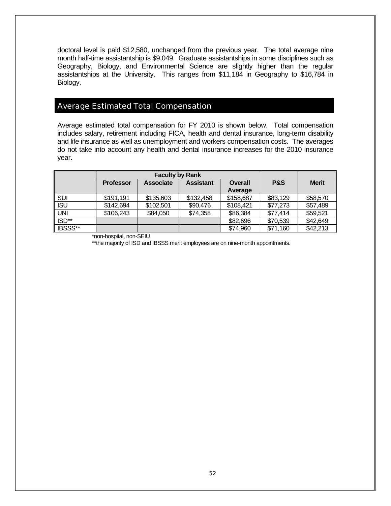doctoral level is paid \$12,580, unchanged from the previous year. The total average nine month half-time assistantship is \$9,049. Graduate assistantships in some disciplines such as Geography, Biology, and Environmental Science are slightly higher than the regular assistantships at the University. This ranges from \$11,184 in Geography to \$16,784 in Biology.

# Average Estimated Total Compensation

Average estimated total compensation for FY 2010 is shown below. Total compensation includes salary, retirement including FICA, health and dental insurance, long-term disability and life insurance as well as unemployment and workers compensation costs. The averages do not take into account any health and dental insurance increases for the 2010 insurance year.

|            |                  | <b>Faculty by Rank</b> |                  |                |          |              |
|------------|------------------|------------------------|------------------|----------------|----------|--------------|
|            | <b>Professor</b> | <b>Associate</b>       | <b>Assistant</b> | <b>Overall</b> | P&S      | <b>Merit</b> |
|            |                  |                        |                  | Average        |          |              |
| <b>SUI</b> | \$191.191        | \$135,603              | \$132,458        | \$158,687      | \$83,129 | \$58,570     |
| <b>ISU</b> | \$142,694        | \$102,501              | \$90,476         | \$108,421      | \$77,273 | \$57,489     |
| <b>UNI</b> | \$106,243        | \$84,050               | \$74,358         | \$86,384       | \$77,414 | \$59,521     |
| ISD**      |                  |                        |                  | \$82,696       | \$70,539 | \$42,649     |
| IBSSS**    |                  |                        |                  | \$74,960       | \$71,160 | \$42,213     |

\*non-hospital, non-SEIU

\*\*the majority of ISD and IBSSS merit employees are on nine-month appointments.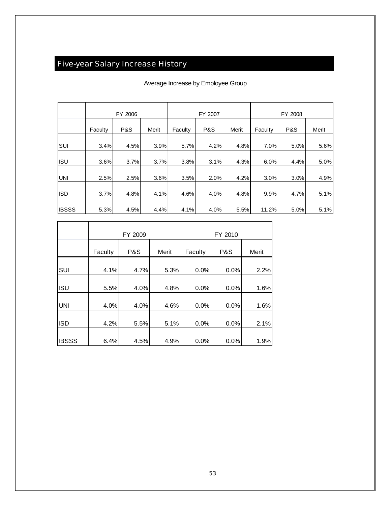# Five-year Salary Increase History

Г

┯

|              |         | FY 2006 |       |         | FY 2007 |       |         | FY 2008        |       |
|--------------|---------|---------|-------|---------|---------|-------|---------|----------------|-------|
|              | Faculty | P&S     | Merit | Faculty | P&S     | Merit | Faculty | <b>P&amp;S</b> | Merit |
| <b>SUI</b>   | 3.4%    | 4.5%    | 3.9%  | 5.7%    | 4.2%    | 4.8%  | 7.0%    | 5.0%           | 5.6%  |
| <b>ISU</b>   | 3.6%    | 3.7%    | 3.7%  | 3.8%    | 3.1%    | 4.3%  | 6.0%    | 4.4%           | 5.0%  |
| <b>UNI</b>   | 2.5%    | 2.5%    | 3.6%  | 3.5%    | 2.0%    | 4.2%  | 3.0%    | 3.0%           | 4.9%  |
| <b>ISD</b>   | 3.7%    | 4.8%    | 4.1%  | 4.6%    | 4.0%    | 4.8%  | 9.9%    | 4.7%           | 5.1%  |
| <b>IBSSS</b> | 5.3%    | 4.5%    | 4.4%  | 4.1%    | 4.0%    | 5.5%  | 11.2%   | 5.0%           | 5.1%  |

٦

Average Increase by Employee Group

|              |         | FY 2009        |       |         | FY 2010        |       |
|--------------|---------|----------------|-------|---------|----------------|-------|
|              | Faculty | <b>P&amp;S</b> | Merit | Faculty | <b>P&amp;S</b> | Merit |
| SUI          | 4.1%    | 4.7%           | 5.3%  | 0.0%    | 0.0%           | 2.2%  |
| <b>ISU</b>   | 5.5%    | 4.0%           | 4.8%  | 0.0%    | 0.0%           | 1.6%  |
| <b>UNI</b>   | 4.0%    | 4.0%           | 4.6%  | 0.0%    | 0.0%           | 1.6%  |
| <b>ISD</b>   | 4.2%    | 5.5%           | 5.1%  | 0.0%    | 0.0%           | 2.1%  |
| <b>IBSSS</b> | 6.4%    | 4.5%           | 4.9%  | 0.0%    | 0.0%           | 1.9%  |

Т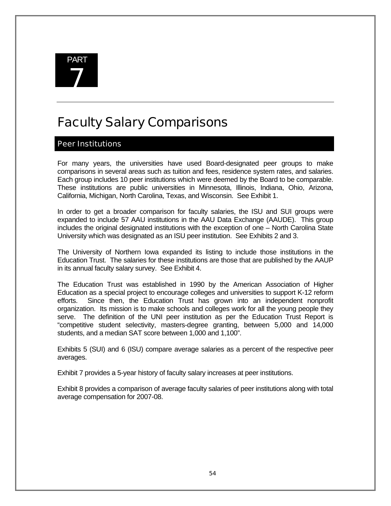

# Faculty Salary Comparisons

# Peer Institutions

For many years, the universities have used Board-designated peer groups to make comparisons in several areas such as tuition and fees, residence system rates, and salaries. Each group includes 10 peer institutions which were deemed by the Board to be comparable. These institutions are public universities in Minnesota, Illinois, Indiana, Ohio, Arizona, California, Michigan, North Carolina, Texas, and Wisconsin. See Exhibit 1.

In order to get a broader comparison for faculty salaries, the ISU and SUI groups were expanded to include 57 AAU institutions in the AAU Data Exchange (AAUDE). This group includes the original designated institutions with the exception of one – North Carolina State University which was designated as an ISU peer institution. See Exhibits 2 and 3.

The University of Northern Iowa expanded its listing to include those institutions in the Education Trust. The salaries for these institutions are those that are published by the AAUP in its annual faculty salary survey. See Exhibit 4.

The Education Trust was established in 1990 by the American Association of Higher Education as a special project to encourage colleges and universities to support K-12 reform efforts. Since then, the Education Trust has grown into an independent nonprofit organization. Its mission is to make schools and colleges work for all the young people they serve. The definition of the UNI peer institution as per the Education Trust Report is "competitive student selectivity, masters-degree granting, between 5,000 and 14,000 students, and a median SAT score between 1,000 and 1,100".

Exhibits 5 (SUI) and 6 (ISU) compare average salaries as a percent of the respective peer averages.

Exhibit 7 provides a 5-year history of faculty salary increases at peer institutions.

Exhibit 8 provides a comparison of average faculty salaries of peer institutions along with total average compensation for 2007-08.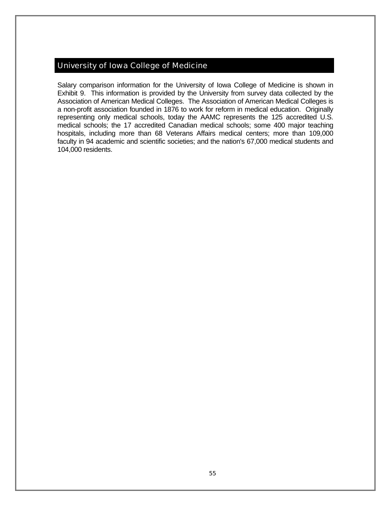# University of Iowa College of Medicine

Salary comparison information for the University of Iowa College of Medicine is shown in Exhibit 9. This information is provided by the University from survey data collected by the Association of American Medical Colleges. The Association of American Medical Colleges is a non-profit association founded in 1876 to work for reform in medical education. Originally representing only medical schools, today the AAMC represents the 125 accredited U.S. medical schools; the 17 accredited Canadian medical schools; some 400 major teaching hospitals, including more than 68 Veterans Affairs medical centers; more than 109,000 faculty in 94 academic and scientific societies; and the nation's 67,000 medical students and 104,000 residents.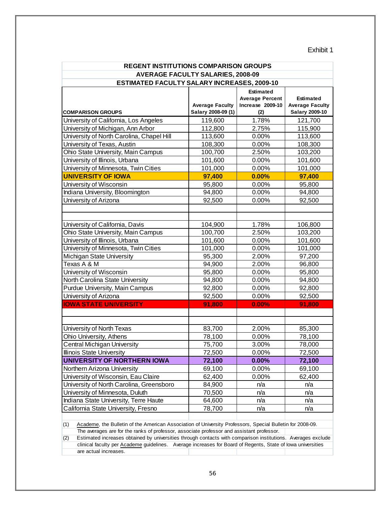#### Exhibit 1

| <b>REGENT INSTITUTIONS COMPARISON GROUPS</b>                      |                                              |                         |                                                 |
|-------------------------------------------------------------------|----------------------------------------------|-------------------------|-------------------------------------------------|
| <b>AVERAGE FACULTY SALARIES, 2008-09</b>                          |                                              |                         |                                                 |
| <b>ESTIMATED FACULTY SALARY INCREASES, 2009-10</b>                |                                              |                         |                                                 |
|                                                                   |                                              | <b>Estimated</b>        |                                                 |
|                                                                   |                                              | <b>Average Percent</b>  | <b>Estimated</b>                                |
|                                                                   | <b>Average Faculty</b><br>Salary 2008-09 (1) | Increase 2009-10<br>(2) | <b>Average Faculty</b><br><b>Salary 2009-10</b> |
| <b>COMPARISON GROUPS</b><br>University of California, Los Angeles |                                              | 1.78%                   |                                                 |
| University of Michigan, Ann Arbor                                 | 119,600<br>112,800                           | 2.75%                   | 121,700<br>115,900                              |
| University of North Carolina, Chapel Hill                         | 113,600                                      | 0.00%                   | 113,600                                         |
| University of Texas, Austin                                       | 108,300                                      | 0.00%                   | 108,300                                         |
| Ohio State University, Main Campus                                | 100,700                                      | 2.50%                   | 103,200                                         |
| University of Illinois, Urbana                                    | 101,600                                      | 0.00%                   | 101,600                                         |
| University of Minnesota, Twin Cities                              | 101,000                                      | 0.00%                   | 101,000                                         |
| <b>UNIVERSITY OF IOWA</b>                                         | 97,400                                       | 0.00%                   | 97,400                                          |
| University of Wisconsin                                           | 95,800                                       | 0.00%                   | 95,800                                          |
| Indiana University, Bloomington                                   | 94,800                                       | $0.00\%$                | 94,800                                          |
| University of Arizona                                             | 92,500                                       | 0.00%                   | 92,500                                          |
|                                                                   |                                              |                         |                                                 |
|                                                                   |                                              |                         |                                                 |
| University of California, Davis                                   | 104,900                                      | 1.78%                   | 106,800                                         |
| Ohio State University, Main Campus                                | 100,700                                      | 2.50%                   | 103,200                                         |
| University of Illinois, Urbana                                    | 101,600                                      | 0.00%                   | 101,600                                         |
| University of Minnesota, Twin Cities                              | 101,000                                      | 0.00%                   | 101,000                                         |
| Michigan State University                                         | 95,300                                       | 2.00%                   | 97,200                                          |
| Texas A & M                                                       | 94,900                                       | 2.00%                   | 96,800                                          |
| University of Wisconsin                                           | 95,800                                       | 0.00%                   | 95,800                                          |
| North Carolina State University                                   | 94,800                                       | 0.00%                   | 94,800                                          |
| <b>Purdue University, Main Campus</b>                             | 92,800                                       | 0.00%                   | 92,800                                          |
| University of Arizona                                             | 92,500                                       | 0.00%                   | 92,500                                          |
| <b>IOWA STATE UNIVERSITY</b>                                      | 91,800                                       | 0.00%                   | 91,800                                          |
|                                                                   |                                              |                         |                                                 |
|                                                                   |                                              |                         |                                                 |
| University of North Texas                                         | 83,700                                       | 2.00%                   | 85,300                                          |
| Ohio University, Athens                                           | 78,100                                       | 0.00%                   | 78,100                                          |
| <b>Central Michigan University</b>                                | 75,700                                       | 3.00%                   | 78,000                                          |
| Illinois State University                                         | 72,500                                       | 0.00%                   | 72,500                                          |
| UNIVERSITY OF NORTHERN IOWA                                       | 72,100                                       | 0.00%                   | 72,100                                          |
| Northern Arizona University                                       | 69,100                                       | 0.00%                   | 69,100                                          |
| University of Wisconsin, Eau Claire                               | 62,400                                       | 0.00%                   | 62,400                                          |
| University of North Carolina, Greensboro                          | 84,900                                       | n/a                     | n/a                                             |
| University of Minnesota, Duluth                                   | 70,500                                       | n/a                     | n/a                                             |
| Indiana State University, Terre Haute                             | 64,600                                       | n/a                     | n/a                                             |
| California State University, Fresno                               | 78,700                                       | n/a                     | n/a                                             |
|                                                                   |                                              |                         |                                                 |

(1) Academe, the Bulletin of the American Association of University Professors, Special Bulletin for 2008-09. The averages are for the ranks of professor, associate professor and assistant professor.

(2) Estimated increases obtained by universities through contacts with comparison institutions. Averages exclude clinical faculty per Academe guidelines. Average increases for Board of Regents, State of Iowa universities are actual increases.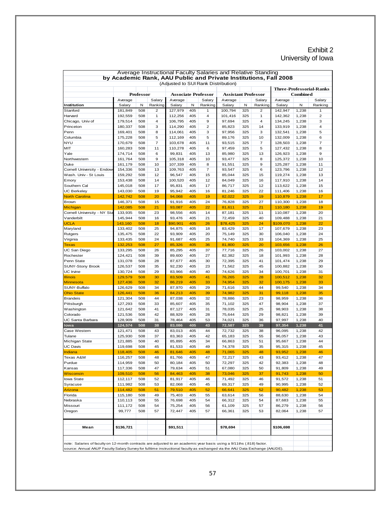#### Exhibit 2 University of Iowa

|                                  |                    |            |          | (Adjusted to SUI Rank Distribution) |            |                            |                            |            |                |                    |                |                                 |
|----------------------------------|--------------------|------------|----------|-------------------------------------|------------|----------------------------|----------------------------|------------|----------------|--------------------|----------------|---------------------------------|
|                                  |                    |            |          |                                     |            |                            |                            |            |                |                    |                | <b>Three-Professorial-Ranks</b> |
|                                  |                    | Professor  |          |                                     |            | <b>Associate Professor</b> | <b>Assistant Professor</b> |            |                |                    | Combined       |                                 |
|                                  | Average            |            | Salary   | Average                             |            | Salary                     | Average                    |            | Salary         | Average            |                | Salary                          |
| Institution                      | Salary             | N          | Ranking  | Salary                              | N          | Ranking                    | Salary                     | N          | Ranking        | Salary             | N              | Ranking                         |
| Stanford                         | 181,849            | 508        | 2        | 127,979                             | 405        | 1                          | 100,794                    | 325        | $\overline{2}$ | 142,947            | 1,238          | 1                               |
| Harvard                          | 192,559            | 508        | 1        | 112,256                             | 405        | 4                          | 101,416                    | 325        | 1              | 142,362            | 1,238          | 2                               |
| Chicago, Univ of                 | 179,514            | 508        | 4        | 106,795                             | 405        | 9                          | 97,694                     | 325        | 4              | 134,245            | 1,238          | 3                               |
| Princeton<br>Penn                | 180,337<br>169,401 | 508<br>508 | 3<br>8   | 114,290<br>114,061                  | 405<br>405 | 2                          | 85,823<br>97,956           | 325        | 14<br>3        | 133,919<br>132,541 | 1,238          | 4<br>5                          |
| Columbia                         | 175,228            | 508        | 5        | 112,169                             | 405        | 3<br>5                     | 89,176                     | 325<br>325 | 10             | 132,009            | 1,238<br>1,238 | 6                               |
| <b>NYU</b>                       | 170,679            | 508        | 7        | 103,678                             | 405        | 11                         | 93,515                     | 325        | $\overline{7}$ | 128,503            | 1,238          | 7                               |
| MIT                              | 160,283            | 508        | 11       | 110,278                             | 405        | 6                          | 97,459                     | 325        | 5              | 127,432            | 1,238          | 8                               |
| Yale                             | 174,714            | 508        | 6        | 99,831                              | 405        | 13                         | 85,980                     | 325        | 13             | 126,923            | 1,238          | 9                               |
| Northwestern                     | 161,764            | 508        | 9        | 105,318                             | 405        | 10                         | 93,477                     | 325        | 8              | 125,372            | 1,238          | 10                              |
| Duke                             | 161,179            | 508        | 10       | 107,339                             | 405        | 8                          | 91,551                     | 325        | 9              | 125,287            | 1,238          | 11                              |
| Cornell University - Endow       | 154,336            | 508        | 13       | 109,763                             | 405        | 7                          | 93,547                     | 325        | 6              | 123,796            | 1,238          | 12                              |
| Wash. Univ - St Louis            | 159,292            | 508        | 12       | 96,547                              | 405        | 15                         | 85,044                     | 325        | 15             | 119,274            | 1,238          | 13                              |
| Emory                            | 153,438            | 508        | 14       | 100,520                             | 405        | 12                         | 84,049                     | 325        | 16             | 117,910            | 1,238          | 14                              |
| Southern Cal                     | 145,018            | 508        | 17       | 95,831                              | 405        | 17                         | 86,717                     | 325        | 12             | 113,622            | 1,238          | 15                              |
| <b>UC Berkeley</b>               | 143,030            | 508        | 19       | 95,942                              | 405        | 16                         | 81,246                     | 325        | 22             | 111,406            | 1,238          | 16                              |
| <b>North Carolina</b>            | 142,742            | 508        | 20       | 94,068                              | 405        | 19                         | 82,022                     | 325        | 19             | 110,879            | 1,238          | 17                              |
| <b>Brown</b>                     | 146,371            | 508        | 15       | 91,916                              | 405        | 24                         | 76,828                     | 325        | 27             | 110,300            | 1,238          | 18                              |
| Michigan                         | 142,085            | 508        | 21       | 93,087                              | 405        | 22                         | 81,611                     | 325        | 21             | 110,180            | 1,238          | 19                              |
| Cornell University - NY Sta      | 133,935            | 508        | 23       | 98,556                              | 405        | 14                         | 87,181                     | 325        | 11             | 110,087            | 1,238          | 20                              |
| Vanderbilt                       | 145,944            | 508        | 16       | 93,476                              | 405        | 21                         | 72,459                     | 325        | 40             | 109,488            | 1,238          | 21                              |
| <b>UCLA</b>                      | 143,160            | 508        | 18       | \$90,901                            | 405        | 26                         | \$78,425                   | 325        | 24             | \$109,070          | 1,238          | 22                              |
| Maryland                         | 133,402            | 508        | 25       | 94,875                              | 405        | 18                         | 83,429                     | 325        | 17             | 107,679            | 1,238          | 23                              |
| Rutgers                          | 135,475            | 508        | 22       | 93,909                              | 405        | 20                         | 75,149                     | 325        | 30             | 106,040            | 1,238          | 24                              |
| Virginia                         | 133,435            | 508        | 24       | 91,687                              | 405        | 25                         | 74,740                     | 325        | 33             | 104,369            | 1,238          | 25                              |
| Texas                            | 132,253            | 508        | 27       | 85,326                              | 405        | 36                         | 81,800                     | 325        | 20             | 103,656            | 1,238          | 26                              |
| UC San Diego                     | 133,295            | 508        | 26       | 85,295                              | 405        | 37                         | 77,716                     | 325        | 26             | 103,002            | 1,238          | 27                              |
| Rochester                        | 124,421            | 508        | 39       | 89,600                              | 405        | 27                         | 82,382                     | 325        | 18             | 101,993            | 1,238          | 28                              |
| Penn State                       | 131,078            | 508        | 28       | 87,677                              | 405        | 30                         | 72,395                     | 325        | 41             | 101,474            | 1,238          | 29                              |
| SUNY-Stony Brook                 | 126,537            | 508        | 35       | 92,230                              | 405        | 23                         | 71,562                     | 325        | 45             | 100,882            | 1,238          | 30                              |
| UC Irvine                        | 130,724            | 508        | 29       | 83,966                              | 405        | 40                         | 74,626                     | 325        | 34             | 100,701            | 1,238          | 31                              |
| <b>Illinois</b>                  | 129,579<br>127,436 | 508        | 30<br>32 | 83,509<br>86,219                    | 405<br>405 | 41                         | 76,265                     | 325<br>325 | 28<br>32       | 100,512            | 1,238          | 32                              |
| <b>Minnesota</b><br>SUNY-Buffalo | 126,629            | 508<br>508 | 34       | 87,970                              | 405        | 33<br>29                   | 74,954<br>71,616           | 325        | 44             | 100,175<br>99,540  | 1,238<br>1,238 | 33<br>34                        |
| <b>Ohio State</b>                | 126,441            | 508        | 36       | 84,213                              | 405        | 39                         | 74,982                     | 325        | 31             | 99,118             | 1,238          | 35                              |
| Brandeis                         | 121,304            | 508        | 44       | 87,038                              | 405        | 32                         | 78,886                     | 325        | 23             | 98,959             | 1,238          | 36                              |
| Pittsburgh                       | 127,293            | 508        | 33       | 85,607                              | 405        | 35                         | 71,102                     | 325        | 47             | 98,904             | 1,238          | 37                              |
| Washington                       | 121,642            | 508        | 41       | 87,127                              | 405        | 31                         | 78,035                     | 325        | 25             | 98,903             | 1,238          | 38                              |
| Colorado                         | 121,536            | 508        | 42       | 88,929                              | 405        | 28                         | 75,644                     | 325        | 29             | 98,821             | 1,238          | 39                              |
| UC Santa Barbara                 | 128,909            | 508        | 31       | 78,464                              | 405        | 53                         | 74,021                     | 325        | 36             | 97,997             | 1,238          | 40                              |
| lowa                             | 124,574            | 508        | 38       | 83,086                              | 405        | 43                         | 72,587                     | 325        | 39             | 97,354             | 1,238          | 41                              |
| Case Western                     | 121,471            | 508        | 43       | 83,013                              | 405        | 44                         | 72,732                     | 325        | 38             | 96,095             | 1,238          | 42                              |
| Tulane                           | 125,930            | 508        | 37       | 83,363                              | 405        | 42                         | 65,183                     | 325        | 55             | 96,057             | 1,238          | 43                              |
| Michigan State                   | 121,885            | 508        | 40       | 85,895                              | 405        | 34                         | 66,863                     | 325        | 51             | 95,667             | 1,238          | 44                              |
| <b>UC Davis</b>                  | 119,698            | 508        | 45       | 81,533                              | 405        | 49                         | 74,378                     | 325        | 35             | 95,315             | 1,238          | 45                              |
| Indiana                          | 118,405            | 508        | 46       | 81,646                              | 405        | 48                         | 71,065                     | 325        | 48             | 93,952             | 1,238          | 46                              |
| Texas A&M                        | 116,257            | 508        | 48       | 81,766                              | 405        | 47                         | 72,217                     | 325        | 43             | 93,412             | 1,238          | 47                              |
| Purdue                           | 114,959            | 508        | 50       | 80,184                              | 405        | 50                         | 72,297                     | 325        | 42             | 92,383             | 1,238          | 48                              |
| Kansas                           | 117,336            | 508        | 47       | 79,634                              | 405        | 51                         | 67,080                     | 325        | 50             | 91,809             | 1,238          | 49                              |
| <b>Wisconsin</b>                 | 109,510            | 508        | 56       | 84,463                              | 405        | 38                         | 73,046                     | 325        | 37             | 91,743             | 1,238          | 50                              |
| lowa State                       | 112,117            | 508        | 52       | 81,917                              | 405        | 46                         | 71,492                     | 325        | 46             | 91,572             | 1,238          | 51                              |
| Syracuse                         | 111,982            | 508        | 53       | 82,068                              | 405        | 45                         | 69,317                     | 325        | 49             | 90,995             | 1,238          | 52                              |
| Arizona                          | 114,482            | 508        | 51       | 79,510                              | 405        | 52                         | 66,641                     | 325        | 52             | 90,482             | 1,238          | 53                              |
| Florida                          | 115,180            | 508        | 49       | 75,403                              | 405        | 55                         | 63,614                     | 325        | 56             | 88,630             | 1,238          | 54                              |
| Nebraska                         | 110,113            | 508        | 55       | 76,698                              | 405        | 54                         | 66,312                     | 325        | 54             | 87,683             | 1,238          | 55                              |
| Missouri                         | 111,172            | 508        | 54       | 75,254                              | 405        | 56                         | 61,109                     | 325        | 57             | 86,279             | 1,238          | 56                              |
| Oregon                           | 99,777             | 508        | 57       | 72,447                              | 405        | 57                         | 66,361                     | 325        | 53             | 82,064             | 1,238          | 57                              |
| Mean                             | \$136,721          |            |          | \$91,511                            |            |                            | \$78,694                   |            |                | \$106,698          |                |                                 |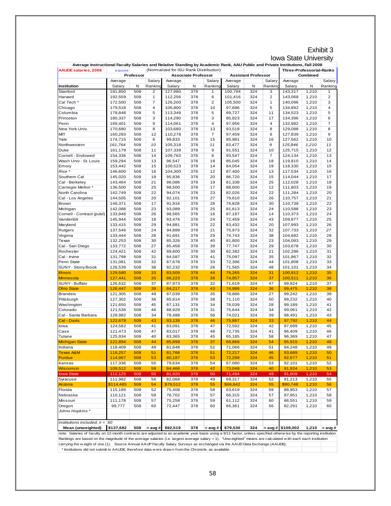#### Exhibit 3 Iowa State University

| Average Instructional Faculty Salaries and Relative Standing by Academic Rank, AAU Public and Private Institutions, Fall 2008 |                    |            |          |                                        |                            |                |                      |                            |          |                                   |                |                 |
|-------------------------------------------------------------------------------------------------------------------------------|--------------------|------------|----------|----------------------------------------|----------------------------|----------------|----------------------|----------------------------|----------|-----------------------------------|----------------|-----------------|
| <b>AAUDE salaries, 2008</b>                                                                                                   | 9/15/2009          |            |          | (Normalized for ISU Rank Distribution) |                            |                |                      |                            |          | <b>Three-Professorial-Ranks</b>   |                |                 |
|                                                                                                                               |                    | Professor  |          |                                        | <b>Associate Professor</b> |                |                      | <b>Assistant Professor</b> |          |                                   | Combined       |                 |
|                                                                                                                               | Average            |            | Salary   | Average                                |                            | Salary         | Average              |                            | Salary   | Average                           |                | Salary          |
| Institution                                                                                                                   | Salary             | Ν          | Ranking  | Salary                                 | Ν                          | Ranking        | Salary               | Ν                          | Ranking  | Salary                            | N              | Ranking         |
| Stanford                                                                                                                      | 181,850            | 508        | 2        | 127,980                                | 378                        | 1              | 100,794              | 324                        | 3        | 143,317                           | 1,210          | 1               |
| Harvard                                                                                                                       | 192,559            | 508        | 1        | 112,256                                | 378                        | 6              | 101,416              | 324                        | 2        | 143,068                           | 1,210          | 2               |
| Cal Tech *                                                                                                                    | 172,500            | 508        | 7        | 126,200                                | 378                        | 2              | 105,500              | 324                        | 1        | 140,096                           | 1,210          | 3               |
| Chicago                                                                                                                       | 179,518            | 508        | 4        | 106,800                                | 378                        | 10             | 97,696               | 324                        | 5        | 134,892                           | 1,210          | 4               |
| Columbia                                                                                                                      | 178,848            | 508        | 5        | 113,349                                | 378                        | 5              | 89,727               | 324                        | 11       | 134,523                           | 1,210          | 5               |
| Princeton                                                                                                                     | 180,337            | 508        | 3        | 114,290                                | 378                        | 3              | 85,823               | 324                        | 17       | 134,396                           | 1,210          | 6               |
| Penn                                                                                                                          | 169,401            | 508        | 9        | 114,061                                | 378                        | 4              | 97,956               | 324                        | 4        | 132,982                           | 1,210          | 7               |
| New York Univ.                                                                                                                | 170,680            | 508        | 8        | 103,680                                | 378                        | 13             | 93,518               | 324                        | 8        | 129,088                           | 1,210          | 8               |
| MIT                                                                                                                           | 160,283            | 508        | 12       | 110,278                                | 378                        | $\overline{7}$ | 97,459               | 324                        | 6        | 127,839                           | 1,210          | 9               |
| Yale                                                                                                                          | 174,715            | 508        | 6        | 99,833                                 | 378                        | 15             | 85,981               | 324                        | 16       | 127,562                           | 1,210          | 10              |
| Northwestern                                                                                                                  | 161,764            | 508        | 10       | 105,318                                | 378                        | 11             | 93,477               | 324                        | 9        | 125,846                           | 1,210          | 11              |
| Duke                                                                                                                          | 161,179            | 508        | 11       | 107,339                                | 378                        | 9              | 91,551               | 324                        | 10       | 125,715                           | 1,210          | 12              |
| Cornell - Endowed                                                                                                             | 154,336            | 508        | 14       | 109,763                                | 378                        | 8              | 93,547               | 324                        | 7        | 124,134                           | 1,210          | 13              |
| Wash Univ - St. Louis                                                                                                         | 159,294            | 508        | 13       | 96,547                                 | 378                        | 18             | 85,045               | 324                        | 18       | 119,810                           | 1,210          | 14              |
| Emory                                                                                                                         | 153,442            | 508        | 15       | 100,523                                | 378                        | 14             | 84,054               | 324                        | 19       | 118,330                           | 1,210          | 15              |
| Rice *                                                                                                                        | 146,600            | 508        | 16       | 104,300                                | 378                        | 12             | 87,400               | 324                        | 13       | 117,534                           | 1,210          | 16              |
| Southern Cal                                                                                                                  | 145,020            | 508        | 19       | 95,836                                 | 378                        | 20             | 86,720               | 324                        | 15       | 114,044                           | 1,210          | 17              |
| Cal - Berkeley                                                                                                                | 143,464            | 508        | 21       | 96,086                                 | 378                        | 19             | 81,338               | 324                        | 25       | 112,028                           | 1,210          | 18              |
| Carnegie Mellon *                                                                                                             | 136,500            | 508        | 25       | 98,500                                 | 378                        | 17             | 88,600               | 324                        | 12       | 111,803                           | 1,210          | 19              |
| North Carolina                                                                                                                | 142,749            | 508        | 22       | 94,074                                 | 378                        | 23             | 82,026               | 324                        | 22       | 111,284                           | 1,210          | 20              |
| Cal - Los Angeles                                                                                                             | 144,505            | 508        | 20       | 92,101                                 | 378                        | 27             | 79,610               | 324                        | 26       | 110,757                           | 1,210          | 21              |
| Brown                                                                                                                         | 146,371            | 508        | 17       | 91,916                                 | 378                        | 28             | 76,828               | 324                        | 30       | 110,738                           | 1,210          | 22              |
| Michigan                                                                                                                      | 142,088            | 508        | 23       | 93,089                                 | 378                        | 25             | 81,613               | 324                        | 24       | 110,588                           | 1,210          | 23              |
| Cornell - Contract (publ)                                                                                                     | 133,948            | 508        | 26<br>18 | 98,565<br>93,476                       | 378                        | 16<br>24       | 87,187               | 324                        | 14<br>43 | 110,373                           | 1,210          | 24              |
| Vanderiblt<br>Maryland                                                                                                        | 145,944<br>133,415 | 508<br>508 | 29       | 94,881                                 | 378<br>378                 | 22             | 72,459<br>83,432     | 324<br>324                 | 20       | 109,877<br>107,993                | 1,210<br>1,210 | 25<br>26        |
| Rutgers                                                                                                                       | 137,546            | 508        | 24       | 94,889                                 | 378                        | 21             | 75,973               | 324                        | 32       | 107,733                           | 1,210          | 27              |
| Virginia                                                                                                                      | 133,444            | 508        | 28       | 91,691                                 | 378                        | 29             | 74,743               | 324                        | 38       | 104,682                           | 1,210          | 28              |
| Texas                                                                                                                         | 132,253            | 508        | 30       | 85,326                                 | 378                        | 40             | 81,800               | 324                        | 23       | 104,083                           | 1,210          | 29              |
| Cal - San Diego                                                                                                               | 133,772            | 508        | 27       | 85,458                                 | 378                        | 39             | 77,747               | 324                        | 29       | 103,678                           | 1,210          | 30              |
| Rochester                                                                                                                     | 124,421            | 508        | 42       | 89,600                                 | 378                        | 30             | 82,382               | 324                        | 21       | 102,286                           | 1,210          | 31              |
| Cal - Irvine                                                                                                                  | 131,798            | 508        | 31       | 84,587                                 | 378                        | 41             | 75,097               | 324                        | 35       | 101,867                           | 1,210          | 32              |
| Penn State                                                                                                                    | 131,081            | 508        | 32       | 87,678                                 | 378                        | 33             | 72,396               | 324                        | 44       | 101,808                           | 1,210          | 33              |
| SUNY - Stony Brook                                                                                                            | 126,539            | 508        | 38       | 92,232                                 | 378                        | 26             | 71,565               | 324                        | 48       | 101,101                           | 1,210          | 34              |
| <b>Illinois</b>                                                                                                               | 129,580            | 508        | 33       | 83,509                                 | 378                        | 44             | 76,265               | 324                        | 31       | 100,912                           | 1,210          | 35              |
| Minnesota                                                                                                                     | 127,441            | 508        | 35       | 86,223                                 | 378                        | 36             | 74,957               | 324                        | 37       | 100,511                           | 1,210          | 36              |
| SUNY - Buffalo                                                                                                                | 126,632            | 508        | 37       | 87,973                                 | 378                        | 32             | 71,619               | 324                        | 47       | 99,824                            | 1,210          | 37              |
| <b>Ohio State</b>                                                                                                             | 126,447            | 508        | 39       | 84,217                                 | 378                        | 43             | 74,986               | 324                        | 36       | 99,475                            | 1,210          | 38              |
| <b>Brandeis</b>                                                                                                               | 121,305            | 508        | 48       | 87,039                                 | 378                        | 35             | 78,886               | 324                        | 27       | 99,242                            | 1,210          | 39              |
| Pittsburgh                                                                                                                    | 127,302            | 508        | 36       | 85,614                                 | 378                        | 38             | 71,110               | 324                        | 50       | 99,232                            | 1,210          | 40              |
| Washington                                                                                                                    | 121,650            | 508        | 45       | 87,131                                 | 378                        | 34             | 78,039               | 324                        | 28       | 99,189                            | 1,210          | 41              |
| Colorado                                                                                                                      | 121,536            | 508        | 46       | 88,929                                 | 378                        | 31             | 75,644               | 324                        | 34       | 99,061                            | 1,210          | 42              |
| Cal - Santa Barbara                                                                                                           | 128,982            | 508        | 34       | 78,488                                 | 378                        | 56             | 74,021               | 324                        | 39       | 98,491                            | 1,210          | 43              |
| Cal - Davis                                                                                                                   | 122,678            | 508        | 43       | 83,139                                 | 378                        | 46             | 75,867               | 324                        | 33       | 97,792                            | 1,210          | 44              |
| lowa                                                                                                                          | 124,582            | 508        | 41       | 83,091                                 | 378                        | 47             | 72,592               | 324                        | 42       | 97,699                            | 1,210          | 45              |
| Case                                                                                                                          | 121,473            | 508        | 47       | 83,017                                 | 378                        | 48             | 72,735               | 324                        | 41       | 96,409                            | 1,210          | 46              |
| Tulane                                                                                                                        | 125,934            | 508        | 40       | 83,365                                 | 378                        | 45             | 65,185               | 324                        | 58       | 96,369                            | 1,210          | 47              |
| <b>Michigan State</b>                                                                                                         | 121,894            | 508        | 44       | 85,899                                 | 378                        | 37             | 66,866               | 324                        | 54       | 95,915                            | 1,210          | 48              |
| Indiana                                                                                                                       | 118,409            | 508        | 49       | 81,648                                 | 378                        | 52             | 71,066               | 324                        | 51       | 94,248                            | 1,210          | 49              |
| <b>Texas A&amp;M</b>                                                                                                          | 116,257            | 508        | 51       | 81,766                                 | 378                        | 51             | 72,217               | 324                        | 46       | 93,689                            | 1,210          | 50              |
| Purdue                                                                                                                        | 114,967            | 508        | 53       | 80,187                                 | 378                        | 53             | 72,299               | 324                        | 45       | 92,677                            | 1,210          | 51              |
| Kansas                                                                                                                        | 117,336            | 508        | 50       | 79,634                                 | 378                        | 54             | 67,080               | 324                        | 53       | 92,101                            | 1,210          | 52              |
| <b>Wisconsin</b>                                                                                                              | 109,512            | 508        | 59       | 84,466                                 | 378                        | 42             | 73,048               | 324                        | 40       | 91,924                            | 1,210          | 53              |
| <b>Iowa State</b>                                                                                                             | 112,125            | 508        | 55       | 81,920                                 | 378                        | 50             | 71,494               | 324                        | 49       | 91,809                            | 1,210          | 54              |
| Syracuse                                                                                                                      | 111,982            | 508        | 56       | 82,068                                 | 378                        | 49             | 69,317               | 324                        | 52       | 91,213                            | 1,210          | 55              |
| Arizona                                                                                                                       | \$114,485          | 508        | 54       | \$79,512                               | 378                        | 55             | \$66,642             | 324                        | 55       | \$90,748                          | 1,210          | 56              |
| Florida                                                                                                                       | 115,189            | 508        | 52       | 75,408                                 | 378                        | 58             | 63,619               | 324                        | 59       | 88,953                            | 1,210          | 57              |
| Nebraska                                                                                                                      | 110,121            | 508        | 58       | 76,702                                 | 378                        | 57             | 66,315               | 324                        | 57       | 87,951                            | 1,210          | 58              |
| Missouri                                                                                                                      | 111,178            | 508        | 57       | 75,258                                 | 378                        | 59             | 61,112               | 324                        | 60       | 86,551                            | 1,210          | 59              |
| Oregon                                                                                                                        | 99,777             | 508        | 60       | 72,447                                 | 378                        | 60             | 66,361               | 324                        | 56       | 82,291                            | 1,210          | 60              |
| Johns Hopkins *                                                                                                               |                    |            |          |                                        |                            |                |                      |                            |          |                                   |                |                 |
|                                                                                                                               |                    |            |          |                                        |                            |                |                      |                            |          |                                   |                |                 |
| institutions included, $n = 60$                                                                                               |                    |            |          |                                        |                            |                |                      |                            |          |                                   |                |                 |
| Mean (unweighted) \$137,682                                                                                                   |                    |            |          | $508 = avg # $92,519$                  | 378                        |                | $= avg # 1$ \$79,530 | 324                        |          | $=$ avg # $\frac{1}{2}$ \$108,002 |                | 1,210 = $avg\#$ |

note: Salaries of faculty on 12-month contracts are adjusted to an academic year basis using a 9/11 factor, unless specified otherw ise by the reporting institution. Rankings are based on the magnitude of the average salaries (i.e. largest average salary = 1). "Unw eighted" means are calculated w ith each each institution carrying the w eight of one (1). Source Annual AAUP Faculty Salary Surveys as exchanged via the AAUD Data Exchange (AAUDE).

\* Institutions did not submit to AAUDE, therefore data w ere draw n from the Chronicle, as available.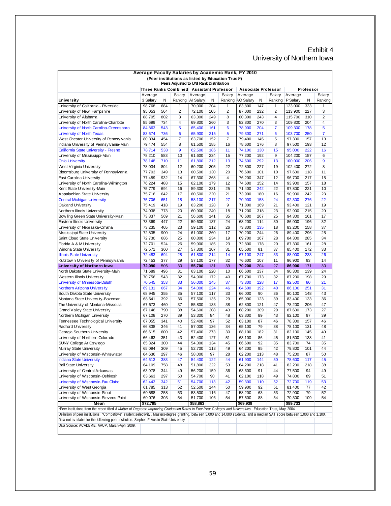#### Exhibit 4 University of Northern Iowa

|                                                                                                                                                                                                                                                                             | Average Faculty Salaries by Academic Rank, FY 2010 |            | (Peer institutions as listed by Education Trust*) |                   |            |          |                   |            |                            |                  |            |                |
|-----------------------------------------------------------------------------------------------------------------------------------------------------------------------------------------------------------------------------------------------------------------------------|----------------------------------------------------|------------|---------------------------------------------------|-------------------|------------|----------|-------------------|------------|----------------------------|------------------|------------|----------------|
|                                                                                                                                                                                                                                                                             |                                                    |            | Peers Adjusted to UNI Rank Distribution           |                   |            |          |                   |            |                            |                  |            |                |
|                                                                                                                                                                                                                                                                             |                                                    |            | Three Ranks Combined Assistant Professor          |                   |            |          |                   |            | <b>Associate Professor</b> |                  | Professor  |                |
|                                                                                                                                                                                                                                                                             | Average                                            |            | Salary                                            | Average           |            | Salary   | Average           |            | Salary                     | Average          |            | Salary         |
| <b>University</b>                                                                                                                                                                                                                                                           | 3 Salary                                           | N          |                                                   | Ranking AI Salary | N          |          | Ranking AO Salary | N          | Ranking                    | P Salary         | N          | Ranking        |
| University of California - Riverside                                                                                                                                                                                                                                        | 98,768                                             | 684        | 1                                                 | 70,000            | 204        | 1        | 83,800            | 147        | 1                          | 123,000          | 333        | 1              |
| University of New Hampshire                                                                                                                                                                                                                                                 | 95,053                                             | 564        | 2                                                 | 72,100            | 105        | 2        | 87,000            | 232        | 2                          | 113,900          | 227        | 3              |
| University of Alabama                                                                                                                                                                                                                                                       | 88,705                                             | 802        | 3                                                 | 63,300            | 249        | 8        | 80,300            | 243        | 4                          | 115,700          | 310        | $\overline{2}$ |
| University of North Carolina-Charlotte                                                                                                                                                                                                                                      | 85,699                                             | 734        | 4                                                 | 69,800            | 260        | 3        | 82,800            | 270        | 3                          | 109,800          | 204        | 4              |
| University of North Carolina-Greensboro                                                                                                                                                                                                                                     | 84,863                                             | 543        | 5                                                 | 65,400            | 161        | 6        | 78,900            | 204        | 7                          | 109,300          | 178        | 5              |
| <b>University of North Texas</b>                                                                                                                                                                                                                                            | 83,674                                             | 736        | 6                                                 | 65,900            | 215        | 5        | 79,300            | 271        | 6                          | 103,700          | 250        | 7              |
| West Chester University of Pennsylvania                                                                                                                                                                                                                                     | 80,334                                             | 454        | $\overline{7}$                                    | 63.700            | 152        | 7        | 79,400            | 145        | 5                          | 97,300           | 157        | 13             |
| Indiana University of Pennsylvania-Main                                                                                                                                                                                                                                     | 79,474                                             | 554        | 8                                                 | 61.500            | 185        | 16       | 78,600            | 176        | 8                          | 97,500           | 193        | 12             |
| California State University - Fresno                                                                                                                                                                                                                                        | 78,714                                             | 538        | 9                                                 | 62,500            | 186        | 11       | 74,100            | 130        | 15                         | 95,000           | 222        | 16             |
| University of Mississippi-Main                                                                                                                                                                                                                                              | 78,210                                             | 583        | 10                                                | 61,600            | 234        | 15       | 77,200            | 192        | 9                          | 104,200          | 157        | 6              |
| <b>Ohio University</b>                                                                                                                                                                                                                                                      | 78,148                                             | 710<br>804 | 11<br>12                                          | 61,800            | 212        | 13       | 74,600            | 292<br>227 | 13<br>19                   | 100,000          | 206        | 9              |
| West Virginia University                                                                                                                                                                                                                                                    | 78,034                                             | 349        | 13                                                | 60,200<br>60,500  | 305<br>130 | 22<br>20 | 72,800            | 101        | 10                         | 102,400          | 272<br>118 | 8<br>11        |
| Bloomsburg University of Pennsylvania<br>East Carolina University                                                                                                                                                                                                           | 77,703<br>77,459                                   | 932        | 14                                                | 67,300            | 368        | 4        | 76,600<br>76,200  | 347        | 12                         | 97,600<br>96,700 | 217        | 15             |
| University of North Carolina-Wilmington                                                                                                                                                                                                                                     | 76,224                                             | 488        | 15                                                | 62,100            | 179        | 12       | 74,600            | 152        | 14                         | 93,900           | 157        | 18             |
| Kent State University-Main                                                                                                                                                                                                                                                  | 75,779                                             | 694        | 16                                                | 59,300            | 231        | 25       | 71,400            | 242        | 22                         | 97,800           | 221        | 10             |
| Appalachian State University                                                                                                                                                                                                                                                | 75,716                                             | 642        | 17                                                | 60,500            | 220        | 21       | 73,900            | 180        | 16                         | 90,900           | 242        | 23             |
| <b>Central Michigan University</b>                                                                                                                                                                                                                                          | 75,706                                             | 651        | 18                                                | 58,100            | 217        | 27       | 70,900            | 158        | 24                         | 92,300           | 276        | 22             |
| Oakland University                                                                                                                                                                                                                                                          | 75,419                                             | 418        | 19                                                | 63,200            | 128        | 9        | 71,800            | 169        | 21                         | 93,400           | 121        | 19             |
| Northern Illinois University                                                                                                                                                                                                                                                | 74,038                                             | 773        | 20                                                | 60,900            | 240        | 18       | 71,200            | 318        | 23                         | 92,900           | 215        | 20             |
| Bow ling Green State University-Main                                                                                                                                                                                                                                        | 73,837                                             | 569        | 21                                                | 56.600            | 141        | 35       | 70,600            | 267        | 25                         | 94,300           | 161        | 17             |
| Eastern Illinois University                                                                                                                                                                                                                                                 | 73,369                                             | 447        | 22                                                | 59,600            | 137        | 24       | 68,200            | 114        | 30                         | 86,000           | 196        | 32             |
| University of Nebraska-Omaha                                                                                                                                                                                                                                                | 73,235                                             | 405        | 23                                                | 59,100            | 112        | 26       | 73,300            | 135        | 18                         | 83,200           | 158        | 37             |
| Mississippi State University                                                                                                                                                                                                                                                | 72,835                                             | 900        | 24                                                | 61,000            | 360        | 17       | 70,200            | 244        | 26                         | 89,400           | 296        | 25             |
| Saint Cloud State University                                                                                                                                                                                                                                                | 72,730                                             | 686        | 25                                                | 60,800            | 234        | 19       | 69,700            | 167        | 28                         | 84,300           | 285        | 34             |
| Florida A & M University                                                                                                                                                                                                                                                    | 72,701                                             | 524        | 26                                                | 59,900            | 185        | 23       | 72,800            | 178        | 20                         | 87,300           | 161        | 28             |
| Winona State University                                                                                                                                                                                                                                                     | 72,571                                             | 360        | 27                                                | 57,300            | 107        | 31       | 65,500            | 81         | 37                         | 85,400           | 172        | 33             |
| <b>Illinois State University</b>                                                                                                                                                                                                                                            | 72,483                                             | 694        | 28                                                | 61,800            | 214        | 14       | 67,100            | 247        | 33                         | 88,000           | 233        | 26             |
| Kutztown University of Pennsylvania                                                                                                                                                                                                                                         | 72,453                                             | 377        | 29                                                | 57,100            | 177        | 32       | 76,600            | 107        | 11                         | 96,900           | 93         | 14             |
| University of Northern Iowa                                                                                                                                                                                                                                                 | 72,090                                             | 506        | 30                                                | 55,700            | 131        | 39       | 70,200            | 204        | 27                         | 86,900           | 171        | 30             |
| North Dakota State University-Main                                                                                                                                                                                                                                          | 71,689                                             | 496        | 31                                                | 63,100            | 220        | 10       | 66,600            | 137        | 34                         | 90,300           | 139        | 24             |
| Western Illinois University                                                                                                                                                                                                                                                 | 70,756                                             | 543        | 32                                                | 54,900            | 172        | 40       | 67,700            | 173        | 32                         | 87,200           | 198        | 29             |
| University of Minnesota-Duluth                                                                                                                                                                                                                                              | 70,545                                             | 353        | 33                                                | 56,000            | 145        | 37       | 73,300            | 128        | 17                         | 92,500           | 80         | 21             |
| <b>Northern Arizona University</b>                                                                                                                                                                                                                                          | 69,131                                             | 667        | 34                                                | 54,000            | 224        | 46       | 64,600            | 192        | 40                         | 86,100           | 251        | 31             |
| South Dakota State University                                                                                                                                                                                                                                               | 68,945                                             | 355        | 35                                                | 57,100            | 117        | 33       | 66,000            | 90         | 36                         | 80,100           | 148        | 43             |
| Montana State University-Bozeman                                                                                                                                                                                                                                            | 68,641                                             | 392        | 36                                                | 57,500            | 136        | 29       | 65,000            | 123        | 39                         | 83,400           | 133        | 36             |
| The University of Montana-Missoula                                                                                                                                                                                                                                          | 67,673                                             | 460        | 37                                                | 55,800            | 133        | 38       | 62,800            | 121        | 47                         | 78,200           | 206        | 47             |
| <b>Grand Valley State University</b>                                                                                                                                                                                                                                        | 67,146                                             | 790        | 38                                                | 54,600            | 308        | 43       | 68,200            | 309        | 29                         | 87,600           | 173        | 27             |
| Northern Michigan University                                                                                                                                                                                                                                                | 67,108                                             | 270        | 39                                                | 53,300            | 84         | 48       | 63,800            | 89         | 43                         | 82,100           | 97         | 39             |
| Tennessee Technological University                                                                                                                                                                                                                                          | 67,055                                             | 341        | 40                                                | 52,400            | 97         | 52       | 63,100            | 87         | 46                         | 78,300           | 157        | 46             |
| Radford University                                                                                                                                                                                                                                                          | 66,838                                             | 346        | 41                                                | 57.000            | 136        | 34       | 65,100            | 79         | 38                         | 78,100           | 131        | 48             |
| Georgia Southern University                                                                                                                                                                                                                                                 | 66,615                                             | 600        | 42                                                | 57,400            | 273        | 30       | 68,100            | 182        | 31                         | 82,100           | 145        | 40             |
| University of Northern Colorado                                                                                                                                                                                                                                             | 66,463                                             | 351        | 43                                                | 52,400            | 127        | 51       | 63,100            | 86         | 45                         | 81,500           | 138        | 41             |
| SUNY College At Oswego                                                                                                                                                                                                                                                      | 65,324                                             | 300        | 44                                                | 54,300            | 134        | 45       | 66,600            | 92         | 35                         | 83,700           | 74         | 35             |
| Murray State University                                                                                                                                                                                                                                                     | 65,094                                             | 309        | 45                                                | 52,700            | 113        | 49       | 64,200            | 95         | 42                         | 79.800           | 101        | 44             |
| University of Wisconsin-Whitew ater                                                                                                                                                                                                                                         | 64,636                                             | 297        | 46                                                | 58,000            | 97         | 28       | 62,200            | 113        | 48                         | 75,200           | 87         | 50             |
| <b>Indiana State University</b>                                                                                                                                                                                                                                             | 64,613                                             | 383        | 47                                                | 54,400            | 122        | 44       | 61,900            | 144        | 50                         | 78,600           | 117        | 45             |
| <b>Ball State University</b>                                                                                                                                                                                                                                                | 64,109                                             | 758        | 48                                                | 51,800            | 322        | 53       | 64,200            | 218        | 41                         | 82,200           | 218        | 38             |
| University of Central Arkansas                                                                                                                                                                                                                                              | 63,978                                             | 344        | 49                                                | 56,200            | 159        | 36       | 63,600            | 91         | 44                         | 77,500           | 94         | 49             |
| University of Wisconsin-Oshkosh                                                                                                                                                                                                                                             | 63,663                                             | 297        | 50                                                | 54,700            | 90         | 41       | 62,100            | 118        | 49                         | 74,800           | 89         | 51             |
| University of Wisconsin-Eau Claire                                                                                                                                                                                                                                          | 62,443                                             | 342        | 51                                                | 54,700            | 113        | 42       | 59,300            | 110        | 52                         | 72,700           | 119        | 53             |
| University of West Georgia                                                                                                                                                                                                                                                  | 61,785                                             | 313        | 52                                                | 52,500            | 144        | 50       | 59,900            | 92         | 51                         | 81,400           | 77         | 42             |
| University of Wisconsin-Stout                                                                                                                                                                                                                                               | 60,588                                             | 258        | 53                                                | 53,500            | 116        | 47       | 58,200            | 63         | 53                         | 72,900           | 79         | 52             |
| University of Wisconsin-Stevens Point                                                                                                                                                                                                                                       | 60,076                                             | 303        | 54                                                | 51,700            | 106        | 54       | 57,500            | 88         | 54                         | 70,300           | 109        | 54             |
| Mean                                                                                                                                                                                                                                                                        | \$72,795                                           |            |                                                   | \$58,863          |            |          | \$69,939          |            |                            | \$89,733         |            |                |
| *Peer institutions from the report titled A Matter of Degrees: Improving Graduation Rates in Four-Year Colleges and Universities, Education Trust, May 2004.                                                                                                                |                                                    |            |                                                   |                   |            |          |                   |            |                            |                  |            |                |
| Definition of peer institutions: "Competitive" student selectivity, Masters-degree granting, between 5,000 and 14,000 students, and a median SAT score between 1,000 and 1,100.<br>Data not available for the following peer institution: Stephen F Austin State University |                                                    |            |                                                   |                   |            |          |                   |            |                            |                  |            |                |
| Data Source: ACADEME, AAUP, March-April 2009.                                                                                                                                                                                                                               |                                                    |            |                                                   |                   |            |          |                   |            |                            |                  |            |                |
|                                                                                                                                                                                                                                                                             |                                                    |            |                                                   |                   |            |          |                   |            |                            |                  |            |                |
|                                                                                                                                                                                                                                                                             |                                                    |            |                                                   |                   |            |          |                   |            |                            |                  |            |                |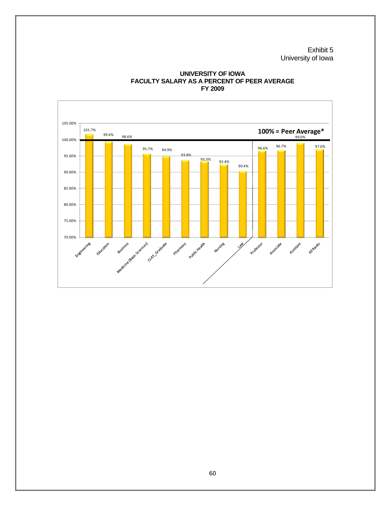Exhibit 5 University of Iowa



#### **UNIVERSITY OF IOWA FACULTY SALARY AS A PERCENT OF PEER AVERAGE FY 2009**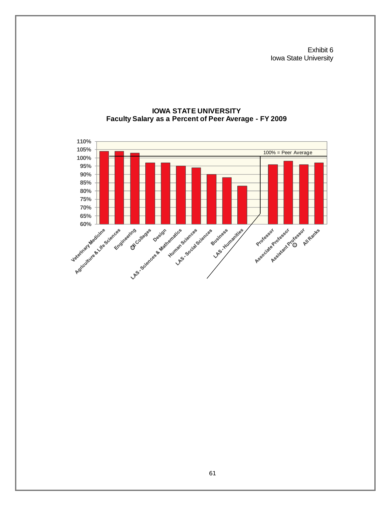Exhibit 6 Iowa State University



#### **IOWA STATE UNIVERSITY Faculty Salary as a Percent of Peer Average - FY 2009**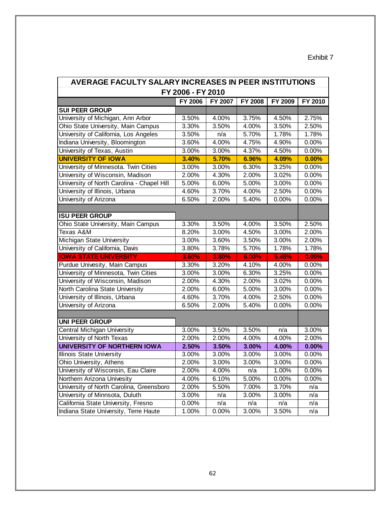# Exhibit 7

| AVERAGE FACULTY SALARY INCREASES IN PEER INSTITUTIONS |                   |         |         |          |         |
|-------------------------------------------------------|-------------------|---------|---------|----------|---------|
|                                                       | FY 2006 - FY 2010 |         |         |          |         |
|                                                       | FY 2006           | FY 2007 | FY 2008 | FY 2009  | FY 2010 |
| <b>SUI PEER GROUP</b>                                 |                   |         |         |          |         |
| University of Michigan, Ann Arbor                     | 3.50%             | 4.00%   | 3.75%   | 4.50%    | 2.75%   |
| Ohio State University, Main Campus                    | 3.30%             | 3.50%   | 4.00%   | 3.50%    | 2.50%   |
| University of California, Los Angeles                 | 3.50%             | n/a     | 5.70%   | 1.78%    | 1.78%   |
| Indiana University, Bloomington                       | 3.60%             | 4.00%   | 4.75%   | 4.90%    | 0.00%   |
| University of Texas, Austin                           | 3.00%             | 3.00%   | 4.37%   | 4.50%    | 0.00%   |
| <b>UNIVERSITY OF IOWA</b>                             | 3.40%             | 5.70%   | 6.96%   | 4.09%    | 0.00%   |
| University of Minnesota. Twin Cities                  | 3.00%             | 3.00%   | 6.30%   | 3.25%    | 0.00%   |
| University of Wisconsin, Madison                      | 2.00%             | 4.30%   | 2.00%   | 3.02%    | 0.00%   |
| University of North Carolina - Chapel Hill            | 5.00%             | 6.00%   | 5.00%   | 3.00%    | 0.00%   |
| University of Illinois, Urbana                        | 4.60%             | 3.70%   | 4.00%   | 2.50%    | 0.00%   |
| University of Arizona                                 | 6.50%             | 2.00%   | 5.40%   | 0.00%    | 0.00%   |
|                                                       |                   |         |         |          |         |
| <b>ISU PEER GROUP</b>                                 |                   |         |         |          |         |
| Ohio State University, Main Campus                    | 3.30%             | 3.50%   | 4.00%   | 3.50%    | 2.50%   |
| Texas A&M                                             | 8.20%             | 3.00%   | 4.50%   | 3.00%    | 2.00%   |
| Michigan State University                             | 3.00%             | 3.60%   | 3.50%   | 3.00%    | 2.00%   |
| University of California, Davis                       | 3.80%             | 3.78%   | 5.70%   | 1.78%    | 1.78%   |
| <b>IOWA STATE UNIVERSITY</b>                          | 3.60%             | 3.80%   | 6.00%   | 5.46%    | 0.00%   |
| Purdue Univesity, Main Campus                         | 3.30%             | 3.20%   | 4.10%   | 4.00%    | 0.00%   |
| University of Minnesota, Twin Cities                  | 3.00%             | 3.00%   | 6.30%   | 3.25%    | 0.00%   |
| University of Wisconsin, Madison                      | 2.00%             | 4.30%   | 2.00%   | 3.02%    | 0.00%   |
| North Carolina State University                       | 2.00%             | 6.00%   | 5.00%   | 3.00%    | 0.00%   |
| University of Illinois, Urbana                        | 4.60%             | 3.70%   | 4.00%   | 2.50%    | 0.00%   |
| University of Arizona                                 | 6.50%             | 2.00%   | 5.40%   | 0.00%    | 0.00%   |
|                                                       |                   |         |         |          |         |
| <b>UNI PEER GROUP</b>                                 |                   |         |         |          |         |
| Central Michigan University                           | 3.00%             | 3.50%   | 3.50%   | n/a      | 3.00%   |
| University of North Texas                             | 2.00%             | 2.00%   | 4.00%   | 4.00%    | 2.00%   |
| <b>UNIVERSITY OF NORTHERN IOWA</b>                    | 2.50%             | 3.50%   | 3.00%   | 4.00%    | 0.00%   |
| <b>Illinois State University</b>                      | 3.00%             | 3.00%   | 3.00%   | 3.00%    | 0.00%   |
| Ohio University, Athens                               | 2.00%             | 3.00%   | 3.00%   | 3.00%    | 0.00%   |
| University of Wisconsin, Eau Claire                   | 2.00%             | 4.00%   | n/a     | 1.00%    | 0.00%   |
| Northern Arizona Univesity                            | 4.00%             | 6.10%   | 5.00%   | $0.00\%$ | 0.00%   |
| University of North Carolina, Greensboro              | 2.00%             | 5.50%   | 7.00%   | 3.70%    | n/a     |
| University of Minnsota, Duluth                        | 3.00%             | n/a     | 3.00%   | 3.00%    | n/a     |
| California State University, Fresno                   | 0.00%             | n/a     | n/a     | n/a      | n/a     |
| Indiana State University, Terre Haute                 | 1.00%             | 0.00%   | 3.00%   | 3.50%    | n/a     |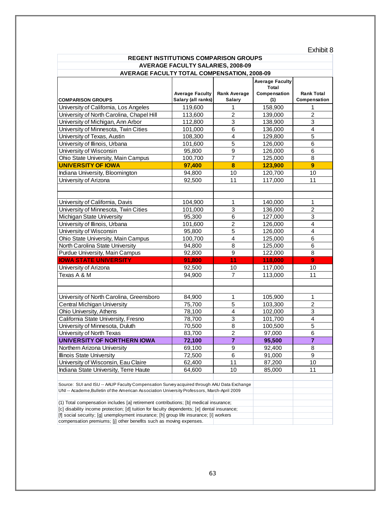#### Exhibit 8

|                                                                                              | <b>REGENT INSTITUTIONS COMPARISON GROUPS</b> |                         |                                 |                   |
|----------------------------------------------------------------------------------------------|----------------------------------------------|-------------------------|---------------------------------|-------------------|
|                                                                                              | <b>AVERAGE FACULTY SALARIES, 2008-09</b>     |                         |                                 |                   |
| <b>AVERAGE FACULTY TOTAL COMPENSATION, 2008-09</b>                                           |                                              |                         |                                 |                   |
|                                                                                              |                                              |                         | <b>Average Faculty</b><br>Total |                   |
|                                                                                              | <b>Average Faculty</b>                       | <b>Rank Average</b>     | Compensation                    | <b>Rank Total</b> |
| <b>COMPARISON GROUPS</b>                                                                     | Salary (all ranks)                           | <b>Salary</b>           | (1)                             | Compensation      |
| University of California, Los Angeles                                                        | 119,600                                      | 1                       | 158,900                         | 1                 |
| University of North Carolina, Chapel Hill                                                    | 113,600                                      | 2                       | 139,000                         | $\overline{c}$    |
| University of Michigan, Ann Arbor                                                            | 112,800                                      | 3                       | 138,900                         | $\overline{3}$    |
| University of Minnesota, Twin Cities                                                         | 101,000                                      | 6                       | 136,000                         | $\overline{4}$    |
| University of Texas, Austin                                                                  | 108,300                                      | 4                       | 129,800                         | 5                 |
| University of Illinois, Urbana                                                               | 101,600                                      | 5                       | 126,000                         | 6                 |
| University of Wisconsin                                                                      | 95,800                                       | 9                       | 126,000                         | 6                 |
| Ohio State University, Main Campus                                                           | 100,700                                      | $\overline{7}$          | 125,000                         | 8                 |
| <b>UNIVERSITY OF IOWA</b>                                                                    | 97,400                                       | $\bf{8}$                | 123,900                         | $\overline{9}$    |
| Indiana University, Bloomington                                                              | 94,800                                       | 10                      | 120,700                         | 10                |
| University of Arizona                                                                        | 92,500                                       | 11                      | 117,000                         | 11                |
|                                                                                              |                                              |                         |                                 |                   |
| University of California, Davis                                                              | 104,900                                      | 1                       | 140,000                         | 1                 |
| University of Minnesota, Twin Cities                                                         | 101,000                                      | 3                       | 136,000                         | $\overline{2}$    |
| Michigan State University                                                                    | 95,300                                       | $\overline{6}$          | 127,000                         | 3                 |
| University of Illinois, Urbana                                                               | 101,600                                      | $\overline{c}$          | 126,000                         | 4                 |
| University of Wisconsin                                                                      |                                              | $\overline{5}$          |                                 | 4                 |
|                                                                                              | 95,800                                       | 4                       | 126,000<br>125,000              | 6                 |
| Ohio State University, Main Campus                                                           | 100,700                                      |                         |                                 |                   |
| North Carolina State University                                                              | 94,800                                       | 8                       | 125,000                         | 6                 |
| Purdue University, Main Campus                                                               | 92,800                                       | 9                       | 122,000                         | 8                 |
| <b>IOWA STATE UNIVERSITY</b>                                                                 | 91,800                                       | 11                      | 118,000                         | 9                 |
| University of Arizona                                                                        | 92,500                                       | 10                      | 117,000                         | 10                |
| Texas A & M                                                                                  | 94,900                                       | 7                       | 113,000                         | 11                |
|                                                                                              |                                              |                         |                                 |                   |
| University of North Carolina, Greensboro                                                     | 84,900                                       | 1                       | 105,900                         | 1                 |
| Central Michigan University                                                                  | 75,700                                       | 5                       | 103,300                         | $\overline{2}$    |
| Ohio University, Athens                                                                      | 78,100                                       | 4                       | 102,000                         | 3                 |
| California State University, Fresno                                                          | 78,700                                       | 3                       | 101,700                         | $\overline{4}$    |
| University of Minnesota, Duluth                                                              | 70,500                                       | 8                       | 100,500                         | $\overline{5}$    |
| University of North Texas                                                                    | 83,700                                       | $\overline{c}$          | 97,000                          | $\overline{6}$    |
| UNIVERSITY OF NORTHERN IOWA                                                                  | 72,100                                       | $\overline{\mathbf{7}}$ | 95,500                          | $\overline{7}$    |
| Northern Arizona University                                                                  | 69,100                                       | 9                       | 92,400                          | 8                 |
| Illinois State University                                                                    | 72,500                                       | 6                       | 91,000                          | 9                 |
| University of Wisconsin, Eau Claire                                                          | 62,400                                       | 11                      | 87,200                          | 10                |
| Indiana State University, Terre Haute                                                        | 64,600                                       | 10                      | 85,000                          | 11                |
| Source: SUI and ISU -- AAUP Faculty Compensation Survey acquired through AAU Data Exchange   |                                              |                         |                                 |                   |
| UNI -- Academe, Bulletin of the American Association University Professors, March-April 2009 |                                              |                         |                                 |                   |
|                                                                                              |                                              |                         |                                 |                   |
| (1) Total compensation includes [a] retirement contributions; [b] medical insurance;         |                                              |                         |                                 |                   |
| [c] disability income protection; [d] tuition for faculty dependents; [e] dental insurance;  |                                              |                         |                                 |                   |
| [f] social security; [g] unemployment insurance; [h] group life insurance; [i] workers       |                                              |                         |                                 |                   |
| compensation premiums; [j] other benefits such as moving expenses.                           |                                              |                         |                                 |                   |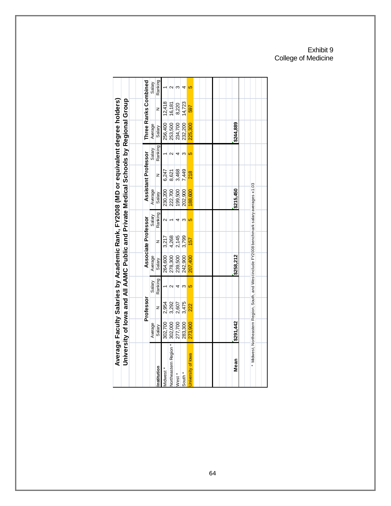#### Exhibit 9 College of Medicine

|                       | University of lowa and AII AAMC Public and Private Medical Schools by Regional Group         |           |         |           |                     |         |           |                     |         |                |                      |         |
|-----------------------|----------------------------------------------------------------------------------------------|-----------|---------|-----------|---------------------|---------|-----------|---------------------|---------|----------------|----------------------|---------|
|                       |                                                                                              | Professor |         |           | Associate Professor |         |           | Assistant Professor |         |                | Three Ranks Combined |         |
|                       | Average                                                                                      |           | Salary  | Average   |                     | Salary  | Average   |                     | Salary  | Average        |                      | Salary  |
| nstitution            | Salary                                                                                       | z         | Ranking | Salary    | z                   | Ranking | Salary    | z                   | Ranking | Salary         | z                    | Ranking |
| Viidwest *            | 302,700                                                                                      | 2,954     |         | 264,600   | 3,217               |         | 230,200   | 6,247               |         | 256,400        | 12,418               |         |
| Northeastern Region * | 302,000                                                                                      | 3,292     |         | 278,300   | 4,268               |         | 222,700   | 8,621               |         | 253,500 16,181 |                      | $\sim$  |
| West <sup>*</sup>     | 277,700                                                                                      | 2,607     | ᆉ       | 239,500   | 2,145               |         | 199,500   | 3,468               |         | 234,700        | 8,220                | Μ       |
| South <sup>*</sup>    | 283,300                                                                                      | 3,475     | ო       | 242,900   | 3,799               | ო       | 202,900   | 7,449               | ო       | 232,200 14,723 |                      |         |
| University of lowa    | 273,900                                                                                      | 222       | Ю       | 207,400   | 157                 | Ю       | 88,600    | 218                 |         | 225,300        | 597                  |         |
|                       |                                                                                              |           |         |           |                     |         |           |                     |         |                |                      |         |
|                       |                                                                                              |           |         |           |                     |         |           |                     |         |                |                      |         |
|                       |                                                                                              |           |         |           |                     |         |           |                     |         |                |                      |         |
|                       |                                                                                              |           |         |           |                     |         |           |                     |         |                |                      |         |
| Mean                  | \$291,442                                                                                    |           |         | \$258,212 |                     |         | \$215,450 |                     |         | \$244,889      |                      |         |
|                       |                                                                                              |           |         |           |                     |         |           |                     |         |                |                      |         |
|                       | Midwest, Northeastern Region, South, and West include FY2008 benchmark salary averages x1.03 |           |         |           |                     |         |           |                     |         |                |                      |         |
|                       |                                                                                              |           |         |           |                     |         |           |                     |         |                |                      |         |
|                       |                                                                                              |           |         |           |                     |         |           |                     |         |                |                      |         |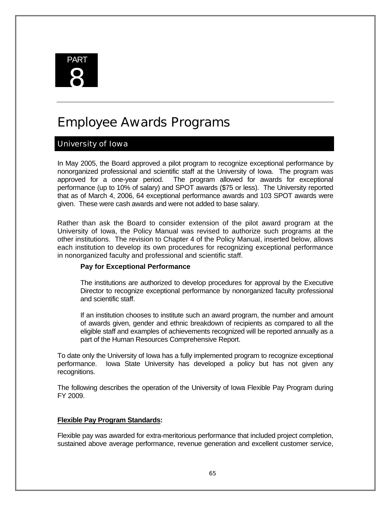

# Employee Awards Programs

# University of Iowa

In May 2005, the Board approved a pilot program to recognize exceptional performance by nonorganized professional and scientific staff at the University of Iowa. The program was approved for a one-year period. The program allowed for awards for exceptional performance (up to 10% of salary) and SPOT awards (\$75 or less). The University reported that as of March 4, 2006, 64 exceptional performance awards and 103 SPOT awards were given. These were cash awards and were not added to base salary.

Rather than ask the Board to consider extension of the pilot award program at the University of Iowa, the Policy Manual was revised to authorize such programs at the other institutions. The revision to Chapter 4 of the Policy Manual, inserted below, allows each institution to develop its own procedures for recognizing exceptional performance in nonorganized faculty and professional and scientific staff.

#### **Pay for Exceptional Performance**

The institutions are authorized to develop procedures for approval by the Executive Director to recognize exceptional performance by nonorganized faculty professional and scientific staff.

If an institution chooses to institute such an award program, the number and amount of awards given, gender and ethnic breakdown of recipients as compared to all the eligible staff and examples of achievements recognized will be reported annually as a part of the Human Resources Comprehensive Report.

To date only the University of Iowa has a fully implemented program to recognize exceptional performance. Iowa State University has developed a policy but has not given any recognitions.

The following describes the operation of the University of Iowa Flexible Pay Program during FY 2009.

#### **Flexible Pay Program Standards:**

Flexible pay was awarded for extra-meritorious performance that included project completion, sustained above average performance, revenue generation and excellent customer service,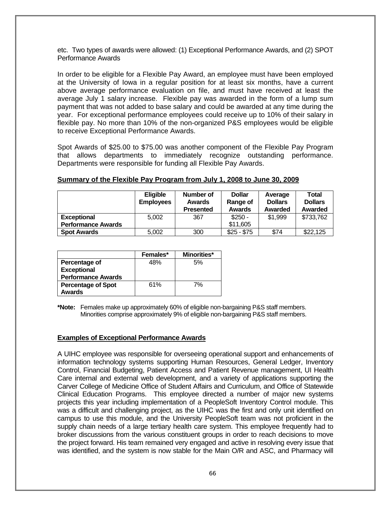etc. Two types of awards were allowed: (1) Exceptional Performance Awards, and (2) SPOT Performance Awards

In order to be eligible for a Flexible Pay Award, an employee must have been employed at the University of Iowa in a regular position for at least six months, have a current above average performance evaluation on file, and must have received at least the average July 1 salary increase. Flexible pay was awarded in the form of a lump sum payment that was not added to base salary and could be awarded at any time during the year. For exceptional performance employees could receive up to 10% of their salary in flexible pay. No more than 10% of the non-organized P&S employees would be eligible to receive Exceptional Performance Awards.

Spot Awards of \$25.00 to \$75.00 was another component of the Flexible Pay Program that allows departments to immediately recognize outstanding performance. Departments were responsible for funding all Flexible Pay Awards.

|                           | <b>Eligible</b><br><b>Employees</b> | Number of<br><b>Awards</b><br><b>Presented</b> | <b>Dollar</b><br>Range of<br><b>Awards</b> | Average<br><b>Dollars</b><br>Awarded | <b>Total</b><br><b>Dollars</b><br>Awarded |
|---------------------------|-------------------------------------|------------------------------------------------|--------------------------------------------|--------------------------------------|-------------------------------------------|
| <b>Exceptional</b>        | 5,002                               | 367                                            | $$250 -$                                   | \$1,999                              | \$733,762                                 |
| <b>Performance Awards</b> |                                     |                                                | \$11,605                                   |                                      |                                           |
| <b>Spot Awards</b>        | 5,002                               | 300                                            | $$25 - $75$                                | \$74                                 | \$22,125                                  |

#### **Summary of the Flexible Pay Program from July 1, 2008 to June 30, 2009**

|                           | Females* | Minorities* |
|---------------------------|----------|-------------|
| Percentage of             | 48%      | .5%         |
| <b>Exceptional</b>        |          |             |
| <b>Performance Awards</b> |          |             |
| <b>Percentage of Spot</b> | 61%      | 7%          |
| Awards                    |          |             |

**\*Note:** Females make up approximately 60% of eligible non-bargaining P&S staff members. Minorities comprise approximately 9% of eligible non-bargaining P&S staff members.

#### **Examples of Exceptional Performance Awards**

A UIHC employee was responsible for overseeing operational support and enhancements of information technology systems supporting Human Resources, General Ledger, Inventory Control, Financial Budgeting, Patient Access and Patient Revenue management, UI Health Care internal and external web development, and a variety of applications supporting the Carver College of Medicine Office of Student Affairs and Curriculum, and Office of Statewide Clinical Education Programs. This employee directed a number of major new systems projects this year including implementation of a PeopleSoft Inventory Control module. This was a difficult and challenging project, as the UIHC was the first and only unit identified on campus to use this module, and the University PeopleSoft team was not proficient in the supply chain needs of a large tertiary health care system. This employee frequently had to broker discussions from the various constituent groups in order to reach decisions to move the project forward. His team remained very engaged and active in resolving every issue that was identified, and the system is now stable for the Main O/R and ASC, and Pharmacy will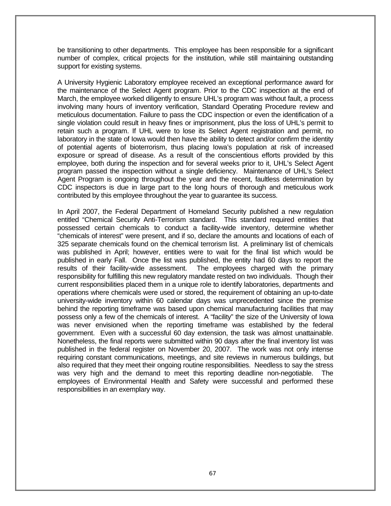be transitioning to other departments. This employee has been responsible for a significant number of complex, critical projects for the institution, while still maintaining outstanding support for existing systems.

A University Hygienic Laboratory employee received an exceptional performance award for the maintenance of the Select Agent program. Prior to the CDC inspection at the end of March, the employee worked diligently to ensure UHL's program was without fault, a process involving many hours of inventory verification, Standard Operating Procedure review and meticulous documentation. Failure to pass the CDC inspection or even the identification of a single violation could result in heavy fines or imprisonment, plus the loss of UHL's permit to retain such a program. If UHL were to lose its Select Agent registration and permit, no laboratory in the state of Iowa would then have the ability to detect and/or confirm the identity of potential agents of bioterrorism, thus placing Iowa's population at risk of increased exposure or spread of disease. As a result of the conscientious efforts provided by this employee, both during the inspection and for several weeks prior to it, UHL's Select Agent program passed the inspection without a single deficiency. Maintenance of UHL's Select Agent Program is ongoing throughout the year and the recent, faultless determination by CDC inspectors is due in large part to the long hours of thorough and meticulous work contributed by this employee throughout the year to guarantee its success.

In April 2007, the Federal Department of Homeland Security published a new regulation entitled "Chemical Security Anti-Terrorism standard. This standard required entities that possessed certain chemicals to conduct a facility-wide inventory, determine whether "chemicals of interest" were present, and if so, declare the amounts and locations of each of 325 separate chemicals found on the chemical terrorism list. A preliminary list of chemicals was published in April; however, entities were to wait for the final list which would be published in early Fall. Once the list was published, the entity had 60 days to report the results of their facility-wide assessment. The employees charged with the primary responsibility for fulfilling this new regulatory mandate rested on two individuals. Though their current responsibilities placed them in a unique role to identify laboratories, departments and operations where chemicals were used or stored, the requirement of obtaining an up-to-date university-wide inventory within 60 calendar days was unprecedented since the premise behind the reporting timeframe was based upon chemical manufacturing facilities that may possess only a few of the chemicals of interest. A "facility" the size of the University of Iowa was never envisioned when the reporting timeframe was established by the federal government. Even with a successful 60 day extension, the task was almost unattainable. Nonetheless, the final reports were submitted within 90 days after the final inventory list was published in the federal register on November 20, 2007. The work was not only intense requiring constant communications, meetings, and site reviews in numerous buildings, but also required that they meet their ongoing routine responsibilities. Needless to say the stress was very high and the demand to meet this reporting deadline non-negotiable. The employees of Environmental Health and Safety were successful and performed these responsibilities in an exemplary way.